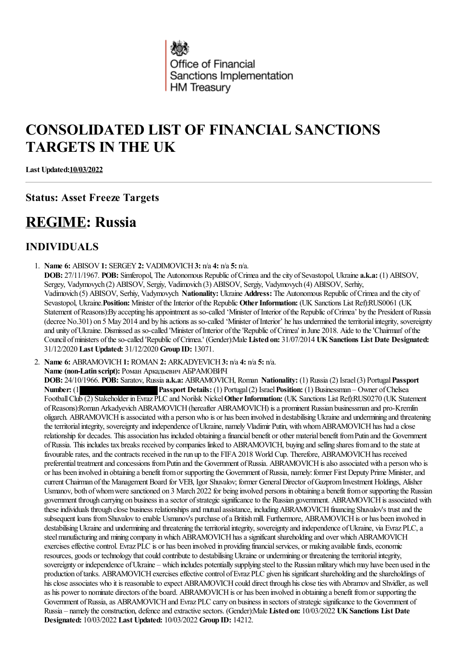

# **CONSOLIDATED LIST OF FINANCIAL SANCTIONS TARGETS IN THE UK**

**Last Updated:10/03/2022**

# **Status: Asset Freeze Targets**

# **REGIME: Russia**

# **INDIVIDUALS**

1. **Name 6:** ABISOV**1:** SERGEY**2:** VADIMOVICH**3:** n/a **4:** n/a **5:** n/a. **DOB:** 27/11/1967. **POB:** Simferopol, The Autonomous Republic ofCrimeaand thecity ofSevastopol, Ukraine **a.k.a:** (1) ABISOV, Sergey, Vadymovych (2) ABISOV, Sergiy, Vadimovich (3) ABISOV, Sergiy, Vadymovych (4) ABISOV, Serhiy, Vadimovich (5) ABISOV, Serhiy, Vadymovych **Nationality:** Ukraine **Address:** The Autonomous Republic ofCrimeaand thecity of Sevastopol, Ukraine. Position: Minister of the Interior of the Republic Other Information: (UK Sanctions List Ref):RUS0061 (UK Statement of Reasons):By accepting his appointment as so-called 'Minister of Interior of the Republic of Crimea' by the President of Russia (decree No.301) on 5 May 2014 and by his actions as so-called 'Minister of Interior' he has undermined the territorial integrity, sovereignty and unity of Ukraine. Dismissed as so-called 'Minister of Interior of the 'Republic of Crimea' in June 2018. Aide to the 'Chairman' of the Council ofministers oftheso-called 'Republic ofCrimea.' (Gender):Male **Listed on:** 31/07/2014 **UKSanctions List Date Designated:** 31/12/2020 **Last Updated:** 31/12/2020 **Group ID:** 13071.

2. **Name 6:** ABRAMOVICH**1:** ROMAN **2:** ARKADYEVICH**3:** n/a **4:** n/a **5:** n/a.

**Name (non-Latin script):** Роман Аркадьевич АБРАМОВИЧ

**DOB:** 24/10/1966. **POB:** Saratov, Russia **a.k.a:** ABRAMOVICH, Roman **Nationality:** (1) Russia(2) Israel(3) Portugal**Passport Number:** (1) **Passport Details:** (1) Portugal (2) Israel **Position:** (1) Businessman – Owner of Chelsea FootballClub (2) Stakeholder inEvraz PLC and Norilsk Nickel**OtherInformation:** (UK Sanctions List Ref):RUS0270 (UK Statement ofReasons):RomanArkadyevichABRAMOVICH(hereafter ABRAMOVICH) isa prominent Russian businessman and pro-Kremlin oligarch. ABRAMOVICH is associated with a person who is or has been involved in destabilising Ukraine and undermining and threatening the territorial integrity, sovereignty and independence of Ukraine, namely Vladimir Putin, with whom ABRAMOVICH has had a close relationship for decades. This association has included obtaining a financial benefit or other material benefit from Putin and the Government of Russia. This includes tax breaks received by companies linked to ABRAMOVICH, buying and selling shares from and to the state at favourable rates, and the contracts received in the run up to the FIFA 2018 World Cup. Therefore, ABRAMOVICH has received preferential treatment and concessions from Putin and the Government of Russia. ABRAMOVICH is also associated with a person who is or has been involved in obtaining a benefit from or supporting the Government of Russia, namely: former First Deputy Prime Minister, and current Chairman ofthe Management Board for VEB, Igor Shuvalov; former GeneralDirector ofGazpromInvestment Holdings, Alisher Usmanov, both of whom were sanctioned on 3 March 2022 for being involved persons in obtaining a benefit from or supporting the Russian government through carrying on business in a sector of strategic significance to the Russian government. ABRAMOVICH is associated with these individuals through close business relationships and mutual assistance, including ABRAMOVICH financing Shuvalov's trust and the subsequent loans from Shuvalov to enable Usmanov's purchase of a British mill. Furthermore, ABRAMOVICH is or has been involved in destabilising Ukraine and undermining and threatening the territorial integrity, sovereignty and independence of Ukraine, via Evraz PLC, a steel manufacturing and mining company in which ABRAMOVICH has a significant shareholding and over which ABRAMOVICH exercises effective control. Evraz PLC is or has been involved in providing financial services, or making available funds, economic resources, goods or technology that could contribute to destabilising Ukraine or undermining or threatening the territorial integrity, sovereignty or independence of Ukraine – which includes potentially supplying steel to the Russian military which may have been used in the production of tanks. ABRAMOVICH exercises effective control of Evraz PLC given his significant shareholding and the shareholdings of his close associates who it is reasonable to expect ABRAMOVICH could direct through his close ties with Abramov and Shvidler, as well as his power to nominate directors of the board. ABRAMOVICH is or has been involved in obtaining a benefit from or supporting the Government of Russia, as ABRAMOVICH and Evraz PLC carry on business in sectors of strategic significance to the Government of Russia – namely theconstruction, defenceand extractivesectors. (Gender):Male **Listed on:** 10/03/2022 **UKSanctions List Date Designated:** 10/03/2022 **Last Updated:** 10/03/2022 **Group ID:** 14212.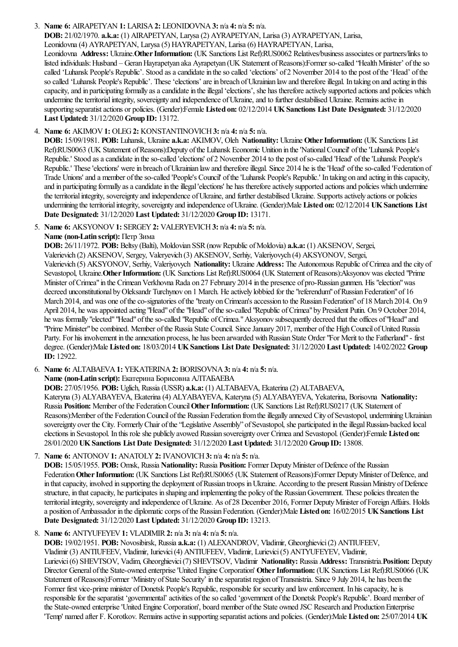### 3. **Name 6:** AIRAPETYAN **1:** LARISA**2:** LEONIDOVNA**3:** n/a **4:** n/a **5:** n/a.

**DOB:** 21/02/1970. **a.k.a:** (1) AIRAPETYAN, Larysa(2) AYRAPETYAN, Larisa(3) AYRAPETYAN, Larisa,

Leonidovna(4) AYRAPETYAN, Larysa(5) HAYRAPETYAN, Larisa(6) HAYRAPETYAN, Larisa,

Leonidovna **Address:** Ukraine.**OtherInformation:** (UK Sanctions List Ref):RUS0062 Relatives/businessassociates or partners/links to listed individuals: Husband – Geran Hayrapetyan aka Ayrapetyan (UK Statement of Reasons):Former so-called "Health Minister" of the so called 'Luhansk People's Republic'. Stood as a candidate in the so called 'elections' of 2 November 2014 to the post of the 'Head' of the so called 'Luhansk People's Republic'. These 'elections' are in breach of Ukrainian law and therefore illegal. In taking on and acting in this capacity, and in participating formally as a candidate in the illegal 'elections', she has therefore actively supported actions and policies which undermine the territorial integrity, sovereignty and independence of Ukraine, and to further destabilised Ukraine. Remains active in supporting separatistactions or policies. (Gender):Female **Listed on:** 02/12/2014 **UKSanctions List Date Designated:** 31/12/2020 **Last Updated:** 31/12/2020 **Group ID:** 13172.

### 4. **Name 6:** AKIMOV**1:** OLEG**2:** KONSTANTINOVICH**3:** n/a **4:** n/a **5:** n/a.

**DOB:** 15/09/1981. **POB:** Luhansk, Ukraine **a.k.a:** AKIMOV, Oleh **Nationality:** Ukraine **OtherInformation:** (UK Sanctions List Ref):RUS0063 (UK Statement ofReasons):Deputy ofthe Luhansk Economic Unition in the'NationalCouncil' ofthe'Luhansk People's Republic.' Stood as a candidate in the so-called 'elections' of 2 November 2014 to the post of so-called 'Head' of the 'Luhansk People's Republic.' These 'elections' were in breach of Ukrainian law and therefore illegal. Since 2014 he is the 'Head' of the so-called 'Federation of Trade Unions' and a member oftheso-called 'People's Council' ofthe'Luhansk People's Republic.' In taking on and acting in thiscapacity, and in participating formally as a candidate in the illegal 'elections' he has therefore actively supported actions and policies which undermine the territorial integrity, sovereignty and independence of Ukraine, and further destabilised Ukraine. Supports actively actions or policies undermining the territorial integrity, sovereignty and independence of Ukraine. (Gender):Male Listed on: 02/12/2014 UK Sanctions List **Date Designated:** 31/12/2020 **Last Updated:** 31/12/2020 **Group ID:** 13171.

5. **Name 6:** AKSYONOV**1:** SERGEY**2:** VALERYEVICH**3:** n/a **4:** n/a **5:** n/a.

**Name (non-Latin script):** Петр Зима

**DOB:** 26/11/1972. **POB:** Beltsy (Balti), Moldovian SSR(nowRepublic ofMoldovia) **a.k.a:** (1) AKSENOV, Sergei,

Valerievich (2) AKSENOV, Sergey, Valeryevich (3) AKSENOV, Serhiy, Valeriyovych (4) AKSYONOV, Sergei,

Valerievich (5) AKSYONOV, Serhiy, Valeriyovych **Nationality:** Ukraine **Address:** The Autonomous Republic ofCrimeaand thecity of Sevastopol, Ukraine. Other Information: (UK Sanctions List Ref):RUS0064 (UK Statement of Reasons):Aksyonov was elected "Prime Minister of Crimea" in the Crimean Verkhovna Rada on 27 February 2014 in the presence of pro-Russian gunmen. His "election" was decreed unconstitutional by Oleksandr Turchynov on 1 March. He actively lobbied for the "referendum" of Russian Federation" of 16 March 2014, and was one of the co-signatories of the "treaty on Crimean's accession to the Russian Federation" of 18 March 2014. On 9 April 2014, he was appointed acting "Head" of the "Head" of the so-called "Republic of Crimea" by President Putin. On 9 October 2014, he was formally "elected" "Head" of the so-called "Republic of Crimea." Aksyonov subsequently decreed that the offices of "Head" and "Prime Minister" be combined. Member of the Russia State Council. Since January 2017, member of the High Council of United Russia Party. For his involvement in the annexation process, he has been arwarded with Russian State Order "For Merit to the Fatherland" - first degree. (Gender):Male **Listed on:** 18/03/2014 **UKSanctions List Date Designated:** 31/12/2020 **Last Updated:** 14/02/2022 **Group ID:** 12922.

6. **Name 6:** ALTABAEVA**1:** YEKATERINA**2:** BORISOVNA**3:** n/a **4:** n/a **5:** n/a.

**Name (non-Latin script):** Екатерина Борисовна АЛТАБАЕВА

**DOB:** 27/05/1956. **POB:** Uglich, Russia(USSR) **a.k.a:** (1) ALTABAEVA, Ekaterina(2) ALTABAEVA,

Kateryna(3) ALYABAYEVA, Ekaterina(4) ALYABAYEVA, Kateryna(5) ALYABAYEVA, Yekaterina, Borisovna **Nationality:** Russia **Position:** Member ofthe FederationCouncil**OtherInformation:** (UK Sanctions List Ref):RUS0217 (UK Statement of Reasons):Member of the Federation Council of the Russian Federation from the illegally annexed City of Sevastopol, undermining Ukrainian sovereignty over the City. Formerly Chair of the "Legislative Assembly" of Sevastopol, she participated in the illegal Russian-backed local elections in Sevastopol. In this roleshe publicly avowed Russian sovereignty over Crimeaand Sevastopol. (Gender):Female **Listed on:** 28/01/2020 **UKSanctions List Date Designated:** 31/12/2020 **Last Updated:** 31/12/2020 **Group ID:** 13808.

7. **Name 6:** ANTONOV**1:** ANATOLY**2:** IVANOVICH**3:** n/a **4:** n/a **5:** n/a.

**DOB:** 15/05/1955. **POB:** Omsk, Russia **Nationality:** Russia **Position:** Former DeputyMinister ofDefence ofthe Russian Federation Other Information: (UK Sanctions List Ref):RUS0065 (UK Statement of Reasons):Former Deputy Minister of Defence, and in that capacity, involved in supporting the deployment of Russian troops in Ukraine. According to the present Russian Ministry of Defence structure, in that capacity, he participates in shaping and implementing the policy of the Russian Government. These policies threaten the territorial integrity, sovereignty and independence of Ukraine. As of 28 December 2016, Former Deputy Minister of Foreign Affairs. Holds a position ofAmbassador in the diplomaticcorps ofthe Russian Federation. (Gender):Male **Listed on:** 16/02/2015 **UKSanctions List Date Designated:** 31/12/2020 **Last Updated:** 31/12/2020 **Group ID:** 13213.

8. **Name 6:** ANTYUFEYEV**1:** VLADIMIR**2:** n/a **3:** n/a **4:** n/a **5:** n/a.

**DOB:** 19/02/1951. **POB:** Novosibirsk, Russia **a.k.a:** (1) ALEXANDROV, Vladimir, Gheorghievici(2) ANTIUFEEV, Vladimir (3) ANTIUFEEV, Vladimir, Iurievici(4) ANTIUFEEV, Vladimir, Lurievici(5) ANTYUFEYEV, Vladimir, Lurievici(6) SHEVTSOV, Vadim, Gheorghievici(7) SHEVTSOV, Vladimir **Nationality:** Russia **Address:** Transnistria.**Position:** Deputy Director General ofthe State-owned enterprise'United Engine Corporation' **OtherInformation:** (UK Sanctions List Ref):RUS0066 (UK Statement of Reasons):Former 'Ministry of State Security' in the separatist region of Transnistria. Since 9 July 2014, he has been the Former first vice-prime minister of Donetsk People's Republic, responsible for security and law enforcement. In his capacity, he is responsible for the separatist 'governmental' activities of the so called 'government of the Donetsk People's Republic'. Board member of the State-owned enterprise 'United Engine Corporation', board member of the State owned JSC Research and Production Enterprise 'Temp' named after F. Korotkov. Remainsactivein supporting separatistactionsand policies. (Gender):Male **Listed on:** 25/07/2014 **UK**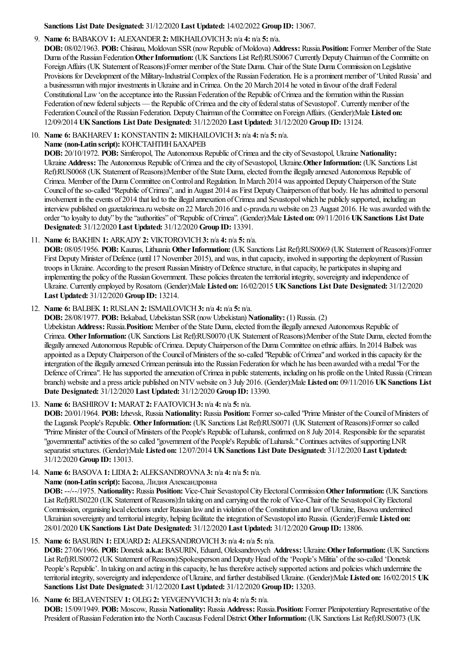### **Sanctions List Date Designated:** 31/12/2020 **Last Updated:** 14/02/2022 **Group ID:** 13067.

### 9. **Name 6:** BABAKOV**1:** ALEXANDER**2:** MIKHAILOVICH**3:** n/a **4:** n/a **5:** n/a.

**DOB:** 08/02/1963. **POB:** Chisinau, Moldovan SSR(nowRepublic ofMoldova) **Address:** Russia.**Position:** Former Member ofthe State Duma ofthe Russian Federation**OtherInformation:** (UK Sanctions List Ref):RUS0067 CurrentlyDeputyChairman ofthe Commiitte on Foreign Affairs (UK Statement of Reasons):Former member of the State Duma. Chair of the State Duma Commission on Legislative Provisions for Development of the Military-Industrial Complex of the Russian Federation. He is a prominent member of 'United Russia' and a businessman with major investments in Ukraine and in Crimea. On the 20 March 2014 he voted in favour of the draft Federal Constitutional Law 'on the acceptance into the Russian Federation of the Republic of Crimea and the formation within the Russian Federation of new federal subjects — the Republic of Crimea and the city of federal status of Sevastopol'. Currently member of the FederationCouncil ofthe Russian Federation. DeputyChairman ofthe Committee on ForeignAffairs. (Gender):Male **Listed on:** 12/09/2014 **UKSanctions List Date Designated:** 31/12/2020 **Last Updated:** 31/12/2020 **Group ID:** 13124.

10. **Name 6:** BAKHAREV**1:** KONSTANTIN **2:** MIKHAILOVICH**3:** n/a **4:** n/a **5:** n/a.

### **Name (non-Latin script):** КОНСТАНТИНБАХАРЕВ

**DOB:** 20/10/1972. **POB:** Simferopol, The Autonomous Republic of Crimea and the city of Sevastopol, Ukraine **Nationality:** Ukraine Address: The Autonomous Republic of Crimea and the city of Sevastopol, Ukraine. Other Information: (UK Sanctions List Ref):RUS0068 (UK Statement of Reasons):Member of the State Duma, elected from the illegally annexed Autonomous Republic of Crimea. Member of the Duma Committee on Control and Regulation. In March 2014 was appointed Deputy Chairperson of the State Council of the so-called "Republic of Crimea", and in August 2014 as First Deputy Chairperson of that body. He has admitted to personal involvement in the events of 2014 that led to the illegal annexation of Crimea and Sevastopol which he publicly supported, including an interview published on gazetakrimea.ru website on 22 March 2016 and c-pravda.ru website on 23 August 2016. He was awarded with the order"to loyalty to duty" by the"authorities" of"Republic ofCrimea". (Gender):Male **Listed on:** 09/11/2016 **UKSanctions List Date Designated:** 31/12/2020 **Last Updated:** 31/12/2020 **Group ID:** 13391.

# 11. **Name 6:** BAKHIN **1:** ARKADY**2:** VIKTOROVICH**3:** n/a **4:** n/a **5:** n/a.

**DOB:** 08/05/1956. **POB:** Kaunas, Lithuania **OtherInformation:** (UK Sanctions List Ref):RUS0069 (UK Statement ofReasons):Former First Deputy Minister of Defence (until 17 November 2015), and was, in that capacity, involved in supporting the deployment of Russian troops in Ukraine. According to the present Russian Ministry of Defence structure, in that capacity, he participates in shaping and implementing the policy of the Russian Government. These policies threaten the territorial integrity, sovereignty and independence of Ukraine. Currently employed byRosatom. (Gender):Male **Listed on:** 16/02/2015 **UKSanctions List Date Designated:** 31/12/2020 **Last Updated:** 31/12/2020 **Group ID:** 13214.

### 12. **Name 6:** BALBEK **1:** RUSLAN **2:** ISMAILOVICH**3:** n/a **4:** n/a **5:** n/a.

**DOB:** 28/08/1977. **POB:** Bekabad, Uzbekistan SSR(nowUzbekistan) **Nationality:** (1) Russia. (2)

Uzbekistan Address: Russia. Position: Member of the State Duma, elected from the illegally annexed Autonomous Republic of Crimea. Other Information: (UK Sanctions List Ref):RUS0070 (UK Statement of Reasons):Member of the State Duma, elected from the illegally annexed Autonomous Republic ofCrimea. DeputyChairperson ofthe Duma Committee on ethnicaffairs. In 2014 Balbek was appointed as a Deputy Chairperson of the Council of Ministers of the so-called "Republic of Crimea" and worked in this capacity for the intergration oftheillegally annexed Crimean peninsulainto the Russian Federation for which he has been awarded with a medal"For the Defence of Crimea". He has supported the annexation of Crimea in public statements, including on his profile on the United Russia (Crimean branch) websiteand a pressarticle published onNTVwebsite on 3 July 2016. (Gender):Male **Listed on:** 09/11/2016 **UKSanctions List Date Designated:** 31/12/2020 **Last Updated:** 31/12/2020 **Group ID:** 13390.

13. **Name 6:** BASHIROV**1:** MARAT **2:** FAATOVICH**3:** n/a **4:** n/a **5:** n/a.

**DOB:** 20/01/1964. **POB:** Izhevsk, Russia **Nationality:** Russia **Position:** Former so-called "Prime Minister ofthe Council ofMinisters of the Lugansk People's Republic. **OtherInformation:** (UK Sanctions List Ref):RUS0071 (UK Statement ofReasons):Former so called "Prime Minister of the Council of Ministers of the People's Republic of Luhansk, confirmed on 8 July 2014. Responsible for the separatist "governmental" activities of the so called "government of the People's Republic of Luhansk." Continues actviites of supporting LNR separatistsrtuctures. (Gender):Male **Listed on:** 12/07/2014 **UKSanctions List Date Designated:** 31/12/2020 **Last Updated:** 31/12/2020 **Group ID:** 13013.

14. **Name 6:** BASOVA**1:** LIDIA**2:** ALEKSANDROVNA**3:** n/a **4:** n/a **5:** n/a.

**Name (non-Latin script):** Басова, Лидия Александровна

**DOB:** --/--/1975. Nationality: Russia Position: Vice-Chair Sevastopol City Electoral Commission Other Information: (UK Sanctions List Ref):RUS0220 (UK Statement ofReasons):In taking on and carrying out therole ofVice-Chair ofthe SevastopolCityElectoral Commission, organising localelections under Russian lawand in violation ofthe Constitution and lawofUkraine, Basova undermined Ukrainian sovereignty and territorial integrity, helping facilitate the integration of Sevastopol into Russia. (Gender):Female Listed on: 28/01/2020 **UKSanctions List Date Designated:** 31/12/2020 **Last Updated:** 31/12/2020 **Group ID:** 13806.

# 15. **Name 6:** BASURIN **1:** EDUARD**2:** ALEKSANDROVICH**3:** n/a **4:** n/a **5:** n/a.

**DOB:** 27/06/1966. **POB:** Donetsk **a.k.a:** BASURIN, Eduard, Oleksandrovych **Address:** Ukraine.**OtherInformation:** (UK Sanctions List Ref):RUS0072 (UK Statement of Reasons):Spokesperson and Deputy Head of the 'People's Militia' of the so-called 'Donetsk People's Republic'. In taking on and acting in this capacity, he has therefore actively supported actions and policies which undermine the territorialintegrity, sovereignty and independence ofUkraine,and further destabilised Ukraine. (Gender):Male **Listed on:** 16/02/2015 **UK Sanctions List Date Designated:** 31/12/2020 **Last Updated:** 31/12/2020 **Group ID:** 13203.

#### 16. **Name 6:** BELAVENTSEV**1:** OLEG**2:** YEVGENYVICH**3:** n/a **4:** n/a **5:** n/a. DOB: 15/09/1949. POB: Moscow, Russia Nationality: Russia Address: Russia.Position: Former Plenipotentiary Representative of the President ofRussian Federation into the NorthCaucasus FederalDistrict**OtherInformation:** (UK Sanctions List Ref):RUS0073 (UK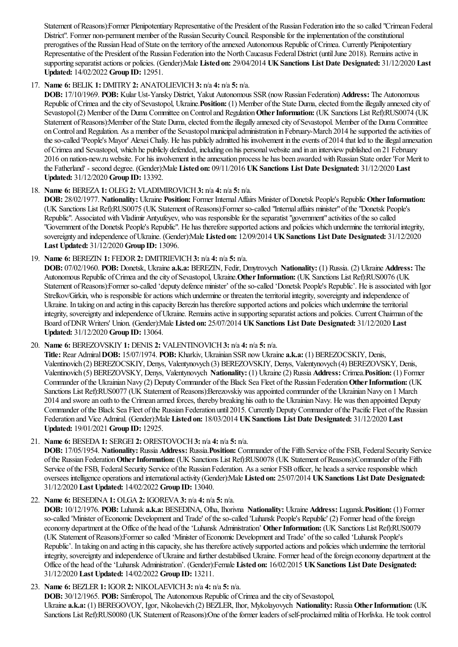Statement of Reasons):Former Plenipotentiary Representative of the President of the Russian Federation into the so called "Crimean Federal District". Former non-permanent member of the Russian Security Council. Responsible for the implementation of the constitutional prerogatives of the Russian Head of State on the territory of the annexed Autonomous Republic of Crimea. Currently Plenipotentiary Representative of the President of the Russian Federation into the North Caucasus Federal District (until June 2018). Remains active in supporting separatistactions or policies. (Gender):Male **Listed on:** 29/04/2014 **UKSanctions List Date Designated:** 31/12/2020 **Last Updated:** 14/02/2022 **Group ID:** 12951.

# 17. **Name 6:** BELIK **1:** DMITRY**2:** ANATOLIEVICH**3:** n/a **4:** n/a **5:** n/a.

**DOB:** 17/10/1969. **POB:** Kular Ust-YanskyDistrict, Yakut Autonomous SSR(nowRussian Federation) **Address:** The Autonomous Republic of Crimea and the city of Sevastopol, Ukraine. **Position:** (1) Member of the State Duma, elected from the illegally annexed city of Sevastopol (2) Member of the Duma Committee on Control and Regulation Other Information: (UK Sanctions List Ref):RUS0074 (UK Statement of Reasons):Member of the State Duma, elected from the illegally annexed city of Sevastopol. Member of the Duma Committee on Control and Regulation. As a member of the Sevastopol municipal administration in February-March 2014 he supported the activities of the so-called 'People's Mayor' Alexei Chaliy. He has publicly admitted his involvement in the events of 2014 that led to the illegal annexation ofCrimeaand Sevastopol, which he publicly defended, including on his personalwebsiteand in an interviewpublished on 21 February 2016 on nation-new.ru website. For his involvement in the annexation process he has been awarded with Russian State order 'For Merit to the Fatherland' - second degree. (Gender):Male **Listed on:** 09/11/2016 **UKSanctions List Date Designated:** 31/12/2020 **Last Updated:** 31/12/2020 **Group ID:** 13392.

# 18. **Name 6:** BEREZA**1:** OLEG**2:** VLADIMIROVICH**3:** n/a **4:** n/a **5:** n/a.

**DOB:** 28/02/1977. **Nationality:** Ukraine **Position:** Former InternalAffairs Minister ofDonetsk People's Republic **OtherInformation:** (UK Sanctions List Ref):RUS0075 (UK Statement ofReasons):Former so-called "Internalaffairs minister"ofthe"Donetsk People's Republic". Associated with Vladimir Antyufeyev, who was responsible for the separatist "government" activities of the so called "Government of the Donetsk People's Republic". He has therefore supported actions and policies which undermine the territorial integrity, sovereignty and independence ofUkraine. (Gender):Male **Listed on:** 12/09/2014 **UKSanctions List Date Designated:** 31/12/2020 **Last Updated:** 31/12/2020 **Group ID:** 13096.

19. **Name 6:** BEREZIN **1:** FEDOR**2:** DMITRIEVICH**3:** n/a **4:** n/a **5:** n/a.

**DOB:** 07/02/1960. **POB:** Donetsk, Ukraine **a.k.a:** BEREZIN, Fedir, Dmytrovych **Nationality:** (1) Russia. (2) Ukraine **Address:** The Autonomous Republic ofCrimeaand thecity ofSevastopol, Ukraine.**OtherInformation:** (UK Sanctions List Ref):RUS0076 (UK Statement of Reasons):Former so-called 'deputy defence minister' of the so-called 'Donetsk People's Republic'. He is associated with Igor Strelkov/Girkin, who is responsible for actions which undermine or threaten the territorial integrity, sovereignty and independence of Ukraine. In taking on and acting in this capacity Berezin has therefore supported actions and policies which undermine the territorial integrity, sovereignty and independence of Ukraine. Remains active in supporting separatist actions and policies. Current Chairman of the Board ofDNRWriters' Union. (Gender):Male **Listed on:** 25/07/2014 **UKSanctions List Date Designated:** 31/12/2020 **Last Updated:** 31/12/2020 **Group ID:** 13064.

# 20. **Name 6:** BEREZOVSKIY**1:** DENIS **2:** VALENTINOVICH**3:** n/a **4:** n/a **5:** n/a.

**Title:** Rear Admiral**DOB:** 15/07/1974. **POB:** Kharkiv, Ukrainian SSRnowUkraine **a.k.a:** (1) BEREZOCSKIY, Denis, Valentinovich (2) BEREZOCSKIY, Denys, Valentynovych (3) BEREZOVSKIY, Denys, Valentynovych (4) BEREZOVSKY, Denis, Valentinovich (5) BEREZOVSKY, Denys, Valentynovych **Nationality:** (1) Ukraine(2) Russia **Address:** Crimea.**Position:** (1) Former Commander of the Ukrainian Navy (2) Deputy Commander of the Black Sea Fleet of the Russian Federation Other Information: (UK Sanctions List Ref):RUS0077 (UK Statement of Reasons):Berezovskiy was appointed commander of the Ukrainian Navy on 1 March 2014 and swore an oath to the Crimean armed forces, thereby breaking his oath to the Ukrainian Navy. He was then appointed Deputy Commander of the Black Sea Fleet of the Russian Federation until 2015. Currently Deputy Commander of the Pacific Fleet of the Russian Federation and Vice Admiral. (Gender):Male **Listed on:** 18/03/2014 **UKSanctions List Date Designated:** 31/12/2020 **Last Updated:** 19/01/2021 **Group ID:** 12925.

21. **Name 6:** BESEDA**1:** SERGEI **2:** ORESTOVOCH**3:** n/a **4:** n/a **5:** n/a.

**DOB:** 17/05/1954. Nationality: Russia Address: Russia. Position: Commander of the Fifth Service of the FSB, Federal Security Service ofthe Russian Federation**OtherInformation:** (UK Sanctions List Ref):RUS0078 (UK Statement ofReasons):Commander ofthe Fifth Service of the FSB, Federal Security Service of the Russian Federation. As a senior FSB officer, he heads a service responsible which oversees intelligence operationsand internationalactivity (Gender):Male **Listed on:** 25/07/2014 **UKSanctions List Date Designated:** 31/12/2020 **Last Updated:** 14/02/2022 **Group ID:** 13040.

22. **Name 6:** BESEDINA**1:** OLGA**2:** IGOREVA**3:** n/a **4:** n/a **5:** n/a.

**DOB:** 10/12/1976. **POB:** Luhansk **a.k.a:** BESEDINA, Olha, Ihorivna **Nationality:** Ukraine **Address:** Lugansk.**Position:** (1) Former so-called 'Minister of Economic Development and Trade' of the so-called 'Luhansk People's Republic' (2) Former head of the foreign economy department at the Office of the head of the 'Luhansk Administration' Other Information: (UK Sanctions List Ref):RUS0079 (UK Statement ofReasons):Former so called 'Minister ofEconomic Developmentand Trade' oftheso called 'Luhansk People's Republic'. In taking on and acting in this capacity, she has therefore actively supported actions and policies which undermine the territorial integrity, sovereignty and independence of Ukraine and further destabilised Ukraine. Former head of the foreign economy department at the Office ofthe head ofthe'Luhansk Administration'. (Gender):Female **Listed on:** 16/02/2015 **UKSanctions List Date Designated:** 31/12/2020 **Last Updated:** 14/02/2022 **Group ID:** 13211.

23. **Name 6:** BEZLER**1:** IGOR**2:** NIKOLAEVICH**3:** n/a **4:** n/a **5:** n/a.

**DOB:** 30/12/1965. **POB:** Simferopol, The Autonomous Republic of Crimea and the city of Sevastopol, Ukraine **a.k.a:** (1) BEREGOVOY, Igor, Nikolaevich (2) BEZLER, Ihor, Mykolayovych **Nationality:** Russia Other Information: (UK Sanctions List Ref):RUS0080 (UK Statement of Reasons):One of the former leaders of self-proclaimed militia of Horlivka. He took control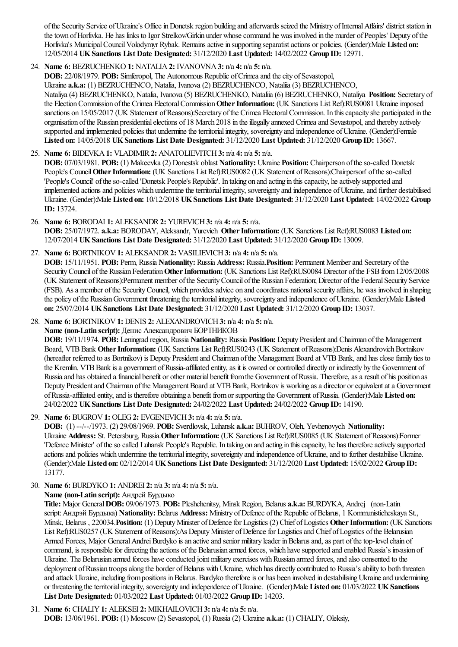of the Security Service of Ukraine's Office in Donetsk region building and afterwards seized the Ministry of Internal Affairs' district station in the town of Horlivka. He has links to Igor Strelkov/Girkin under whose command he was involved in the murder of Peoples' Deputy of the Horlivka's MunicipalCouncilVolodymyr Rybak. Remainsactivein supporting separatistactions or policies. (Gender):Male **Listed on:** 12/05/2014 **UKSanctions List Date Designated:** 31/12/2020 **Last Updated:** 14/02/2022 **Group ID:** 12971.

24. **Name 6:** BEZRUCHENKO **1:** NATALIA**2:** IVANOVNA**3:** n/a **4:** n/a **5:** n/a.

**DOB:** 22/08/1979. **POB:** Simferopol. The Autonomous Republic of Crimea and the city of Sevastopol. Ukraine **a.k.a:** (1) BEZRUCHENCO, Natalia, Ivanova(2) BEZRUCHENCO, Nataliia(3) BEZRUCHENCO, Nataliya(4) BEZRUCHENKO, Natalia, Ivanova(5) BEZRUCHENKO, Nataliia(6) BEZRUCHENKO, Nataliya **Position:** Secretary of the Election Commission of the Crimea Electoral Commission Other Information: (UK Sanctions List Ref):RUS0081 Ukraine imposed sanctions on 15/05/2017 (UK Statement of Reasons):Secretary of the Crimea Electoral Commission. In this capacity she participated in the organisation ofthe Russian presidentialelections of 18 March 2018 in theillegally annexed Crimeaand Sevastopol,and thereby actively supported and implemented policies that undermine the territorial integrity, sovereignty and independence of Ukraine. (Gender):Female **Listed on:** 14/05/2018 **UKSanctions List Date Designated:** 31/12/2020 **Last Updated:** 31/12/2020 **Group ID:** 13667.

25. **Name 6:** BIDEVKA**1:** VLADIMIR**2:** ANATOLIEVITCH**3:** n/a **4:** n/a **5:** n/a. **DOB:** 07/03/1981. **POB:** (1) Makeevka(2) Donestsk oblast **Nationality:** Ukraine **Position:** Chairperson oftheso-called Donetsk People's Council Other Information: (UK Sanctions List Ref):RUS0082 (UK Statement of Reasons):Chairperson' of the so-called 'People's Council' oftheso-called 'Donetsk People's Republic'. In taking on and acting in thiscapacity, heactively supported and implemented actions and policies which undermine the territorial integrity, sovereignty and independence of Ukraine, and further destabilised Ukraine. (Gender):Male **Listed on:** 10/12/2018 **UKSanctions List Date Designated:** 31/12/2020 **Last Updated:** 14/02/2022 **Group ID:** 13724.

26. **Name 6:** BORODAI **1:** ALEKSANDR**2:** YUREVICH**3:** n/a **4:** n/a **5:** n/a. **DOB:** 25/07/1972. **a.k.a:** BORODAY, Aleksandr, Yurevich **OtherInformation:** (UK Sanctions List Ref):RUS0083 **Listed on:** 12/07/2014 **UKSanctions List Date Designated:** 31/12/2020 **Last Updated:** 31/12/2020 **Group ID:** 13009.

27. **Name 6:** BORTNIKOV**1:** ALEKSANDR**2:** VASILIEVICH**3:** n/a **4:** n/a **5:** n/a. **DOB:** 15/11/1951. **POB:** Perm, Russia **Nationality:** Russia **Address:** Russia.**Position:** Permanent Memberand Secretary ofthe SecurityCouncil ofthe Russian Federation**OtherInformation:** (UK Sanctions List Ref):RUS0084 Director ofthe FSBfrom12/05/2008 (UK Statement ofReasons):Permanentmember ofthe SecurityCouncil ofthe Russian Federation; Director ofthe FederalSecurity Service (FSB). Asa member ofthe SecurityCouncil, which providesadvice on and coordinates nationalsecurity affairs, he was involved in shaping the policy ofthe RussianGovernment threatening theterritorialintegrity, sovereignty and independence ofUkraine. (Gender):Male **Listed on:** 25/07/2014 **UKSanctions List Date Designated:** 31/12/2020 **Last Updated:** 31/12/2020 **Group ID:** 13037.

28. **Name 6:** BORTNIKOV**1:** DENIS **2:** ALEXANDROVICH**3:** n/a **4:** n/a **5:** n/a.

**Name (non-Latin script):** Денис Александрович БОРТНИКОВ

**DOB:** 19/11/1974. **POB:** Leningrad region, Russia **Nationality:** Russia **Position:** Deputy Presidentand Chairman ofthe Management Board, VTB Bank Other Information: (UK Sanctions List Ref):RUS0243 (UK Statement of Reasons):Denis Alexandrovich Bortnikov (hereafter referred to as Bortnikov) is Deputy President and Chairman of the Management Board at VTB Bank, and has close family ties to the Kremlin. VTB Bank is a government of Russia-affiliated entity, as it is owned or controlled directly or indirectly by the Government of Russia and has obtained a financial benefit or other material benefit from the Government of Russia. Therefore, as a result of his position as Deputy President and Chairman of the Management Board at VTB Bank, Bortnikov is working as a director or equivalent at a Government ofRussia-affiliated entity,and is therefore obtaining a benefit fromor supporting the Government ofRussia. (Gender):Male **Listed on:** 24/02/2022 **UKSanctions List Date Designated:** 24/02/2022 **Last Updated:** 24/02/2022 **Group ID:** 14190.

29. **Name 6:** BUGROV**1:** OLEG**2:** EVGENEVICH**3:** n/a **4:** n/a **5:** n/a.

**DOB:** (1) --/--/1973. (2) 29/08/1969. **POB:** Sverdlovsk, Luhansk **a.k.a:** BUHROV, Oleh, Yevhenovych **Nationality:** Ukraine **Address:** St. Petersburg, Russia.**OtherInformation:** (UK Sanctions List Ref):RUS0085 (UK Statement ofReasons):Former 'Defence Minister' of the so called Luhansk People's Republic. In taking on and acting in this capacity, he has therefore actively supported actions and policies which undermine the territorial integrity, sovereignty and independence of Ukraine, and to further destabilise Ukraine. (Gender):Male **Listed on:** 02/12/2014 **UKSanctions List Date Designated:** 31/12/2020 **Last Updated:** 15/02/2022 **Group ID:** 13177.

30. **Name 6:** BURDYKO **1:** ANDREI **2:** n/a **3:** n/a **4:** n/a **5:** n/a.

**Name (non-Latin script):** Андрей Бурдыко

**Title:** Major General**DOB:** 09/06/1973. **POB:** Pleshchenitsy, Minsk Region, Belarus **a.k.a:** BURDYKA, Andrej (non-Latin script:Андрэй Бурдыка) **Nationality:** Belarus **Address:** Ministry ofDefence ofthe Republic ofBelarus, 1 Kommunisticheskaya St., Minsk, Belarus, 220034. **Position:** (1) Deputy Minister of Defence for Logistics (2) Chief of Logistics **Other Information:** (UK Sanctions List Ref):RUS0257 (UK Statement of Reasons):As Deputy Minister of Defence for Logistics and Chief of Logistics of the Belarusian Armed Forces, Major General Andrei Burdyko is an active and senior military leader in Belarus and, as part of the top-level chain of command, is responsible for directing the actions of the Belarusian armed forces, which have supported and enabled Russia's invasion of Ukraine. The Belarusian armed forces have conducted joint military exercises with Russian armed forces, and also consented to the deployment of Russian troops along the border of Belarus with Ukraine, which has directly contributed to Russia's ability to both threaten and attack Ukraine, including from positions in Belarus. Burdyko therefore is or has been involved in destabilising Ukraine and undermining or threatening the territorial integrity, sovereignty and independence of Ukraine. (Gender):Male **Listed on:** 01/03/2022 **UK Sanctions List Date Designated:** 01/03/2022 **Last Updated:** 01/03/2022 **Group ID:** 14203.

31. **Name 6:** CHALIY**1:** ALEKSEI **2:** MIKHAILOVICH**3:** n/a **4:** n/a **5:** n/a. **DOB:** 13/06/1961. **POB:** (1) Moscow(2) Sevastopol, (1) Russia(2) Ukraine **a.k.a:** (1) CHALIY, Oleksiy,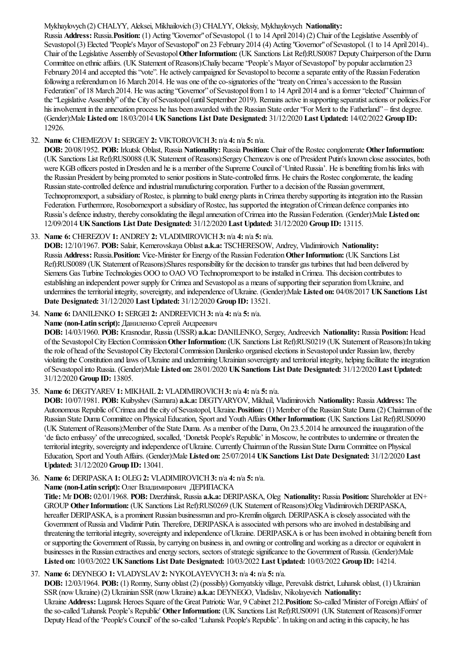# Mykhaylovych (2) CHALYY, Aleksei, Mikhailovich (3) CHALYY, Oleksiy, Mykhaylovych **Nationality:**

Russia **Address:** Russia.**Position:** (1) Acting "Governor"ofSevastopol. (1 to 14 April 2014) (2) Chair ofthe Legislative Assembly of Sevastopol (3) Elected "People's Mayor of Sevastopol" on 23 February 2014 (4) Acting "Governor" of Sevastopol. (1 to 14 April 2014).. Chair ofthe Legislative Assembly ofSevastopol**OtherInformation:** (UK Sanctions List Ref):RUS0087 DeputyChairperson ofthe Duma Committee on ethnic affairs. (UK Statement of Reasons):Chaliy became "People's Mayor of Sevastopol" by popular acclamation 23 February 2014 and accepted this "vote". He actively campaigned for Sevastopol to become a separate entity of the Russian Federation following a referendum on 16 March 2014. He was one of the co-signatories of the "treaty on Crimea's accession to the Russian Federation" of 18 March 2014. He was acting "Governor" of Sevastopol from 1 to 14 April 2014 and is a former "elected" Chairman of the "Legislative Assembly" of the City of Sevastopol (until September 2019). Remains active in supporting separatist actions or policies. For his involvement in the annexation process he has been awarded with the Russian State order 'For Merit to the Fatherland'' – first degree. (Gender):Male **Listed on:** 18/03/2014 **UKSanctions List Date Designated:** 31/12/2020 **Last Updated:** 14/02/2022 **Group ID:** 12926.

### 32. **Name 6:** CHEMEZOV**1:** SERGEY**2:** VIKTOROVICH**3:** n/a **4:** n/a **5:** n/a.

**DOB:** 20/08/1952. **POB:** Irkutsk Oblast, Russia **Nationality:** Russia **Position:** Chair ofthe Rostecconglomerate **OtherInformation:** (UK Sanctions List Ref):RUS0088 (UK Statement ofReasons):SergeyChemezov is one ofPresident Putin's known closeassociates, both were KGB officers posted in Dresden and he is a member of the Supreme Council of 'United Russia'. He is benefiting from his links with the Russian President by being promoted to senior positions in State-controlled firms. He chairs the Rostec conglomerate, the leading Russian state-controlled defence and industrial manufacturing corporation. Further to a decision of the Russian government, Technopromexport, a subsidiary of Rostec, is planning to build energy plants in Crimea thereby supporting its integration into the Russian Federation. Furthermore, Rosobornexport a subsidiary of Rostec, has supported the integration of Crimean defence companies into Russia's defenceindustry, thereby consolidating theillegalannexation ofCrimeainto the Russian Federation. (Gender):Male **Listed on:** 12/09/2014 **UKSanctions List Date Designated:** 31/12/2020 **Last Updated:** 31/12/2020 **Group ID:** 13115.

### 33. **Name 6:** CHEREZOV**1:** ANDREY**2:** VLADIMIROVICH**3:** n/a **4:** n/a **5:** n/a.

**DOB:** 12/10/1967. **POB:** Salair, Kemerovskaya Oblast **a.k.a:** TSCHERESOW, Andrey, Vladimirovich **Nationality:** Russia **Address:** Russia.**Position:** Vice-Minister for Energy ofthe Russian Federation**OtherInformation:** (UK Sanctions List Ref):RUS0089 (UK Statement ofReasons):Shares responsibility for the decision to transfer gas turbines that had been delivered by Siemens Gas Turbine Technologies OOO to OAO VO Technopromexport to be installed in Crimea. This decision contributes to establishing an independent power supply for Crimea and Sevastopol as a means of supporting their separation from Ukraine, and undermines theterritorialintegrity, sovereignty,and independence ofUkraine. (Gender):Male **Listed on:** 04/08/2017 **UKSanctions List Date Designated:** 31/12/2020 **Last Updated:** 31/12/2020 **Group ID:** 13521.

34. **Name 6:** DANILENKO **1:** SERGEI **2:** ANDREEVICH**3:** n/a **4:** n/a **5:** n/a.

**Name (non-Latin script):** Даниленко Сергей Андреевич

**DOB:** 14/03/1960. **POB:** Krasnodar, Russia(USSR) **a.k.a:** DANILENKO, Sergey, Andreevich **Nationality:** Russia **Position:** Head of the Sevastopol City Election Commission Other Information: (UK Sanctions List Ref):RUS0219 (UK Statement of Reasons):In taking the role of head of the Sevastopol City Electoral Commission Danilenko organised elections in Sevastopol under Russian law, thereby violating the Constitution and laws of Ukraine and undermining Ukrainian sovereignty and territorial integrity, helping facilitate the integration ofSevastopolinto Russia. (Gender):Male **Listed on:** 28/01/2020 **UKSanctions List Date Designated:** 31/12/2020 **Last Updated:** 31/12/2020 **Group ID:** 13805.

35. **Name 6:** DEGTYAREV**1:** MIKHAIL **2:** VLADIMIROVICH**3:** n/a **4:** n/a **5:** n/a.

**DOB:** 10/07/1981. **POB:** Kuibyshev (Samara) **a.k.a:** DEGTYARYOV, Mikhail, Vladimirovich **Nationality:** Russia **Address:** The Autonomous Republic ofCrimeaand thecity ofSevastopol, Ukraine.**Position:** (1) Member ofthe Russian State Duma(2) Chairman ofthe Russian State Duma Committee on PhysicalEducation, Sportand YouthAffairs **OtherInformation:** (UK Sanctions List Ref):RUS0090 (UK Statement ofReasons):Member ofthe State Duma. Asa member ofthe Duma, On 23.5.2014 heannounced theinauguration ofthe 'defacto embassy' ofthe unrecognized, socalled, 'Donetsk People's Republic' inMoscow, hecontributes to undermine or threaten the territorial integrity, sovereignty and independence of Ukraine. Currently Chairman of the Russian State Duma Committee on Physical Education, Sportand YouthAffairs. (Gender):Male **Listed on:** 25/07/2014 **UKSanctions List Date Designated:** 31/12/2020 **Last Updated:** 31/12/2020 **Group ID:** 13041.

36. **Name 6:** DERIPASKA**1:** OLEG**2:** VLADIMIROVICH**3:** n/a **4:** n/a **5:** n/a. **Name (non-Latin script):** Олег Владимирович ДЕРИПАСКА **Title:** Mr **DOB:** 02/01/1968. **POB:** Dzerzhinsk, Russia **a.k.a:** DERIPASKA, Oleg **Nationality:** Russia **Position:** Shareholderat EN+ GROUP Other Information: (UK Sanctions List Ref):RUS0269 (UK Statement of Reasons):Oleg Vladimirovich DERIPASKA, hereafter DERIPASKA, is a prominent Russian businessman and pro-Kremlin oligarch. DERIPASKA is closely associated with the Government of Russia and Vladimir Putin. Therefore, DERIPASKA is associated with persons who are involved in destabilising and threatening the territorial integrity, sovereignty and independence of Ukraine. DERIPASKA is or has been involved in obtaining benefit from or supporting the Government ofRussia, by carrying on business in,and owning orcontrolling and working asa director orequivalent in businesses in the Russian extractives and energy sectors, sectors of strategic significance to the Government of Russia. (Gender):Male **Listed on:** 10/03/2022 **UKSanctions List Date Designated:** 10/03/2022 **Last Updated:** 10/03/2022 **Group ID:** 14214.

# 37. **Name 6:** DEYNEGO **1:** VLADYSLAV**2:** NYKOLAYEVYCH**3:** n/a **4:** n/a **5:** n/a. **DOB:** 12/03/1964. **POB:** (1) Romny, Sumy oblast (2) (possibly) Gornyatskiy village, Perevalsk district, Luhansk oblast, (1) Ukrainian SSR(nowUkraine) (2) Ukrainian SSR(nowUkraine) **a.k.a:** DEYNEGO, Vladislav, Nikolayevich **Nationality:** Ukraine **Address:** Lugansk Heroes Square ofthe Great Patriotic War, 9 Cabinet 212.**Position:** So-called 'Minister ofForeignAffairs' of the so-called 'Luhansk People's Republic' Other Information: (UK Sanctions List Ref):RUS0091 (UK Statement of Reasons):Former Deputy Head of the 'People's Council' of the so-called 'Luhansk People's Republic'. In taking on and acting in this capacity, he has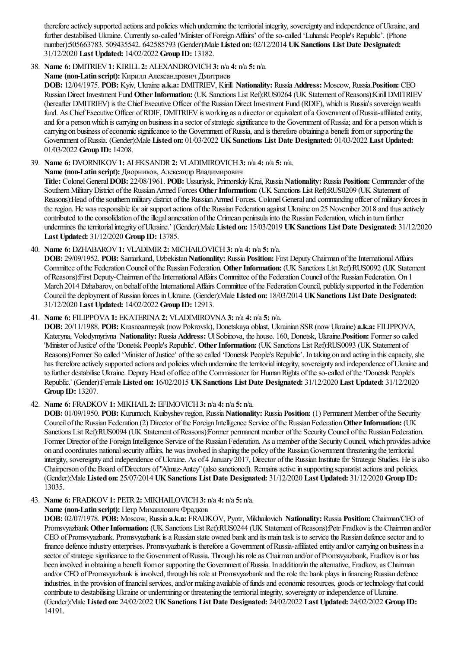therefore actively supported actions and policies which undermine the territorial integrity, sovereignty and independence of Ukraine, and further destabilised Ukraine. Currently so-called 'Minister of Foreign Affairs' of the so-called 'Luhansk People's Republic'. (Phone number):505663783. 509435542. 642585793 (Gender):Male **Listed on:** 02/12/2014 **UKSanctions List Date Designated:** 31/12/2020 **Last Updated:** 14/02/2022 **Group ID:** 13182.

38. **Name 6:** DMITRIEV**1:** KIRILL **2:** ALEXANDROVICH**3:** n/a **4:** n/a **5:** n/a.

**Name (non-Latin script):** Кирилл Александрович Дмитриев

**DOB:** 12/04/1975. **POB:** Kyiv, Ukraine **a.k.a:** DMITRIEV, Kirill **Nationality:** Russia **Address:** Moscow, Russia.**Position:** CEO RussianDirect Investment Fund **OtherInformation:** (UK Sanctions List Ref):RUS0264 (UK Statement ofReasons):KirillDMITRIEV (hereafter DMITRIEV) is the ChiefExecutive Officer ofthe RussianDirect Investment Fund (RDIF), which is Russia's sovereignwealth fund. As Chief Executive Officer of RDIF, DMITRIEV is working as a director or equivalent of a Government of Russia-affiliated entity, and for a person which is carrying on business in a sector of strategic significance to the Government of Russia; and for a person which is carrying on business of economic significance to the Government of Russia, and is therefore obtaining a benefit from or supporting the Government ofRussia. (Gender):Male **Listed on:** 01/03/2022 **UKSanctions List Date Designated:** 01/03/2022 **Last Updated:** 01/03/2022 **Group ID:** 14208.

39. **Name 6:** DVORNIKOV**1:** ALEKSANDR**2:** VLADIMIROVICH**3:** n/a **4:** n/a **5:** n/a.

**Name (non-Latin script):** Дворников, Александр Владимирович

**Title:** ColonelGeneral**DOB:** 22/08/1961. **POB:** Ussuriysk, PrimorskiyKrai, Russia **Nationality:** Russia **Position:** Commander ofthe Southern Military District of the Russian Armed Forces Other Information: (UK Sanctions List Ref):RUS0209 (UK Statement of Reasons): Head of the southern military district of the Russian Armed Forces, Colonel General and commanding officer of military forces in the region. He was responsible for air support actions of the Russian Federation against Ukraine on 25 November 2018 and thus actively contributed to the consolidation of the illegal annexation of the Crimean peninsula into the Russian Federation, which in turn further undermines theterritorialintegrity ofUkraine.' (Gender):Male **Listed on:** 15/03/2019 **UKSanctions List Date Designated:** 31/12/2020 **Last Updated:** 31/12/2020 **Group ID:** 13785.

40. **Name 6:** DZHABAROV**1:** VLADIMIR**2:** MICHAILOVICH**3:** n/a **4:** n/a **5:** n/a.

**DOB:** 29/09/1952. **POB:** Samarkand, Uzbekistan Nationality: Russia Position: First Deputy Chairman of the International Affairs Committee ofthe FederationCouncil ofthe Russian Federation. **OtherInformation:** (UK Sanctions List Ref):RUS0092 (UK Statement of Reasons):First Deputy-Chairman of the International Affairs Committee of the Federation Council of the Russian Federation. On 1 March 2014 Dzhabarov, on behalf of the International Affairs Committee of the Federation Council, publicly supported in the Federation Councilthe deployment ofRussian forces inUkraine. (Gender):Male **Listed on:** 18/03/2014 **UKSanctions List Date Designated:** 31/12/2020 **Last Updated:** 14/02/2022 **Group ID:** 12913.

41. **Name 6:** FILIPPOVA**1:** EKATERINA**2:** VLADIMIROVNA**3:** n/a **4:** n/a **5:** n/a.

**DOB:** 20/11/1988. **POB:** Krasnoarmeysk (nowPokrovsk), Donetskaya oblast, Ukrainian SSR(nowUkraine) **a.k.a:** FILIPPOVA, Kateryna, Volodymyrivna **Nationality:** Russia **Address:** UlSobinova, the house. 160, Donetsk, Ukraine.**Position:** Former so called 'Minister of Justice' of the 'Donetsk People's Republic'. Other Information: (UK Sanctions List Ref):RUS0093 (UK Statement of Reasons):Former So called 'Minister ofJustice' oftheso called 'Donetsk People's Republic'. In taking on and acting in thiscapacity, she has therefore actively supported actions and policies which undermine the territorial integrity, sovereignty and independence of Ukraine and to further destabilise Ukraine. Deputy Head of office of the Commissioner for Human Rights of the so-called of the 'Donetsk People's Republic.' (Gender):Female **Listed on:** 16/02/2015 **UKSanctions List Date Designated:** 31/12/2020 **Last Updated:** 31/12/2020 **Group ID:** 13207.

42. **Name 6:** FRADKOV**1:** MIKHAIL **2:** EFIMOVICH**3:** n/a **4:** n/a **5:** n/a.

**DOB:** 01/09/1950. **POB:** Kurumoch, Kuibyshev region, Russia **Nationality:** Russia **Position:** (1) Permanent Member ofthe Security Council of the Russian Federation (2) Director of the Foreign Intelligence Service of the Russian Federation Other Information: (UK Sanctions List Ref):RUS0094 (UK Statement of Reasons):Former permanent member of the Security Council of the Russian Federation. Former Director of the Foreign Intelligence Service of the Russian Federation. As a member of the Security Council, which provides advice on and coordinates nationalsecurity affairs, he was involved in shaping the policy ofthe RussianGovernment threatening theterritorial intergity, sovereignty and independence of Ukraine. As of 4 January 2017, Director of the Russian Institute for Strategic Studies. He is also Chairperson of the Board of Directors of "Almaz-Antey" (also sanctioned). Remains active in supporting separatist actions and policies. (Gender):Male **Listed on:** 25/07/2014 **UKSanctions List Date Designated:** 31/12/2020 **Last Updated:** 31/12/2020 **Group ID:** 13035.

43. **Name 6:** FRADKOV**1:** PETR**2:** MIKHAILOVICH**3:** n/a **4:** n/a **5:** n/a.

**Name (non-Latin script):** Петр Михаилович Фрадков

**DOB:** 02/07/1978. **POB:** Moscow, Russia **a.k.a:** FRADKOV, Pyotr, Mikhailovich **Nationality:** Russia **Position:** Chairman/CEO of Promsvyazbank Other Information: (UK Sanctions List Ref):RUS0244 (UK Statement of Reasons):Petr Fradkov is the Chairman and/or CEO ofPromsvyazbank. Promsvyazbank isa Russian state owned bank and its main task is to servicethe Russian defencesectorand to finance defence industry enterprises. Promsvyazbank is therefore a Government of Russia-affiliated entity and/or carrying on business in a sector of strategic significance to the Government of Russia. Through his role as Chairman and/or of Promsvyazbank, Fradkov is or has been involved in obtaining a benefit from or supporting the Government of Russia. In addition/in the alternative, Fradkov, as Chairman and/or CEO of Promsvyazbank is involved, through his role at Promsvyazbank and the role the bank plays in financing Russian defence industries, in the provision of financial services, and/or making available of funds and economic resources, goods or technology that could contribute to destabilising Ukraine or undermining or threatening the territorial integrity, sovereignty or independence of Ukraine. (Gender):Male **Listed on:** 24/02/2022 **UKSanctions List Date Designated:** 24/02/2022 **Last Updated:** 24/02/2022 **Group ID:** 14191.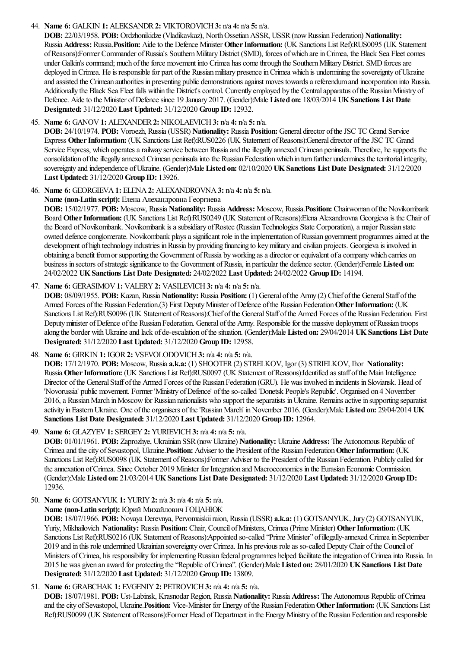### 44. **Name 6:** GALKIN **1:** ALEKSANDR**2:** VIKTOROVICH**3:** n/a **4:** n/a **5:** n/a.

**DOB:** 22/03/1958. **POB:** Ordzhonikidze(Vladikavkaz), NorthOssetianASSR, USSR(nowRussian Federation) **Nationality:** Russia **Address:** Russia.**Position:** Aideto the Defence Minister **OtherInformation:** (UK Sanctions List Ref):RUS0095 (UK Statement of Reasons):Former Commander of Russia's Southern Military District (SMD), forces of which are in Crimea, the Black Sea Fleet comes under Galkin's command; much of the force movement into Crimea has come through the Southern Military District. SMD forces are deployed in Crimea. He is responsible for part of the Russian military presence in Crimea which is undermining the sovereignty of Ukraine and assisted the Crimean authorities in preventing public demonstrations against moves towards a referendum and incorporation into Russia. Additionally the Black Sea Fleet falls within the District's control. Currently employed by the Central apparatus of the Russian Ministry of Defence. Aide to the Minister of Defence since 19 January 2017. (Gender):Male Listed on: 18/03/2014 UK Sanctions List Date **Designated:** 31/12/2020 **Last Updated:** 31/12/2020 **Group ID:** 12932.

### 45. **Name 6:** GANOV**1:** ALEXANDER**2:** NIKOLAEVICH**3:** n/a **4:** n/a **5:** n/a.

**DOB:** 24/10/1974. **POB:** Voroezh, Russia(USSR) **Nationality:** Russia **Position:** General director oftheJSC TC Grand Service Express Other Information: (UK Sanctions List Ref):RUS0226 (UK Statement of Reasons):General director of the JSC TC Grand Service Express, which operates a railway service between Russia and the illegally annexed Crimean peninsula. Therefore, he supports the consolidation oftheillegally annexed Crimean peninsulainto the Russian Federationwhich in turn further undermines theterritorialintegrity, sovereignty and independence ofUkraine. (Gender):Male **Listed on:** 02/10/2020 **UKSanctions List Date Designated:** 31/12/2020 **Last Updated:** 31/12/2020 **Group ID:** 13926.

46. **Name 6:** GEORGIEVA**1:** ELENA**2:** ALEXANDROVNA**3:** n/a **4:** n/a **5:** n/a.

### **Name (non-Latin script):** Елена Алехандровна Георгиева

**DOB:** 15/02/1977. **POB:** Moscow, Russia **Nationality:** Russia **Address:** Moscow, Russia.**Position:** Chairwoman ofthe Novikombank Board Other Information: (UK Sanctions List Ref):RUS0249 (UK Statement of Reasons):Elena Alexandrovna Georgieva is the Chair of the Board of Novikombank. Novikombank is a subsidiary of Rostec (Russian Technologies State Corporation), a major Russian state owned defence conglomerate. Novikombank plays a significant role in the implementation of Russian government programmes aimed at the development of high technology industries in Russia by providing financing to key military and civilian projects. Georgieva is involved in obtaining a benefit from or supporting the Government of Russia by working as a director or equivalent of a company which carries on business in sectors of strategic significance to the Government of Russia, in particular the defence sector. (Gender):Female Listed on: 24/02/2022 **UKSanctions List Date Designated:** 24/02/2022 **Last Updated:** 24/02/2022 **Group ID:** 14194.

# 47. **Name 6:** GERASIMOV**1:** VALERY**2:** VASILEVICH**3:** n/a **4:** n/a **5:** n/a.

**DOB:** 08/09/1955. **POB:** Kazan, Russia **Nationality:** Russia **Position:** (1) General of the Army (2) Chief of the General Staff of the Armed Forces of the Russian Federation.(3) First Deputy Minister of Defence of the Russian Federation Other Information: (UK Sanctions List Ref):RUS0096 (UK Statement of Reasons):Chief of the General Staff of the Armed Forces of the Russian Federation. First Deputy minister of Defence of the Russian Federation. General of the Army. Responsible for the massive deployment of Russian troops along the border withUkraineand lack of de-escalation ofthesituation. (Gender):Male **Listed on:** 29/04/2014 **UKSanctions List Date Designated:** 31/12/2020 **Last Updated:** 31/12/2020 **Group ID:** 12958.

48. **Name 6:** GIRKIN **1:** IGOR**2:** VSEVOLODOVICH**3:** n/a **4:** n/a **5:** n/a.

**DOB:** 17/12/1970. **POB:** Moscow, Russia **a.k.a:** (1) SHOOTER(2) STRELKOV, Igor (3) STRIELKOV, Ihor **Nationality:** Russia **OtherInformation:** (UK Sanctions List Ref):RUS0097 (UK Statement ofReasons):Identified as staff ofthe Main Intelligence Director of the General Staff of the Armed Forces of the Russian Federation (GRU). He was involved in incidents in Sloviansk. Head of 'Novorussia' public movement. Former 'Ministry of Defence' of the so-called 'Donetsk People's Republic'. Organised on 4 November 2016,a RussianMarch inMoscowfor Russian nationalists who support theseparatists inUkraine. Remainsactivein supporting separatist activity inEasternUkraine. One ofthe organisers ofthe'RussianMarch' inNovember 2016. (Gender):Male **Listed on:** 29/04/2014 **UK Sanctions List Date Designated:** 31/12/2020 **Last Updated:** 31/12/2020 **Group ID:** 12964.

49. **Name 6:** GLAZYEV**1:** SERGEY**2:** YURIEVICH**3:** n/a **4:** n/a **5:** n/a.

**DOB:** 01/01/1961. **POB:** Zaprozhye, Ukrainian SSR(nowUkraine) **Nationality:** Ukraine **Address:** The Autonomous Republic of Crimea and the city of Sevastopol, Ukraine. **Position:** Adviser to the President of the Russian Federation Other Information: (UK Sanctions List Ref):RUS0098 (UK Statement of Reasons):Former Adviser to the President of the Russian Federation. Publicly called for the annexation of Crimea. Since October 2019 Minister for Integration and Macroeconomics in the Eurasian Economic Commission. (Gender):Male **Listed on:** 21/03/2014 **UKSanctions List Date Designated:** 31/12/2020 **Last Updated:** 31/12/2020 **Group ID:** 12936.

50. **Name 6:** GOTSANYUK **1:** YURIY**2:** n/a **3:** n/a **4:** n/a **5:** n/a.

**Name (non-Latin script):** Юрий Михайлович ГОЦАНЮК

**DOB:** 18/07/1966. **POB:** Novaya Derevnya, Pervomaiskiiraion, Russia(USSR) **a.k.a:** (1) GOTSANYUK, Jury (2) GOTSANYUK, Yuriy, Mikhailovich Nationality: Russia Position: Chair, Council of Ministers, Crimea (Prime Minister) Other Information: (UK Sanctions List Ref):RUS0216 (UK Statement of Reasons):Appointed so-called "Prime Minister" of illegally-annexed Crimea in September 2019 and in this role undermined Ukrainian sovereignty over Crimea. In his previous roleas so-called DeputyChair ofthe Council of Ministers of Crimea, his responsibility for implementing Russian federal programmes helped facilitate the integration of Crimea into Russia. In 2015 he was given an award for protecting the"Republic ofCrimea". (Gender):Male **Listed on:** 28/01/2020 **UKSanctions List Date Designated:** 31/12/2020 **Last Updated:** 31/12/2020 **Group ID:** 13809.

# 51. **Name 6:** GRABCHAK **1:** EVGENIY**2:** PETROVICH**3:** n/a **4:** n/a **5:** n/a.

**DOB:** 18/07/1981. **POB:** Ust-Labinsk, Krasnodar Region, Russia **Nationality:** Russia **Address:** The Autonomous Republic ofCrimea and the city of Sevastopol, Ukraine. **Position:** Vice-Minister for Energy of the Russian Federation Other Information: (UK Sanctions List Ref):RUS0099 (UK Statement of Reasons):Former Head of Department in the Energy Ministry of the Russian Federation and responsible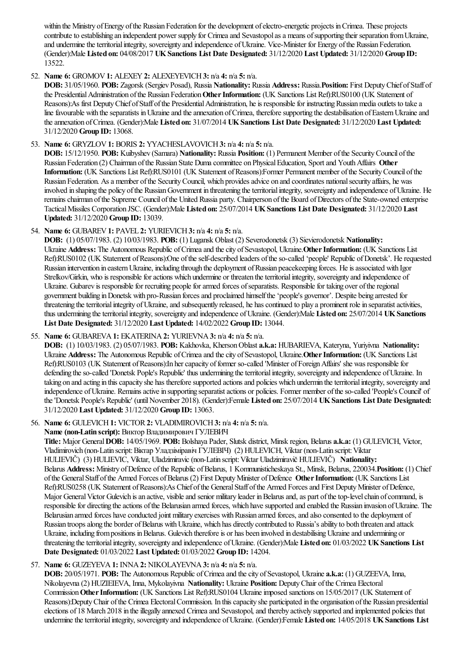within the Ministry of Energy of the Russian Federation for the development of electro-energetic projects in Crimea. These projects contribute to establishing an independent power supply for Crimea and Sevastopol as a means of supporting their separation from Ukraine, and undermine the territorial integrity, sovereignty and independence of Ukraine. Vice-Minister for Energy of the Russian Federation. (Gender):Male **Listed on:** 04/08/2017 **UKSanctions List Date Designated:** 31/12/2020 **Last Updated:** 31/12/2020 **Group ID:** 13522.

# 52. **Name 6:** GROMOV**1:** ALEXEY**2:** ALEXEYEVICH**3:** n/a **4:** n/a **5:** n/a.

**DOB:** 31/05/1960. **POB:** Zagorsk (Sergiev Posad), Russia **Nationality:** Russia **Address:** Russia.**Position:** First DeputyChief ofStaff of the Presidential Administration of the Russian Federation Other Information: (UK Sanctions List Ref):RUS0100 (UK Statement of Reasons):As first Deputy Chief of Staff of the Presidential Administration, he is responsible for instructing Russian media outlets to take a line favourable with the separatists in Ukraine and the annexation of Crimea, therefore supporting the destabilisation of Eastern Ukraine and theannexation ofCrimea. (Gender):Male **Listed on:** 31/07/2014 **UKSanctions List Date Designated:** 31/12/2020 **Last Updated:** 31/12/2020 **Group ID:** 13068.

# 53. **Name 6:** GRYZLOV**1:** BORIS **2:** YYACHESLAVOVICH**3:** n/a **4:** n/a **5:** n/a.

**DOB:** 15/12/1950. **POB:** Kuibyshev (Samara) **Nationality:** Russia **Position:** (1) Permanent Member of the Security Council of the Russian Federation (2) Chairman ofthe Russian State Dumacommittee on PhysicalEducation, Sportand YouthAffairs **Other** Information: (UK Sanctions List Ref):RUS0101 (UK Statement of Reasons):Former Permanent member of the Security Council of the Russian Federation. As a member of the Security Council, which provides advice on and coordinates national security affairs, he was involved in shaping the policy of the Russian Government in threatening the territorial integrity, sovereignty and independence of Ukraine. He remains chairman of the Supreme Council of the United Russia party. Chairperson of the Board of Directors of the State-owned enterprise TacticalMissiles Corporation JSC. (Gender):Male **Listed on:** 25/07/2014 **UKSanctions List Date Designated:** 31/12/2020 **Last Updated:** 31/12/2020 **Group ID:** 13039.

# 54. **Name 6:** GUBAREV**1:** PAVEL **2:** YURIEVICH**3:** n/a **4:** n/a **5:** n/a.

**DOB:** (1) 05/07/1983. (2) 10/03/1983. **POB:** (1) Lugansk Oblast (2) Severodonetsk (3) Sievierodonetsk **Nationality:** Ukraine **Address:** The Autonomous Republic of Crimea and the city of Sevastopol, Ukraine. Other Information: (UK Sanctions List Ref):RUS0102 (UK Statement of Reasons):One of the self-described leaders of the so-called 'people' Republic of Donetsk'. He requested Russian intervention in eastern Ukraine, including through the deployment of Russian peacekeeping forces. He is associated with Igor Strelkov/Girkin, who is responsible for actions which undermine or threaten the territorial integrity, sovereignty and independence of Ukraine. Gubarev is responsible for recruiting people for armed forces of separatists. Responsible for taking over of the regional government building inDonetsk with pro-Russian forcesand proclaimed himselfthe'people's governor'. Despite being arrested for threatening the territorial integrity of Ukraine, and subsequently released, he has continued to play a prominent role in separatist activities, thus undermining theterritorialintegrity, sovereignty and independence ofUkraine. (Gender):Male **Listed on:** 25/07/2014 **UKSanctions List Date Designated:** 31/12/2020 **Last Updated:** 14/02/2022 **Group ID:** 13044.

# 55. **Name 6:** GUBAREVA**1:** EKATERINA**2:** YURIEVNA**3:** n/a **4:** n/a **5:** n/a.

**DOB:** (1) 10/03/1983. (2) 05/07/1983. **POB:** Kakhovka, KhersonOblast **a.k.a:** HUBARIEVA, Kateryna, Yuriyivna **Nationality:** Ukraine **Address:** The Autonomous Republic of Crimea and the city of Sevastopol, Ukraine. Other Information: (UK Sanctions List Ref):RUS0103 (UK Statement of Reasons):In her capacity of former so-called 'Minister of Foreign Affairs' she was responsible for defending the so-called 'Donetsk Pople's Republic' thus undermining the territorial integrity, sovereignty and independence of Ukraine. In taking on and acting in this capacity she has therefore supported actions and policies which undermin the territorial integrity, sovereignty and independence of Ukraine. Remains active in supporting separatist actions or policies. Former member of the so-called 'People's Council' of the'Donetsk People's Republic' (untilNovember 2018). (Gender):Female **Listed on:** 25/07/2014 **UKSanctions List Date Designated:** 31/12/2020 **Last Updated:** 31/12/2020 **Group ID:** 13063.

# 56. **Name 6:** GULEVICH**1:** VICTOR**2:** VLADIMIROVICH**3:** n/a **4:** n/a **5:** n/a.

# **Name (non-Latin script):** Виктор Владимирович ГУЛЕВИЧ

**Title:** Major General**DOB:** 14/05/1969. **POB:** Bolshaya Pader, Slutsk district, Minsk region, Belarus **a.k.a:** (1) GULEVICH, Victor, Vladimirovich (non-Latin script:Віктар Уладзіміравіч ГУЛЕВІЧ) (2) HULEVICH, Viktar (non-Latin script:Viktar HULIEVIČ) (3) HULIEVIC, Viktar, Uladzimiravic(non-Latin script:Viktar Uladzimiravič HULIEVIČ) **Nationality:** Belarus **Address:** Ministry ofDefence ofthe Republic ofBelarus, 1 Kommunisticheskaya St., Minsk, Belarus, 220034.**Position:** (1) Chief ofthe GeneralStaff ofthe Armed Forces ofBelarus (2) First DeputyMinister ofDefence **OtherInformation:** (UK Sanctions List Ref):RUS0258 (UK Statement of Reasons):As Chief of the General Staff of the Armed Forces and First Deputy Minister of Defence, Major General Victor Gulevich is an active, visible and senior military leader in Belarus and, as part of the top-level chain of command, is responsible for directing the actions of the Belarusian armed forces, which have supported and enabled the Russian invasion of Ukraine. The Belarusian armed forces have conducted joint military exercises with Russian armed forces, and also consented to the deployment of Russian troops along the border of Belarus with Ukraine, which has directly contributed to Russia's ability to both threaten and attack Ukraine, including from positions in Belarus. Gulevich therefore is or has been involved in destabilising Ukraine and undermining or threatening theterritorialintegrity, sovereignty and independence ofUkraine. (Gender):Male **Listed on:** 01/03/2022 **UKSanctions List Date Designated:** 01/03/2022 **Last Updated:** 01/03/2022 **Group ID:** 14204.

# 57. **Name 6:** GUZEYEVA**1:** INNA**2:** NIKOLAYEVNA**3:** n/a **4:** n/a **5:** n/a.

**DOB:** 20/05/1971. **POB:** The Autonomous Republic ofCrimeaand thecity ofSevastopol, Ukraine **a.k.a:** (1) GUZEEVA, Inna, Nikolayevna(2) HUZIEIEVA, Inna, Mykolayivna **Nationality:** Ukraine **Position:** DeputyChair ofthe Crimea Electoral Commission Other Information: (UK Sanctions List Ref):RUS0104 Ukraine imposed sanctions on 15/05/2017 (UK Statement of Reasons):DeputyChair ofthe Crimea ElectoralCommission. In thiscapacity she participated in the organisation ofthe Russian presidential elections of 18 March 2018 in the illegally annexed Crimea and Sevastopol, and thereby actively supported and implemented policies that underminetheterritorialintegrity, sovereignty and independence ofUkraine. (Gender):Female **Listed on:** 14/05/2018 **UKSanctions List**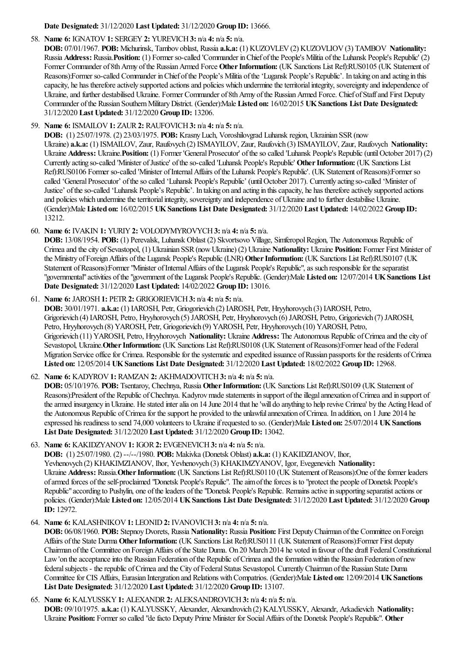**Date Designated:** 31/12/2020 **Last Updated:** 31/12/2020 **Group ID:** 13666.

# 58. **Name 6:** IGNATOV**1:** SERGEY**2:** YUREVICH**3:** n/a **4:** n/a **5:** n/a.

**DOB:** 07/01/1967. **POB:** Michurinsk, Tambov oblast, Russia **a.k.a:** (1) KUZOVLEV(2) KUZOVLIOV(3) TAMBOV **Nationality:** Russia **Address:** Russia.**Position:** (1) Former so-called 'Commander inChief ofthe People's Militia ofthe Luhansk People's Republic' (2) Former Commander of 8th Army of the Russian Armed Force Other Information: (UK Sanctions List Ref):RUS0105 (UK Statement of Reasons):Former so-called Commander in Chief of the People's Militia of the 'Lugansk People's Republic'. In taking on and acting in this capacity, he has therefore actively supported actions and policies which undermine the territorial integrity, sovereignty and independence of Ukraine, and further destabilised Ukraine. Former Commander of 8th Army of the Russian Armed Force. Chief of Staff and First Deputy Commander ofthe Russian SouthernMilitaryDistrict. (Gender):Male **Listed on:** 16/02/2015 **UKSanctions List Date Designated:** 31/12/2020 **Last Updated:** 31/12/2020 **Group ID:** 13206.

# 59. **Name 6:** ISMAILOV**1:** ZAUR**2:** RAUFOVICH**3:** n/a **4:** n/a **5:** n/a.

**DOB:** (1) 25/07/1978. (2) 23/03/1975. **POB:** KrasnyLuch, Voroshilovgrad Luhansk region, Ukrainian SSR(now Ukraine) **a.k.a:** (1) ISMAILOV, Zaur, Raufovych (2) ISMAYILOV, Zaur, Raufovich (3) ISMAYILOV, Zaur, Raufovych **Nationality:** Ukraine **Address:** Ukraine. **Position:** (1) Former 'General Prosecutor' of the so called 'Luhansk People's Republic (until October 2017) (2) Currently acting so-called 'Minister of Justice' of the so-called 'Luhansk People's Republic' Other Information: (UK Sanctions List Ref):RUS0106 Former so-called 'Minister of Internal Affairs of the Luhansk People's Republic'. (UK Statement of Reasons):Former so called 'General Prosecutor' of the so called 'Luhansk People's Republic' (until October 2017). Currently acting so-called 'Minister of Justice' oftheso-called 'Luhansk People's Republic'. In taking on and acting in thiscapacity, he has thereforeactively supported actions and policies which undermine the territorial integrity, sovereignty and independence of Ukraine and to further destabilise Ukraine. (Gender):Male **Listed on:** 16/02/2015 **UKSanctions List Date Designated:** 31/12/2020 **Last Updated:** 14/02/2022 **Group ID:** 13212.

# 60. **Name 6:** IVAKIN **1:** YURIY**2:** VOLODYMYROVYCH**3:** n/a **4:** n/a **5:** n/a.

**DOB:** 13/08/1954. **POB:** (1) Perevalsk, Luhansk Oblast (2) Skvortsovo Village, SimferopolRegion, The Autonomous Republic of Crimeaand thecity ofSevastopol, (1) Ukrainian SSR(nowUkraine) (2) Ukraine **Nationality:** Ukraine **Position:** Former First Minister of the Ministry ofForeignAffairs ofthe Lugansk People's Republic(LNR) **OtherInformation:** (UK Sanctions List Ref):RUS0107 (UK Statement of Reasons):Former "Minister of Internal Affairs of the Lugansk People's Republic", as such responsible for the separatist "governmental"activities ofthe"government ofthe Lugansk People's Republic. (Gender):Male **Listed on:** 12/07/2014 **UKSanctions List Date Designated:** 31/12/2020 **Last Updated:** 14/02/2022 **Group ID:** 13016.

61. **Name 6:** JAROSH**1:** PETR**2:** GRIGORIEVICH**3:** n/a **4:** n/a **5:** n/a.

**DOB:** 30/01/1971. **a.k.a:** (1) IAROSH, Petr, Griogorievich (2) IAROSH, Petr, Hryyhorovych (3) IAROSH, Petro, Grigorievich (4) IAROSH, Petro, Hryyhorovych (5) JAROSH, Petr, Hryyhorovych (6) JAROSH, Petro, Grigorievich (7) JAROSH, Petro, Hryyhorovych (8) YAROSH, Petr, Griogorievich (9) YAROSH, Petr, Hryyhorovych (10) YAROSH, Petro, Grigorievich (11) YAROSH, Petro, Hryyhorovych **Nationality:** Ukraine **Address:** The Autonomous Republic ofCrimeaand thecity of Sevastopol, Ukraine.**OtherInformation:** (UK Sanctions List Ref):RUS0108 (UK Statement ofReasons):Former head ofthe Federal Migration Service office for Crimea. Responsible for the systematic and expedited issuance of Russian passports for the residents of Crimea **Listed on:** 12/05/2014 **UKSanctions List Date Designated:** 31/12/2020 **Last Updated:** 18/02/2022 **Group ID:** 12968.

# 62. **Name 6:** KADYROV**1:** RAMZAN **2:** AKHMADOVITCH**3:** n/a **4:** n/a **5:** n/a.

**DOB:** 05/10/1976. **POB:** Tsentaroy, Chechnya, Russia Other Information: (UK Sanctions List Ref):RUS0109 (UK Statement of Reasons):President of the Republic of Chechnya. Kadyrov made statements in support of the illegal annexation of Crimea and in support of the armed insurgency in Ukraine. He stated inter alia on 14 June 2014 that he 'will do anything to help revive Crimea' by the Acting Head of the Autonomous Republic of Crimea for the support he provided to the unlawful annexation of Crimea. In addition, on 1 June 2014 he expressed his readiness to send 74,000 volunteers to Ukraineifrequested to so. (Gender):Male **Listed on:** 25/07/2014 **UKSanctions List Date Designated:** 31/12/2020 **Last Updated:** 31/12/2020 **Group ID:** 13042.

# 63. **Name 6:** KAKIDZYANOV**1:** IGOR**2:** EVGENEVICH**3:** n/a **4:** n/a **5:** n/a.

**DOB:** (1) 25/07/1980. (2) --/--/1980. **POB:** Makivka(Donetsk Oblast) **a.k.a:** (1) KAKIDZIANOV, Ihor, Yevhenovych (2) KHAKIMZIANOV, Ihor, Yevhenovych (3) KHAKIMZYANOV, Igor, Evegenevich **Nationality:** Ukraine **Address:** Russia.**OtherInformation:** (UK Sanctions List Ref):RUS0110 (UK Statement ofReasons):One oftheformer leaders ofarmed forces oftheself-proclaimed "Donetsk People's Repulic". Theaimoftheforces is to "protect the people ofDonetsk People's Republic" according to Pushylin, one of the leaders of the "Donetsk People's Republic. Remains active in supporting separatist actions or policies. (Gender):Male **Listed on:** 12/05/2014 **UKSanctions List Date Designated:** 31/12/2020 **Last Updated:** 31/12/2020 **Group ID:** 12972.

# 64. **Name 6:** KALASHNIKOV**1:** LEONID**2:** IVANOVICH**3:** n/a **4:** n/a **5:** n/a.

**DOB:** 06/08/1960. **POB:** StepnoyDvorets, Russia **Nationality:** Russia **Position:** First DeputyChairman ofthe Committee on Foreign Affairs ofthe State Durma **OtherInformation:** (UK Sanctions List Ref):RUS0111 (UK Statement ofReasons):Former First deputy Chairman ofthe Committee on ForeignAffairs ofthe State Duma. On 20 March 2014 he voted in favour ofthe draft FederalConstitutional Law'on the acceptance into the Russian Federation of the Republic of Crimea and the formation within the Russian Federation of new federal subjects - the republic of Crimea and the City of Federal Status Sevastopol. Currently Chairman of the Russian State Duma Committeefor CIS Affairs, Eurasian Intergration and Relations withCompatrios. (Gender):Male **Listed on:** 12/09/2014 **UKSanctions List Date Designated:** 31/12/2020 **Last Updated:** 31/12/2020 **Group ID:** 13107.

65. **Name 6:** KALYUSSKY**1:** ALEXANDR**2:** ALEKSANDROVICH**3:** n/a **4:** n/a **5:** n/a. **DOB:** 09/10/1975. **a.k.a:** (1) KALYUSSKY, Alexander, Alexandrovich (2) KALYUSSKY, Alexandr, Arkadievich **Nationality:** Ukraine **Position:** Former so called "defacto Deputy Prime Minister for SocialAffairs ofthe Donetsk People's Republic". **Other**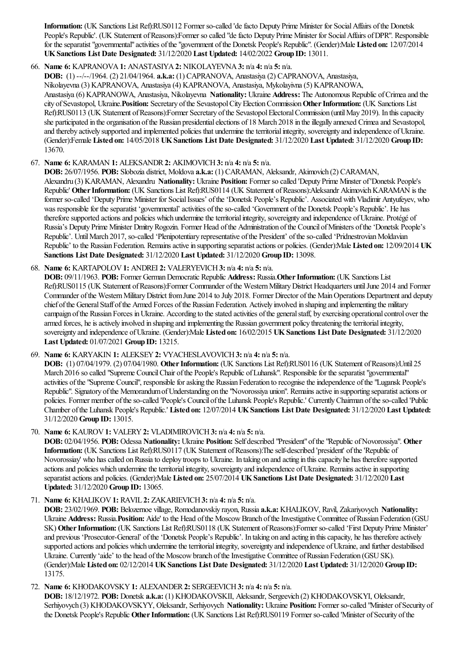**Information:** (UK Sanctions List Ref):RUS0112 Former so-called 'defacto Deputy Prime Minister for SocialAffairs ofthe Donetsk People's Republic'. (UK Statement of Reasons):Former so called "de facto Deputy Prime Minister for Social Affairs of DPR". Responsible for theseparatist"governmental"activities ofthe"government ofthe Donetsk People's Republic". (Gender):Male **Listed on:** 12/07/2014 **UKSanctions List Date Designated:** 31/12/2020 **Last Updated:** 14/02/2022 **Group ID:** 13011.

66. **Name 6:** KAPRANOVA**1:** ANASTASIYA**2:** NIKOLAYEVNA**3:** n/a **4:** n/a **5:** n/a.

**DOB:** (1) --/--/1964. (2) 21/04/1964. **a.k.a:** (1) CAPRANOVA, Anastasiya(2) CAPRANOVA, Anastasiya,

Nikolayevna(3) KAPRANOVA, Anastasiya(4) KAPRANOVA, Anastasiya, Mykolayivna(5) KAPRANOWA,

Anastasiya(6) KAPRANOWA, Anastasiya, Nikolayevna **Nationality:** Ukraine **Address:** The Autonomous Republic ofCrimeaand the city of Sevastopol, Ukraine. **Position:** Secretary of the Sevastopol City Election Commission Other Information: (UK Sanctions List Ref):RUS0113 (UK Statement of Reasons):Former Secretary of the Sevastopol Electoral Commission (until May 2019). In this capacity she participated in the organisation of the Russian presidential elections of 18 March 2018 in the illegally annexed Crimea and Sevastopol, and thereby actively supported and implemented policies that undermine the territorial integrity, sovereignty and independence of Ukraine. (Gender):Female **Listed on:** 14/05/2018 **UKSanctions List Date Designated:** 31/12/2020 **Last Updated:** 31/12/2020 **Group ID:** 13670.

# 67. **Name 6:** KARAMAN **1:** ALEKSANDR**2:** AKIMOVICH**3:** n/a **4:** n/a **5:** n/a.

**DOB:** 26/07/1956. **POB:** Slobozia district, Moldova **a.k.a:** (1) CARAMAN, Aleksandr, Akimovich (2) CARAMAN, Alexandru (3) KARAMAN, Alexandru **Nationality:** Ukraine **Position:** Former so called 'Deputy Prime Minster of'Donetsk People's Republic' Other Information: (UK Sanctions List Ref):RUS0114 (UK Statement of Reasons):Aleksandr Akimovich KARAMAN is the former so-called 'Deputy Prime Minister for Social Issues' of the 'Donetsk People's Republic'. Associated with Vladimir Antyufeyev, who was responsible for the separatist 'governmental' activities of the so-called 'Government of the Donetsk People's Republic'. He has therefore supported actions and policies which undermine the territorial integrity, sovereignty and independence of Ukraine. Protégé of Russia's Deputy Prime Minister Dmitry Rogozin. Former Head of the Administration of the Council of Ministers of the 'Donetsk People's Republic'. Until March 2017, so-called 'Plenipotentiary representative of the President' of the so-called 'Pridnestrovian Moldavian Republic' to the Russian Federation. Remainsactivein supporting separatistactions or policies. (Gender):Male **Listed on:** 12/09/2014 **UK Sanctions List Date Designated:** 31/12/2020 **Last Updated:** 31/12/2020 **Group ID:** 13098.

### 68. **Name 6:** KARTAPOLOV**1:** ANDREI **2:** VALERYEVICH**3:** n/a **4:** n/a **5:** n/a.

**DOB:** 09/11/1963. **POB:** Former GermanDemocratic Republic **Address:** Russia.**OtherInformation:** (UK Sanctions List Ref):RUS0115 (UK Statement of Reasons):Former Commander of the Western Military District Headquarters until June 2014 and Former Commander of the Western Military District from June 2014 to July 2018. Former Director of the Main Operations Department and deputy chief of the General Staff of the Armed Forces of the Russian Federation. Actively involved in shaping and implementing the military campaign of the Russian Forces in Ukraine. According to the stated activities of the general staff, by exercising operational control over the armed forces, he is actively involved in shaping and implementing the Russian government policy threatening the territorial integrity, sovereignty and independence ofUkraine. (Gender):Male **Listed on:** 16/02/2015 **UKSanctions List Date Designated:** 31/12/2020 **Last Updated:** 01/07/2021 **Group ID:** 13215.

69. **Name 6:** KARYAKIN **1:** ALEKSEY**2:** VYACHESLAVOVICH**3:** n/a **4:** n/a **5:** n/a.

**DOB:** (1) 07/04/1979. (2) 07/04/1980. **OtherInformation:** (UK Sanctions List Ref):RUS0116 (UK Statement ofReasons):Until 25 March 2016 so called "Supreme Council Chair of the People's Republic of Luhansk". Responsible for the separatist "governmental" activities of the "Supreme Council", responsible for asking the Russian Federation to recognise the independence of the "Lugansk People's Republic". Signatory of the Memorandum of Understanding on the "Novorossiya union". Remains active in supporting separatist actions or policies. Former member oftheso-called 'People's Council ofthe Luhansk People's Republic.' CurrentlyChairman oftheso-called 'Public Chamber ofthe Luhansk People's Republic.' **Listed on:** 12/07/2014 **UKSanctions List Date Designated:** 31/12/2020 **Last Updated:** 31/12/2020 **Group ID:** 13015.

70. **Name 6:** KAUROV**1:** VALERY**2:** VLADIMIROVICH**3:** n/a **4:** n/a **5:** n/a.

**DOB:** 02/04/1956. **POB:** Odessa **Nationality:** Ukraine **Position:** Self described "President"ofthe"Republic ofNovorossiya". **Other Information:** (UK Sanctions List Ref):RUS0117 (UK Statement of Reasons):The self-described 'president' of the 'Republic of Novorossiay' who has called on Russia to deploy troops to Ukraine. In taking on and acting in this capacity he has therefore supported actions and policies which undermine the territorial integrity, sovereignty and independence of Ukraine. Remains active in supporting separatistactionsand policies. (Gender):Male **Listed on:** 25/07/2014 **UKSanctions List Date Designated:** 31/12/2020 **Last Updated:** 31/12/2020 **Group ID:** 13065.

71. **Name 6:** KHALIKOV**1:** RAVIL **2:** ZAKARIEVICH**3:** n/a **4:** n/a **5:** n/a.

**DOB:** 23/02/1969. **POB:** Belozernoe village, Romodanovskiy rayon, Russia **a.k.a:** KHALIKOV, Ravil, Zakariyovych **Nationality:** Ukraine **Address:** Russia. Position: Aide' to the Head of the Moscow Branch of the Investigative Committee of Russian Federation (GSU) SK) **Other Information:** (UK Sanctions List Ref):RUS0118 (UK Statement of Reasons):Former so-called 'First Deputy Prime Minister' and previous 'Prosecutor-General' of the 'Donetsk People's Republic'. In taking on and acting in this capacity, he has therefore actively supported actions and policies which undermine the territorial integrity, sovereignty and independence of Ukraine, and further destabilised Ukraine. Currently 'aide' to the head of the Moscow branch of the Investigative Committee of Russian Federation (GSU SK). (Gender):Male **Listed on:** 02/12/2014 **UKSanctions List Date Designated:** 31/12/2020 **Last Updated:** 31/12/2020 **Group ID:** 13175.

72. **Name 6:** KHODAKOVSKY**1:** ALEXANDER**2:** SERGEEVICH**3:** n/a **4:** n/a **5:** n/a.

**DOB:** 18/12/1972. **POB:** Donetsk **a.k.a:** (1) KHODAKOVSKII, Aleksandr, Sergeevich (2) KHODAKOVSKYI, Oleksandr, Serhiyovych (3) KHODAKOVSKYY, Oleksandr, Serhiyovych Nationality: Ukraine Position: Former so-called "Minister of Security of the Donetsk People's Republic **OtherInformation:** (UK Sanctions List Ref):RUS0119 Former so-called 'Minister ofSecurity ofthe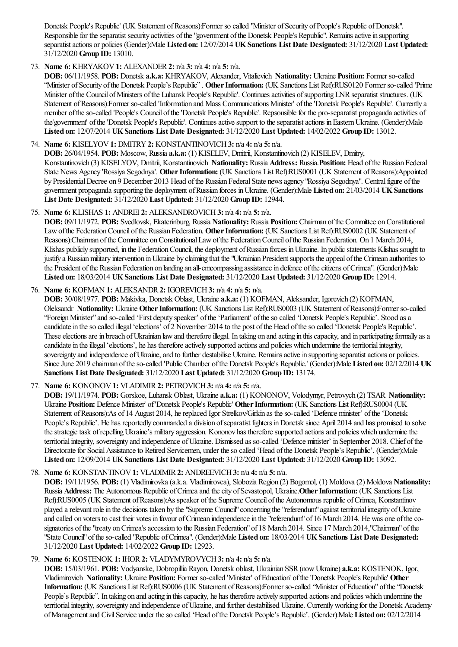Donetsk People's Republic' (UK Statement of Reasons):Former so called "Minister of Security of People's Republic of Donetsk". Responsible for the separatist security activities of the "government of the Donetsk People's Republic". Remains active in supporting separatistactions or policies (Gender):Male **Listed on:** 12/07/2014 **UKSanctions List Date Designated:** 31/12/2020 **Last Updated:** 31/12/2020 **Group ID:** 13010.

# 73. **Name 6:** KHRYAKOV**1:** ALEXANDER**2:** n/a **3:** n/a **4:** n/a **5:** n/a.

**DOB:** 06/11/1958. **POB:** Donetsk **a.k.a:** KHRYAKOV, Alexander, Vitalievich **Nationality:** Ukraine **Position:** Former so-called "Minister of Security of the Donetsk People's Republic". Other Information: (UK Sanctions List Ref):RUS0120 Former so-called 'Prime Minister of the Council of Ministers of the Luhansk People's Republic'. Continues activities of supporting LNR separatist structures. (UK Statement of Reasons):Former so-called 'Information and Mass Communications Minister' of the 'Donetsk People's Republic'. Currently a member of the so-called 'People's Council of the 'Donetsk People's Republic'. Repsonsible for the pro-separatist propaganda activities of the'government' of the 'Donetsk People's Republic'. Continues active support to the separatist actions in Eastern Ukraine. (Gender):Male **Listed on:** 12/07/2014 **UKSanctions List Date Designated:** 31/12/2020 **Last Updated:** 14/02/2022 **Group ID:** 13012.

# 74. **Name 6:** KISELYOV**1:** DMITRY**2:** KONSTANTINOVICH**3:** n/a **4:** n/a **5:** n/a.

**DOB:** 26/04/1954. **POB:** Moscow, Russia **a.k.a:** (1) KISELEV, Dmitrii, Konstantinovich (2) KISELEV, Dmitry, Konstantinovich (3) KISELYOV, Dmitrii, Konstantinovich **Nationality:** Russia **Address:** Russia.**Position:** Head ofthe Russian Federal State News Agency 'Rossiya Segodnya'. **OtherInformation:** (UK Sanctions List Ref):RUS0001 (UK Statement ofReasons):Appointed by Presidential Decree on 9 December 2013 Head of the Russian Federal State news agency "Rossiya Segodnya". Central figure of the government propagandasupporting the deployment ofRussian forces inUkraine. (Gender):Male **Listed on:** 21/03/2014 **UKSanctions List Date Designated:** 31/12/2020 **Last Updated:** 31/12/2020 **Group ID:** 12944.

# 75. **Name 6:** KLISHAS **1:** ANDREI **2:** ALEKSANDROVICH**3:** n/a **4:** n/a **5:** n/a.

**DOB:** 09/11/1972. **POB:** Svedlovsk, Ekaterinburg, Russia **Nationality:** Russia **Position:** Chairman ofthe Committee onConstitutional Law of the Federation Council of the Russian Federation. Other Information: (UK Sanctions List Ref):RUS0002 (UK Statement of Reasons):Chairman of the Committee on Constitutional Law of the Federation Council of the Russian Federation. On 1 March 2014, Klishas publicly supported, in the Federation Council, the deployment of Russian forces in Ukraine. In public statements Klishas sought to justify a Russian military intervention in Ukraine by claiming that the "Ukrainian President supports the appeal of the Crimean authorities to the President of the Russian Federation on landing an all-emcompassing assistance in defence of the citizens of Crimea". (Gender):Male **Listed on:** 18/03/2014 **UKSanctions List Date Designated:** 31/12/2020 **Last Updated:** 31/12/2020 **Group ID:** 12914.

# 76. **Name 6:** KOFMAN **1:** ALEKSANDR**2:** IGOREVICH**3:** n/a **4:** n/a **5:** n/a.

**DOB:** 30/08/1977. **POB:** Makivka, Donetsk Oblast, Ukraine **a.k.a:** (1) KOFMAN, Aleksander, Igorevich (2) KOFMAN, Oleksandr **Nationality:** Ukraine **OtherInformation:** (UK Sanctions List Ref):RUS0003 (UK Statement ofReasons):Former so-called "Foreign Minister" and so-called 'First deputy speaker' of the 'Parliament' of the so called 'Donetsk People's Republic'. Stood as a candidatein theso called illegal'elections' of 2 November 2014 to the post ofthe Head oftheso called 'Donetsk People's Republic'. These elections are in breach of Ukrainian law and therefore illegal. In taking on and acting in this capacity, and in participating formally as a candidate in the illegal 'elections', he has therefore actively supported actions and policies which undermine the territorial integrity, sovereignty and independence of Ukraine, and to further destabilise Ukraine. Remains active in supporting separatist actions or policies. Since June 2019 chairman of the so-called 'Public Chamber of the Donetsk People's Republic.' (Gender):Male Listed on: 02/12/2014 UK **Sanctions List Date Designated:** 31/12/2020 **Last Updated:** 31/12/2020 **Group ID:** 13174.

# 77. **Name 6:** KONONOV**1:** VLADIMIR**2:** PETROVICH**3:** n/a **4:** n/a **5:** n/a.

**DOB:** 19/11/1974. **POB:** Gorskoe, Luhansk Oblast, Ukraine **a.k.a:** (1) KONONOV, Volodymyr, Petrovych (2) TSAR **Nationality:** Ukraine **Position:** Defence Minister' of'Donetsk People's Republic' **OtherInformation:** (UK Sanctions List Ref):RUS0004 (UK Statement of Reasons):As of 14 August 2014, he replaced Igor Strelkov/Girkin as the so-called 'Defence minister' of the 'Donetsk People's Republic'. He has reportedly commanded a division of separatist fighters in Donetsk since April 2014 and has promised to solve the strategic task of repelling Ukraine's military aggression. Kononov has therefore supported actions and policies which undermine the territorial integrity, sovereignty and independence of Ukraine. Dismissed as so-called 'Defence minister' in September 2018. Chief of the Directorate for Social Assistance to Retired Servicemen, under the so called 'Head of the Donetsk People's Republic'. (Gender):Male **Listed on:** 12/09/2014 **UKSanctions List Date Designated:** 31/12/2020 **Last Updated:** 31/12/2020 **Group ID:** 13092.

# 78. **Name 6:** KONSTANTINOV**1:** VLADIMIR**2:** ANDREEVICH**3:** n/a **4:** n/a **5:** n/a.

**DOB:** 19/11/1956. **POB:** (1) Vladimirovka(a.k.a. Vladimirovca), Slobozia Region (2) Bogomol, (1) Moldova(2) Moldova **Nationality:** Russia **Address:** The Autonomous Republic of Crimea and the city of Sevastopol, Ukraine. Other Information: (UK Sanctions List Ref):RUS0005 (UK Statement ofReasons):As speaker ofthe Supreme Council ofthe Autonomous republic ofCrimea, Konstantinov played a relevant role in the decisions taken by the "Supreme Council" concerning the "referendum" against territorial integrity of Ukraine and called on voters to cast their votes in favour of Crimean independence in the "referendum" of 16 March 2014. He was one of the cosignatories of the "treaty on Crimea's accession to the Russian Federation" of 18 March 2014. Since 17 March 2014, "Chairman" of the "State Council"oftheso-called "Republic ofCrimea". (Gender):Male **Listed on:** 18/03/2014 **UKSanctions List Date Designated:** 31/12/2020 **Last Updated:** 14/02/2022 **Group ID:** 12923.

# 79. **Name 6:** KOSTENOK **1:** IHOR**2:** VLADYMYROVYCH**3:** n/a **4:** n/a **5:** n/a.

**DOB:** 15/03/1961. **POB:** Vodyanske, Dobropillia Rayon, Donetsk oblast, Ukrainian SSR(nowUkraine) **a.k.a:** KOSTENOK, Igor, Vladimirovich **Nationality:** Ukraine **Position:** Former so-called 'Minister' ofEducation' ofthe'Donetsk People's Republic' **Other** Information: (UK Sanctions List Ref):RUS0006 (UK Statement of Reasons):Former so-called "Minister of Education" of the "Donetsk People's Republic''. In taking on and acting in this capacity, he has therefore actively supported actions and policies which undermine the territorial integrity, sovereignty and independence of Ukraine, and further destabilised Ukraine. Currently working for the Donetsk Academy ofManagementand CivilService under theso called 'Head ofthe Donetsk People's Republic'. (Gender):Male **Listed on:** 02/12/2014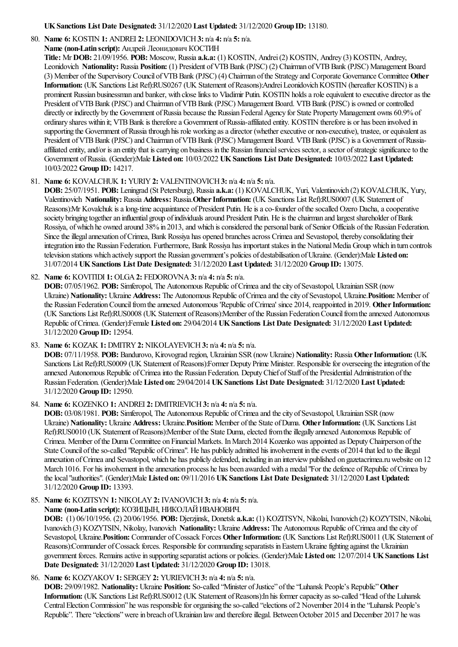**UKSanctions List Date Designated:** 31/12/2020 **Last Updated:** 31/12/2020 **Group ID:** 13180.

80. **Name 6:** KOSTIN **1:** ANDREI **2:** LEONIDOVICH**3:** n/a **4:** n/a **5:** n/a.

**Name (non-Latin script):** Андрей Леонидович КОСТИН

**Title:** Mr **DOB:** 21/09/1956. **POB:** Moscow, Russia **a.k.a:** (1) KOSTIN, Andrei(2) KOSTIN, Andrey (3) KOSTIN, Andrey, Leonidovich **Nationality:** Russia **Position:** (1) President ofVTBBank (PJSC) (2) Chairman ofVTBBank (PJSC) Management Board (3) Member ofthe SupervisoryCouncil ofVTBBank (PJSC) (4) Chairman ofthe Strategy and Corporate Governance Committee **Other** Information: (UK Sanctions List Ref):RUS0267 (UK Statement of Reasons):Andrei Leonidovich KOSTIN (hereafter KOSTIN) is a prominent Russian businessman and banker, with close links to Vladimir Putin. KOSTIN holds a role equivalent to executive director as the President of VTB Bank (PJSC) and Chairman of VTB Bank (PJSC) Management Board. VTB Bank (PJSC) is owned or controlled directly or indirectly by the Government of Russia because the Russian Federal Agency for State Property Management owns 60.9% of ordinary shares within it; VTB Bank is therefore a Government of Russia-affiliated entity. KOSTIN therefore is or has been involved in supporting the Government of Russia through his role working as a director (whether executive or non-executive), trustee, or equivalent as President of VTB Bank (PJSC) and Chairman of VTB Bank (PJSC) Management Board. VTB Bank (PJSC) is a Government of Russiaaffiliated entity, and/or is an entity that is carrying on business in the Russian financial services sector, a sector of strategic significance to the Government ofRussia. (Gender):Male **Listed on:** 10/03/2022 **UKSanctions List Date Designated:** 10/03/2022 **Last Updated:** 10/03/2022 **Group ID:** 14217.

# 81. **Name 6:** KOVALCHUK **1:** YURIY**2:** VALENTINOVICH**3:** n/a **4:** n/a **5:** n/a.

**DOB:** 25/07/1951. **POB:** Leningrad (St Petersburg), Russia **a.k.a:** (1) KOVALCHUK, Yuri, Valentinovich (2) KOVALCHUK, Yury, Valentinovich **Nationality:** Russia **Address:** Russia.**OtherInformation:** (UK Sanctions List Ref):RUS0007 (UK Statement of Reasons):Mr Kovalchuk is a long-time acquaintance of President Putin. He is a co-founder of the socalled Ozero Dacha, a cooperative society bringing together an influential group of individuals around President Putin. He is the chairman and largest shareholder of Bank Rossiya, of which he owned around 38% in 2013, and which is considered the personal bank of Senior Officials of the Russian Federation. Since the illegal annexation of Crimea, Bank Rossiya has opened branches across Crimea and Sevastopol, thereby consolidating their integration into the Russian Federation. Furthermore, Bank Rossiya has important stakes in the National Media Group which in turn controls television stations which actively support the Russian government's policies of destabilisation ofUkraine. (Gender):Male **Listed on:** 31/07/2014 **UKSanctions List Date Designated:** 31/12/2020 **Last Updated:** 31/12/2020 **Group ID:** 13075.

82. **Name 6:** KOVITIDI **1:** OLGA**2:** FEDOROVNA**3:** n/a **4:** n/a **5:** n/a.

**DOB:** 07/05/1962. **POB:** Simferopol, The Autonomous Republic of Crimea and the city of Sevastopol, Ukrainian SSR (now Ukraine) Nationality: Ukraine Address: The Autonomous Republic of Crimea and the city of Sevastopol, Ukraine. Position: Member of the Russian Federation Council from the annexed Autonomous 'Republic of Crimea' since 2014, reappointed in 2019. Other Information: (UK Sanctions List Ref):RUS0008 (UK Statement ofReasons):Member ofthe Russian FederationCouncilfromtheannexed Autonomous Republic ofCrimea. (Gender):Female **Listed on:** 29/04/2014 **UKSanctions List Date Designated:** 31/12/2020 **Last Updated:** 31/12/2020 **Group ID:** 12954.

83. **Name 6:** KOZAK **1:** DMITRY**2:** NIKOLAYEVICH**3:** n/a **4:** n/a **5:** n/a.

**DOB:** 07/11/1958. **POB:** Bandurovo, Kirovograd region, Ukrainian SSR(nowUkraine) **Nationality:** Russia **OtherInformation:** (UK Sanctions List Ref):RUS0009 (UK Statement of Reasons):Former Deputy Prime Minister. Responsible for overseeing the integration of the annexed Autonomous Republic of Crimea into the Russian Federation. Deputy Chief of Staff of the Presidential Administration of the Russian Federation. (Gender):Male **Listed on:** 29/04/2014 **UKSanctions List Date Designated:** 31/12/2020 **Last Updated:** 31/12/2020 **Group ID:** 12950.

84. **Name 6:** KOZENKO **1:** ANDREI **2:** DMITRIEVICH**3:** n/a **4:** n/a **5:** n/a.

**DOB:** 03/08/1981. **POB:** Simferopol, The Autonomous Republic of Crimea and the city of Sevastopol, Ukrainian SSR (now Ukraine) **Nationality:** Ukraine **Address:** Ukraine.**Position:** Member ofthe State ofDuma. **OtherInformation:** (UK Sanctions List Ref):RUS0010 (UK Statement of Reasons):Member of the State Duma, elected from the illegally annexed Autonomous Republic of Crimea. Member of the Duma Committee on Financial Markets. In March 2014 Kozenko was appointed as Deputy Chairperson of the State Council of the so-called "Republic of Crimea". He has publicly admitted his involvement in the events of 2014 that led to the illegal annexation ofCrimeaand Sevastopol, which he has publicly defended, including in an interviewpublished on gazetacrimea.ruwebsite on 12 March 1016. For his involvement in the annexation process he has been awarded with a medal "For the defence of Republic of Crimea by thelocal"authorities". (Gender):Male **Listed on:** 09/11/2016 **UKSanctions List Date Designated:** 31/12/2020 **Last Updated:** 31/12/2020 **Group ID:** 13393.

85. **Name 6:** KOZITSYN **1:** NIKOLAY**2:** IVANOVICH**3:** n/a **4:** n/a **5:** n/a.

**Name (non-Latin script):** КОЗИЦЫН, НИКОЛАЙИВАНОВИЧ.

**DOB:** (1) 06/10/1956. (2) 20/06/1956. **POB:** Djerzjinsk, Donetsk **a.k.a:** (1) KOZITSYN, Nikolai, Ivanovich (2) KOZYTSIN, Nikolai, Ivanovich (3) KOZYTSIN, Nikolay, Ivanovich **Nationality:** Ukraine **Address:** The Autonomous Republic ofCrimeaand thecity of Sevastopol, Ukraine.**Position:** Commander ofCossack Forces **OtherInformation:** (UK Sanctions List Ref):RUS0011 (UK Statement of Reasons):Commander of Cossack forces. Responsible for commanding separatists in Eastern Ukraine fighting against the Ukrainian government forces. Remainsactivein supporting separatistactions or policies. (Gender):Male **Listed on:** 12/07/2014 **UKSanctions List Date Designated:** 31/12/2020 **Last Updated:** 31/12/2020 **Group ID:** 13018.

86. **Name 6:** KOZYAKOV**1:** SERGEY**2:** YURIEVICH**3:** n/a **4:** n/a **5:** n/a.

**DOB:** 29/09/1982. **Nationality:** Ukraine **Position:** So-called "Minister ofJustice" ofthe"Luhansk People's Republic"**Other Information:** (UK Sanctions List Ref):RUS0012 (UK Statement ofReasons):In his formercapacity as so-called "Head ofthe Luhansk Central Election Commission" he was responsible for organising the so-called "elections of 2 November 2014 in the "Luhansk People's Republic". There "elections" were in breach of Ukrainian law and therefore illegal. Between October 2015 and December 2017 he was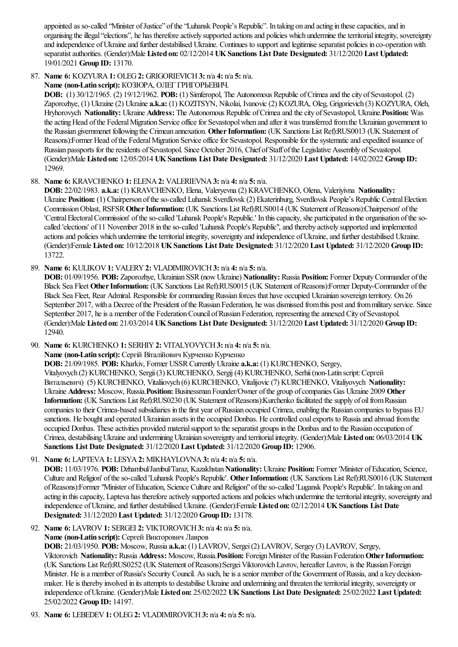appointed as so-called "Minister of Justice" of the "Luhansk People's Republic". In taking on and acting in these capacities, and in organising the illegal "elections", he has therefore actively supported actions and policies which undermine the territorial integrity, sovereignty and independence of Ukraine and further destabilised Ukraine. Continues to support and legitimise separatist policies in co-operation with separatistauthorities. (Gender):Male **Listed on:** 02/12/2014 **UKSanctions List Date Designated:** 31/12/2020 **Last Updated:** 19/01/2021 **Group ID:** 13170.

87. **Name 6:** KOZYURA**1:** OLEG**2:** GRIGORIEVICH**3:** n/a **4:** n/a **5:** n/a.

**Name (non-Latin script):** КОЗЮРА, ОЛЕГ ГРИГОРЬЕВИЧ.

**DOB:** (1) 30/12/1965. (2) 19/12/1962. **POB:** (1) Simferopol, The Autonomous Republic ofCrimeaand thecity ofSevastopol. (2) Zaporozhye, (1) Ukraine(2) Ukraine **a.k.a:** (1) KOZITSYN, Nikolai, Ivanovic(2) KOZURA, Oleg, Grigorievich (3) KOZYURA, Oleh, Hryhorovych **Nationality:** Ukraine **Address:** The Autonomous Republic ofCrimeaand thecity ofSevastopol, Ukraine.**Position:** Was the acting Head of the Federal Migration Service office for Sevastopol when and after it was transferred from the Ukrainian government to the Russian givernmenet following the Crimean annexation. Other Information: (UK Sanctions List Ref):RUS0013 (UK Statement of Reasons):Former Head of the Federal Migration Service office for Sevastopol. Responsible for the systematic and expedited issuance of Russian passports for the residents of Sevastopol. Since October 2016, Chief of Staff of the Legislative Assembly of Sevastopol. (Gender):Male **Listed on:** 12/05/2014 **UKSanctions List Date Designated:** 31/12/2020 **Last Updated:** 14/02/2022 **Group ID:** 12969.

# 88. **Name 6:** KRAVCHENKO **1:** ELENA**2:** VALERIEVNA**3:** n/a **4:** n/a **5:** n/a.

**DOB:** 22/02/1983. **a.k.a:** (1) KRAVCHENKO, Elena, Valeryevna(2) KRAVCHENKO, Olena, Valeriyivna **Nationality:** Ukraine **Position:** (1) Chairperson of the so-called Luhansk Sverdlovsk (2) Ekaterinburg, Sverdlovsk People's Republic Central Election CommissionOblast, RSFSR**OtherInformation:** (UK Sanctions List Ref):RUS0014 (UK Statement ofReasons):Chairperson' ofthe 'Central Electoral Commission' of the so-called 'Luhansk People's Republic.' In this capacity, she participated in the organisation of the socalled 'elections' of 11 November 2018 in theso-called 'Luhansk People's Republic",and thereby actively supported and implemented actions and policies which undermine the territorial integrity, sovereignty and independence of Ukraine, and further destabilised Ukraine. (Gender):Female **Listed on:** 10/12/2018 **UKSanctions List Date Designated:** 31/12/2020 **Last Updated:** 31/12/2020 **Group ID:** 13722.

89. **Name 6:** KULIKOV**1:** VALERY**2:** VLADIMIROVICH**3:** n/a **4:** n/a **5:** n/a.

**DOB:** 01/09/1956. **POB:** Zaporozhye, Ukrainian SSR(nowUkraine) **Nationality:** Russia **Position:** Former DeputyCommander ofthe Black Sea Fleet Other Information: (UK Sanctions List Ref):RUS0015 (UK Statement of Reasons):Former Deputy-Commander of the Black Sea Fleet, Rear Admiral. Responsible for commanding Russian forces that have occupied Ukrainian sovereign territory. On 26 September 2017, with a Decree of the President of the Russian Federation, he was dismissed from this post and from military service. Since September 2017, he is a member of the Federation Council of Russian Federation, representing the annexed City of Sevastopol. (Gender):Male **Listed on:** 21/03/2014 **UKSanctions List Date Designated:** 31/12/2020 **Last Updated:** 31/12/2020 **Group ID:** 12940.

90. **Name 6:** KURCHENKO **1:** SERHIY**2:** VITALYOVYCH**3:** n/a **4:** n/a **5:** n/a.

**Name (non-Latin script):** Сергій Віталійович Курченко Курченко

**DOB:** 21/09/1985. **POB:** Kharkiv, Former USSRCurrentlyUkraine **a.k.a:** (1) KURCHENKO, Sergey,

Vitalyovych (2) KURCHENKO, Sergii (3) KURCHENKO, Sergij (4) KURCHENKO, Serhii (non-Latin script: Сергей Витальевич) (5) KURCHENKO, Vitaliiovych (6) KURCHENKO, Vitalijovic(7) KURCHENKO, Vitaliyovych **Nationality:** Ukraine **Address:** Moscow, Russia.**Position:** Businessman Founder/Owner ofthe group ofcompanies Gas Ukraine 2009 **Other Information:** (UK Sanctions List Ref):RUS0230 (UK Statement of Reasons):Kurchenko facilitated the supply of oil from Russian companies to their Crimea-based subsidiaries in the first year of Russian occupied Crimea, enabling the Russian companies to bypass EU sanctions. He bought and operated Ukrainian assets in the occupied Donbas. He controlled coal exports to Russia and abroad from the occupied Donbas. These activities provided material support to the separatist groups in the Donbas and to the Russian occupation of Crimea, destabilisingUkraineand underminingUkrainian sovereignty and territorialintegrity. (Gender):Male **Listed on:** 06/03/2014 **UK Sanctions List Date Designated:** 31/12/2020 **Last Updated:** 31/12/2020 **Group ID:** 12906.

91. **Name 6:** LAPTEVA**1:** LESYA**2:** MIKHAYLOVNA**3:** n/a **4:** n/a **5:** n/a.

**DOB:** 11/03/1976. **POB:** Dzhambul/Jambul/Taraz, Kazakhstan**Nationality:** Ukraine **Position:** Former 'Minister ofEducation, Science, Cultureand Religion' oftheso-called 'Luhansk People's Republic'. **OtherInformation:** (UK Sanctions List Ref):RUS0016 (UK Statement ofReasons):Former"Minister ofEducation, Science Cultureand Religion"oftheso-called 'Lugansk People's Republic'. In taking on and acting in this capacity, Lapteva has therefore actively supported actions and policies which undermine the territorial integrity, sovereignty and independence ofUkraine,and further destabilised Ukraine. (Gender):Female **Listed on:** 02/12/2014 **UKSanctions List Date Designated:** 31/12/2020 **Last Updated:** 31/12/2020 **Group ID:** 13178.

92. **Name 6:** LAVROV**1:** SERGEI **2:** VIKTOROVICH**3:** n/a **4:** n/a **5:** n/a. **Name (non-Latin script):** Сергей Викторович Лавров

**DOB:** 21/03/1950. **POB:** Moscow, Russia **a.k.a:** (1) LAVROV, Sergei(2) LAVROV, Sergey (3) LAVROV, Sergey, Viktorovich **Nationality:** Russia **Address:** Moscow, Russia.**Position:** ForeignMinister ofthe Russian Federation**OtherInformation:** (UK Sanctions List Ref):RUS0252 (UK Statement ofReasons):SergeiViktorovichLavrov, hereafter Lavrov, is the Russian Foreign Minister. He is a member of Russia's Security Council. As such, he is a senior member of the Government of Russia, and a key decisionmaker. He is thereby involved in its attempts to destabilise Ukraine and undermining and threaten the territorial integrity, sovereignty or independence ofUkraine. (Gender):Male **Listed on:** 25/02/2022 **UKSanctions List Date Designated:** 25/02/2022 **Last Updated:** 25/02/2022 **Group ID:** 14197.

93. **Name 6:** LEBEDEV**1:** OLEG**2:** VLADIMIROVICH**3:** n/a **4:** n/a **5:** n/a.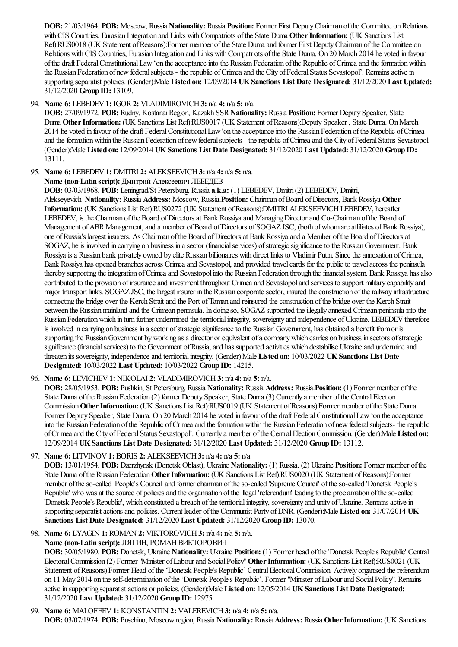**DOB:** 21/03/1964. **POB:** Moscow, Russia **Nationality:** Russia **Position:** Former First DeputyChairman ofthe Committee onRelations with CIS Countries, Eurasian Integration and Links with Compatriots of the State Duma Other Information: (UK Sanctions List Ref):RUS0018 (UK Statement ofReasons):Former member ofthe State Dumaand former First DeputyChairman ofthe Committee on Relations with CIS Countries, Eurasian Integration and Links with Compatriots of the State Duma. On 20 March 2014 he voted in favour of the draft Federal Constitutional Law 'on the acceptance into the Russian Federation of the Republic of Crimea and the formation within the Russian Federation of new federal subjects - the republic of Crimea and the City of Federal Status Sevastopol'. Remains active in supporting separatist policies. (Gender):Male **Listed on:** 12/09/2014 **UKSanctions List Date Designated:** 31/12/2020 **Last Updated:** 31/12/2020 **Group ID:** 13109.

### 94. **Name 6:** LEBEDEV**1:** IGOR**2:** VLADIMIROVICH**3:** n/a **4:** n/a **5:** n/a.

DOB: 27/09/1972. POB: Rudny, Kostanai Region, Kazakh SSR Nationality: Russia Position: Former Deputy Speaker, State Duma Other Information: (UK Sanctions List Ref):RUS0017 (UK Statement of Reasons):Deputy Speaker, State Duma. On March 2014 he voted in favour ofthe draft FederalConstitutionalLaw'on theacceptanceinto the Russian Federation ofthe Republic ofCrimea and the formation within the Russian Federation of new federal subjects - the republic of Crimea and the City of Federal Status Sevastopol. (Gender):Male **Listed on:** 12/09/2014 **UKSanctions List Date Designated:** 31/12/2020 **Last Updated:** 31/12/2020 **Group ID:** 13111.

### 95. **Name 6:** LEBEDEV**1:** DMITRI **2:** ALEKSEEVICH**3:** n/a **4:** n/a **5:** n/a.

**Name (non-Latin script):** Дмитрий Алексеевич ЛЕБЕДЕВ

**DOB:** 03/03/1968. **POB:** Leningrad/St Petersburg, Russia **a.k.a:** (1) LEBEDEV, Dmitri(2) LEBEDEV, Dmitri, Alekseyevich **Nationality:** Russia **Address:** Moscow, Russia.**Position:** Chairman ofBoard ofDirectors, Bank Rossiya **Other Information:** (UK Sanctions List Ref):RUS0272 (UK Statement ofReasons):DMITRI ALEKSEEVICHLEBEDEV, hereafter LEBEDEV, is the Chairman of the Board of Directors at Bank Rossiya and Managing Director and Co-Chairman of the Board of Management of ABR Management, and a member of Board of Directors of SOGAZ JSC, (both of whom are affiliates of Bank Rossiya), one ofRussia's largest insurers. As Chairman ofthe Board ofDirectorsat Bank Rossiyaand a Member ofthe Board ofDirectorsat SOGAZ, he is involved in carrying on business in a sector (financial services) of strategic significance to the Russian Government. Bank Rossiya is a Russian bank privately owned by elite Russian billionaires with direct links to Vladimir Putin. Since the annexation of Crimea, Bank Rossiya has opened branches across Crimea and Sevastopol, and provided travel cards for the public to travel across the peninsula thereby supporting the integration of Crimea and Sevastopol into the Russian Federation through the financial system. Bank Rossiya has also contributed to the provision of insurance and investment throughout Crimea and Sevastopol and services to support military capability and major transport links. SOGAZ JSC, the largest insurer in the Russian corporate sector, insured the construction of the railway infrastructure connecting the bridge over the Kerch Strait and the Port of Taman and reinsured the construction of the bridge over the Kerch Strait between the Russian mainland and the Crimean peninsula. In doing so, SOGAZ supported the illegally annexed Crimean peninsula into the Russian Federation which in turn further undermined the territorial integrity, sovereignty and independence of Ukraine. LEBEDEV therefore is involved in carrying on business in a sector of strategic significance to the Russian Government, has obtained a benefit from or is supporting the Russian Government by working as a director or equivalent of a company which carries on business in sectors of strategic significance (financial services) to the Government of Russia, and has supported activities which destabilise Ukraine and undermine and threaten its sovereignty, independenceand territorialintegrity. (Gender):Male **Listed on:** 10/03/2022 **UKSanctions List Date Designated:** 10/03/2022 **Last Updated:** 10/03/2022 **Group ID:** 14215.

96. **Name 6:** LEVICHEV**1:** NIKOLAI **2:** VLADIMIROVICH**3:** n/a **4:** n/a **5:** n/a.

**DOB:** 28/05/1953. **POB:** Pushkin, St Petersburg, Russia **Nationality:** Russia **Address:** Russia.**Position:** (1) Former member ofthe State Duma of the Russian Federation (2) former Deputy Speaker, State Duma (3) Currently a member of the Central Election Commission**OtherInformation:** (UK Sanctions List Ref):RUS0019 (UK Statement ofReasons):Former member ofthe State Duma. Former Deputy Speaker, State Duma. On 20 March 2014 he voted in favour of the draft Federal Constitutional Law'on the acceptance into the Russian Federation of the Republic of Crimea and the formation within the Russian Federation of new federal subjects- the republic ofCrimeaand the City ofFederalStatus Sevastopol'. Currently a member ofthe CentralElectionCommission. (Gender):Male **Listed on:** 12/09/2014 **UKSanctions List Date Designated:** 31/12/2020 **Last Updated:** 31/12/2020 **Group ID:** 13112.

97. **Name 6:** LITVINOV**1:** BORIS **2:** ALEKSEEVICH**3:** n/a **4:** n/a **5:** n/a.

**DOB:** 13/01/1954. **POB:** Dzerzhynsk (Donetsk Oblast), Ukraine **Nationality:** (1) Russia. (2) Ukraine **Position:** Former member ofthe State Duma ofthe Russian Federation**OtherInformation:** (UK Sanctions List Ref):RUS0020 (UK Statement ofReasons):Former member of the so-called 'People's Council' and former chairman of the so-called 'Supreme Council' of the so-called 'Donetsk People's Republic' who was at the source of policies and the organisation of the illegal 'referendum' leading to the proclamation of the so-called 'Donetsk People's Republic', which constituted a breach of the territorial integrity, sovereignty and unity of Ukraine. Remains active in supporting separatistactionsand policies. Current leader ofthe Communist Party ofDNR. (Gender):Male **Listed on:** 31/07/2014 **UK Sanctions List Date Designated:** 31/12/2020 **Last Updated:** 31/12/2020 **Group ID:** 13070.

#### 98. **Name 6:** LYAGIN **1:** ROMAN **2:** VIKTOROVICH**3:** n/a **4:** n/a **5:** n/a. **Name (non-Latin script):** ЛЯГИН, РОМАНВИКТОРОВИЧ

**DOB:** 30/05/1980. **POB:** Donetsk, Ukraine **Nationality:** Ukraine **Position:** (1) Former head ofthe'Donetsk People's Republic' Central ElectoralCommission (2) Former"Minister ofLabourand SocialPolicy"**OtherInformation:** (UK Sanctions List Ref):RUS0021 (UK Statement of Reasons):Former Head of the 'Donetsk People's Republic' Central Electoral Commission. Actively organised the referendum on 11 May 2014 on the self-determination of the 'Donetsk People's Republic'. Former "Minister of Labour and Social Policy". Remains activein supporting separatistactions or policies. (Gender):Male **Listed on:** 12/05/2014 **UKSanctions List Date Designated:** 31/12/2020 **Last Updated:** 31/12/2020 **Group ID:** 12975.

99. **Name 6:** MALOFEEV**1:** KONSTANTIN **2:** VALEREVICH**3:** n/a **4:** n/a **5:** n/a. **DOB:** 03/07/1974. **POB:** Puschino, Moscowregion, Russia **Nationality:** Russia **Address:** Russia.**OtherInformation:** (UK Sanctions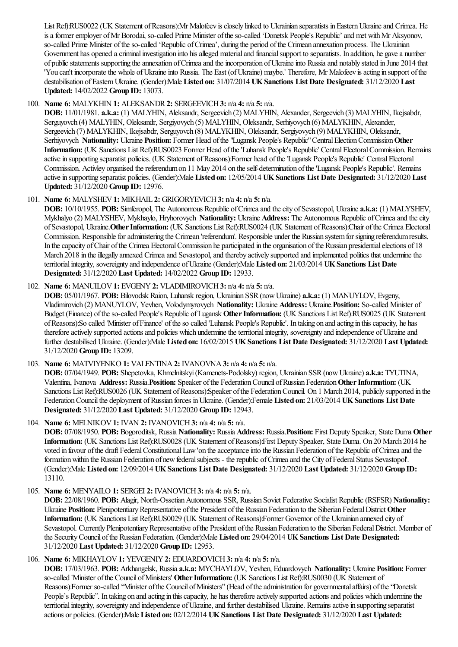List Ref):RUS0022 (UK Statement of Reasons):Mr Malofeev is closely linked to Ukrainian separatists in Eastern Ukraine and Crimea. He is a former employer of Mr Borodai, so-called Prime Minister of the so-called 'Donetsk People's Republic' and met with Mr Aksyonov, so-called Prime Minister of the so-called 'Republic of Crimea', during the period of the Crimean annexation process. The Ukrainian Government has opened a criminal investigation into his alleged material and financial support to separatists. In addition, he gave a number of public statements supporting the annexation of Crimea and the incorporation of Ukraine into Russia and notably stated in June 2014 that 'You can't incorporate the whole of Ukraine into Russia. The East (of Ukraine) maybe.' Therefore, Mr Malofeev is acting in support of the destabilisation ofEasternUkraine. (Gender):Male **Listed on:** 31/07/2014 **UKSanctions List Date Designated:** 31/12/2020 **Last Updated:** 14/02/2022 **Group ID:** 13073.

# 100. **Name 6:** MALYKHIN **1:** ALEKSANDR**2:** SERGEEVICH**3:** n/a **4:** n/a **5:** n/a.

**DOB:** 11/01/1981. **a.k.a:** (1) MALYHIN, Aleksandr, Sergeevich (2) MALYHIN, Alexander, Sergeevich (3) MALYHIN, Ikejsabdr, Serguyovch (4) MALYHIN, Oleksandr, Sergiyovych (5) MALYHIN, Oleksandr, Serhiyovych (6) MALYKHIN, Alexander, Sergeevich (7) MALYKHIN, Ikejsabdr, Serguyovch (8) MALYKHIN, Oleksandr, Sergiyovych (9) MALYKHIN, Oleksandr, Serhiyovych **Nationality:** Ukraine **Position:** Former Head ofthe"Lugansk People's Republic"CentralElectionCommission**Other Information:** (UK Sanctions List Ref):RUS0023 Former Head ofthe'Luhansk People's Republic' CentralElectoralCommission. Remains active in supporting separatist policies. (UK Statement of Reasons):Former head of the 'Lugansk People's Republic' Central Electoral Commission. Activley organised the referendum on 11 May 2014 on the self-determination of the 'Lugansk People's Republic'. Remains activein supporting separatist policies. (Gender):Male **Listed on:** 12/05/2014 **UKSanctions List Date Designated:** 31/12/2020 **Last Updated:** 31/12/2020 **Group ID:** 12976.

# 101. **Name 6:** MALYSHEV**1:** MIKHAIL **2:** GRIGORYEVICH**3:** n/a **4:** n/a **5:** n/a.

**DOB:** 10/10/1955. **POB:** Simferopol, The Autonomous Republic ofCrimeaand thecity ofSevastopol, Ukraine **a.k.a:** (1) MALYSHEV, Mykhalyo (2) MALYSHEV, Mykhaylo, Hryhorovych **Nationality:** Ukraine **Address:** The Autonomous Republic ofCrimeaand thecity ofSevastopol, Ukraine.**OtherInformation:** (UK Sanctions List Ref):RUS0024 (UK Statement ofReasons):Chair ofthe Crimea Electoral Commission. Responsible for administering the Crimean 'referendum'. Responsible under the Russian system for signing referendum results. In the capacity of Chair of the Crimea Electoral Commission he participated in the organisation of the Russian presidential elections of 18 March 2018 in the illegally annexed Crimea and Sevastopol, and thereby actively supported and implemented politics that undermine the territorialintegrity, sovereignty and independence ofUkraine(Gender):Male **Listed on:** 21/03/2014 **UKSanctions List Date Designated:** 31/12/2020 **Last Updated:** 14/02/2022 **Group ID:** 12933.

### 102. **Name 6:** MANUILOV**1:** EVGENY**2:** VLADIMIROVICH**3:** n/a **4:** n/a **5:** n/a.

**DOB:** 05/01/1967. **POB:** Bilovodsk Raion, Luhansk region, Ukrainian SSR(nowUkraine) **a.k.a:** (1) MANUYLOV, Evgeny, Vladimirovich (2) MANUYLOV, Yevhen, Volodymyrovych **Nationality:** Ukraine **Address:** Ukraine.**Position:** So-called Minister of Budget (Finance) oftheso-called People's Republic ofLugansk **OtherInformation:** (UK Sanctions List Ref):RUS0025 (UK Statement ofReasons):So called 'Minister ofFinance' oftheso called 'Luhansk People's Republic'. In taking on and acting in thiscapacity, he has therefore actively supported actions and policies which undermine the territorial integrity, sovereignty and independence of Ukraine and further destabilised Ukraine. (Gender):Male **Listed on:** 16/02/2015 **UKSanctions List Date Designated:** 31/12/2020 **Last Updated:** 31/12/2020 **Group ID:** 13209.

### 103. **Name 6:** MATVIYENKO **1:** VALENTINA**2:** IVANOVNA**3:** n/a **4:** n/a **5:** n/a.

**DOB:** 07/04/1949. **POB:** Shepetovka, Khmelnitskyi(Kamenets-Podolsky) region, Ukrainian SSR(nowUkraine) **a.k.a:** TYUTINA, Valentina, Ivanova Address: Russia. Position: Speaker of the Federation Council of Russian Federation Other Information: (UK Sanctions List Ref):RUS0026 (UK Statement of Reasons):Speaker of the Federation Council. On 1 March 2014, publicly supported in the FederationCouncilthe deployment ofRussian forces inUkraine. (Gender):Female **Listed on:** 21/03/2014 **UKSanctions List Date Designated:** 31/12/2020 **Last Updated:** 31/12/2020 **Group ID:** 12943.

# 104. **Name 6:** MELNIKOV**1:** IVAN **2:** IVANOVICH**3:** n/a **4:** n/a **5:** n/a.

**DOB:** 07/08/1950. **POB:** Bogoroditsk, Russia **Nationality:** Russia **Address:** Russia.**Position:** First Deputy Speaker, State Duma **Other Information:** (UK Sanctions List Ref):RUS0028 (UK Statement ofReasons):First Deputy Speaker, State Duma. On 20 March 2014 he voted in favour of the draft Federal Constitutional Law'on the acceptance into the Russian Federation of the Republic of Crimea and the formation within the Russian Federation of new federal subjects - the republic of Crimea and the City of Federal Status Sevastopol'. (Gender):Male **Listed on:** 12/09/2014 **UKSanctions List Date Designated:** 31/12/2020 **Last Updated:** 31/12/2020 **Group ID:** 13110.

### 105. **Name 6:** MENYAILO **1:** SERGEI **2:** IVANOVICH**3:** n/a **4:** n/a **5:** n/a.

**DOB:** 22/08/1960. **POB:** Alagir, North-OssetianAutonomous SSR, Russian Soviet Federative Socialist Republic(RSFSR) **Nationality:** Ukraine Position: Plenipotentiary Representative of the President of the Russian Federation to the Siberian Federal District Other **Information:** (UK Sanctions List Ref):RUS0029 (UK Statement ofReasons):Former Governor ofthe Ukrainian annexed city of Sevastopol. Currently Plenipotentiary Representative of the President of the Russian Federation to the Siberian Federal District. Member of the SecurityCouncil ofthe Russian Federation. (Gender):Male **Listed on:** 29/04/2014 **UKSanctions List Date Designated:** 31/12/2020 **Last Updated:** 31/12/2020 **Group ID:** 12953.

# 106. **Name 6:** MIKHAYLOV**1:** YEVGENIY**2:** EDUARDOVICH**3:** n/a **4:** n/a **5:** n/a.

**DOB:** 17/03/1963. **POB:** Arkhangelsk, Russia **a.k.a:** MYCHAYLOV, Yevhen, Eduardovych **Nationality:** Ukraine **Position:** Former so-called 'Minister of the Council of Ministers' Other Information: (UK Sanctions List Ref):RUS0030 (UK Statement of Reasons):Former so-called "Minister ofthe Council ofMinisters"(Head oftheadministration for governmentalaffairs) ofthe"Donetsk People's Republic". In taking on and acting in this capacity, he has therefore actively supported actions and policies which undermine the territorial integrity, sovereignty and independence of Ukraine, and further destabilised Ukraine. Remains active in supporting separatist actions or policies. (Gender):Male **Listed on:** 02/12/2014 **UKSanctions List Date Designated:** 31/12/2020 **Last Updated:**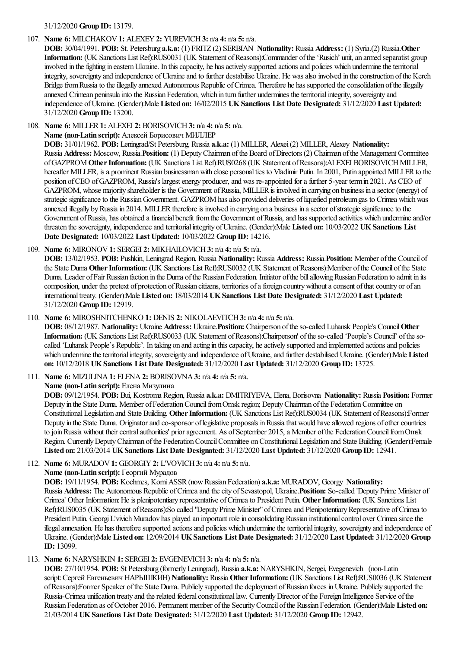#### 31/12/2020 **Group ID:** 13179.

#### 107. **Name 6:** MILCHAKOV**1:** ALEXEY**2:** YUREVICH**3:** n/a **4:** n/a **5:** n/a.

**DOB:** 30/04/1991. **POB:** St. Petersburg **a.k.a:** (1) FRITZ (2) SERBIAN **Nationality:** Russia **Address:** (1) Syria.(2) Russia.**Other Information:** (UK Sanctions List Ref):RUS0031 (UK Statement ofReasons):Commander ofthe'Rusich' unit,an armed separatist group involved in the fighting in eastern Ukraine. In this capacity, he has actively supported actions and policies which undermine the territorial integrity, sovereignty and independence of Ukraine and to further destabilise Ukraine. He was also involved in the construction of the Kerch Bridge from Russia to the illegally annexed Autonomous Republic of Crimea. Therefore he has supported the consolidation of the illegally annexed Crimean peninsula into the Russian Federation, which in turn further undermines the territorial integrity, sovereignty and independence ofUkraine. (Gender):Male **Listed on:** 16/02/2015 **UKSanctions List Date Designated:** 31/12/2020 **Last Updated:** 31/12/2020 **Group ID:** 13200.

108. **Name 6:** MILLER**1:** ALEXEI **2:** BORISOVICH**3:** n/a **4:** n/a **5:** n/a.

**Name (non-Latin script):** Алексей Борисович МИЛЛЕР

**DOB:** 31/01/1962. **POB:** Leningrad/St Petersburg, Russia **a.k.a:** (1) MILLER, Alexei(2) MILLER, Alexey **Nationality:** Russia **Address:** Moscow, Russia.**Position:** (1) DeputyChairman ofthe Board ofDirectors (2) Chairman ofthe Management Committee ofGAZPROM**OtherInformation:** (UK Sanctions List Ref):RUS0268 (UK Statement ofReasons):ALEXEI BORISOVICHMILLER, hereafter MILLER, is a prominent Russian businessman with close personal ties to Vladimir Putin. In 2001, Putin appointed MILLER to the position of CEO of GAZPROM, Russia's largest energy producer, and was re-appointed for a further 5-year term in 2021. As CEO of GAZPROM, whose majority shareholder is the Government of Russia, MILLER is involved in carrying on business in a sector (energy) of strategic significance to the Russian Government. GAZPROM has also provided deliveries of liquefied petroleum gas to Crimea which was annexed illegally by Russia in 2014. MILLER therefore is involved in carrying on a business in a sector of strategic significance to the Government of Russia, has obtained a financial benefit from the Government of Russia, and has supported activities which undermine and/or threaten thesovereignty, independenceand territorialintegrity ofUkraine. (Gender):Male **Listed on:** 10/03/2022 **UKSanctions List Date Designated:** 10/03/2022 **Last Updated:** 10/03/2022 **Group ID:** 14216.

109. **Name 6:** MIRONOV**1:** SERGEI **2:** MIKHAILOVICH**3:** n/a **4:** n/a **5:** n/a.

**DOB:** 13/02/1953. **POB:** Pushkin, Leningrad Region, Russia **Nationality:** Russia **Address:** Russia.**Position:** Member ofthe Council of the State Duma Other Information: (UK Sanctions List Ref):RUS0032 (UK Statement of Reasons):Member of the Council of the State Duma. Leader of Fair Russian faction in the Duma of the Russian Federation. Initiator of the bill allowing Russian Federation to admit in its composition, under the pretext of protection of Russian citizens, territories of a foreign country without a consent of that country or of an internationaltreaty. (Gender):Male **Listed on:** 18/03/2014 **UKSanctions List Date Designated:** 31/12/2020 **Last Updated:** 31/12/2020 **Group ID:** 12919.

110. **Name 6:** MIROSHNITCHENKO **1:** DENIS **2:** NIKOLAEVITCH**3:** n/a **4:** n/a **5:** n/a.

**DOB:** 08/12/1987. **Nationality:** Ukraine **Address:** Ukraine.**Position:** Chairperson oftheso-called Luhansk People's Council**Other Information:** (UK Sanctions List Ref):RUS0033 (UK Statement ofReasons):Chairperson' oftheso-called 'People's Council' ofthesocalled 'Luhansk People's Republic'. In taking on and acting in thiscapacity, heactively supported and implemented actionsand policies which undermine the territorial integrity, sovereignty and independence of Ukraine, and further destabilised Ukraine. (Gender):Male Listed **on:** 10/12/2018 **UKSanctions List Date Designated:** 31/12/2020 **Last Updated:** 31/12/2020 **Group ID:** 13725.

111. **Name 6:** MIZULINA**1:** ELENA**2:** BORISOVNA**3:** n/a **4:** n/a **5:** n/a.

**Name (non-Latin script):** Елена Мизулина

**DOB:** 09/12/1954. **POB:** Bui, Kostroma Region, Russia **a.k.a:** DMITRIYEVA, Elena, Borisovna **Nationality:** Russia **Position:** Former Deputy in the State Duma. Member of Federation Council from Omsk region; Deputy Chairman of the Federation Committee on ConstitutionalLegislation and State Building. **OtherInformation:** (UK Sanctions List Ref):RUS0034 (UK Statement ofReasons):Former Deputy in the State Duma. Originator and co-sponsor of legislative proposals in Russia that would have allowed regions of other countries to join Russia without their central authorities' prior agreement. As of September 2015, a Member of the Federation Council from Omsk Region. Currently Deputy Chairman of the Federation Council Committee on Constitutional Legislation and State Building. (Gender):Female **Listed on:** 21/03/2014 **UKSanctions List Date Designated:** 31/12/2020 **Last Updated:** 31/12/2020 **Group ID:** 12941.

112. **Name 6:** MURADOV**1:** GEORGIY**2:** L'VOVICH**3:** n/a **4:** n/a **5:** n/a.

**Name (non-Latin script):** Георгий Мурадов

**DOB:** 19/11/1954. **POB:** Kochmes, KomiASSR(nowRussian Federation) **a.k.a:** MURADOV, Georgy **Nationality:** Russia **Address:** The Autonomous Republic ofCrimeaand thecity ofSevastopol, Ukraine.**Position:** So-called 'Deputy Prime Minister of Crimea' Other Information: He is plenipotentiary representative of Crimea to President Putin. Other Information: (UK Sanctions List Ref):RUS0035 (UK Statement of Reasons):So called "Deputy Prime Minister" of Crimea and Plenipotentiary Representative of Crimea to President Putin. Georgi L'vivich Muradov has played an important role in consolidating Russian institutional control over Crimea since the illegal annexation. He has therefore supported actions and policies which undermine the territorial integrity, sovereignty and independence of Ukraine. (Gender):Male **Listed on:** 12/09/2014 **UKSanctions List Date Designated:** 31/12/2020 **Last Updated:** 31/12/2020 **Group ID:** 13099.

113. **Name 6:** NARYSHKIN **1:** SERGEI **2:** EVGENEVICH**3:** n/a **4:** n/a **5:** n/a.

**DOB:** 27/10/1954. **POB:** St Petersburg (formerlyLeningrad), Russia **a.k.a:** NARYSHKIN, Sergei, Evegenevich (non-Latin script:Сергей Евгеньевич НАРЫШКИН) **Nationality:** Russia **OtherInformation:** (UK Sanctions List Ref):RUS0036 (UK Statement ofReasons):Former Speaker ofthe State Duma. Publicly supported the deployment ofRussian forces inUkraine. Publicly supported the Russia-Crimea unification treaty and the related federal constitutional law. Currently Director of the Foreign Intelligence Service of the Russian Federation as ofOctober 2016. Permanentmember ofthe SecurityCouncil ofthe Russian Federation. (Gender):Male **Listed on:** 21/03/2014 **UKSanctions List Date Designated:** 31/12/2020 **Last Updated:** 31/12/2020 **Group ID:** 12942.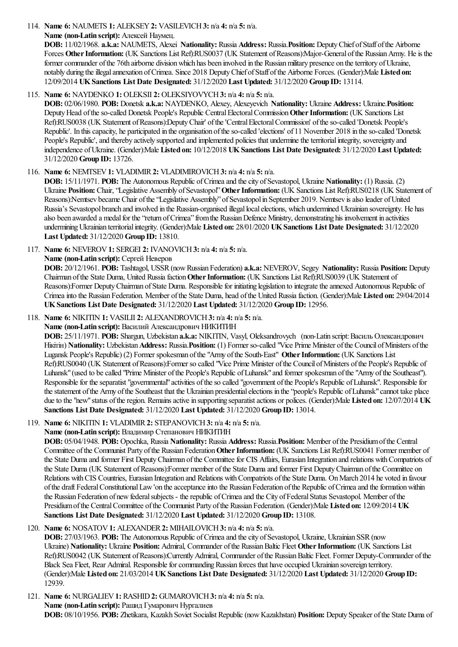114. **Name 6:** NAUMETS **1:** ALEKSEY**2:** VASILEVICH**3:** n/a **4:** n/a **5:** n/a.

**Name (non-Latin script):** Алексей Наумец.

**DOB:** 11/02/1968. **a.k.a:** NAUMETS, Alexei **Nationality:** Russia **Address:** Russia.**Position:** DeputyChief ofStaff ofthe Airborne Forces Other Information: (UK Sanctions List Ref):RUS0037 (UK Statement of Reasons):Major-General of the Russian Army. He is the former commander of the 76th airborne division which has been involved in the Russian military presence on the territory of Ukraine, notably during the illegal annexation of Crimea. Since 2018 Deputy Chief of Staff of the Airborne Forces. (Gender):Male Listed on: 12/09/2014 **UKSanctions List Date Designated:** 31/12/2020 **Last Updated:** 31/12/2020 **Group ID:** 13114.

# 115. **Name 6:** NAYDENKO **1:** OLEKSII **2:** OLEKSIYOVYCH**3:** n/a **4:** n/a **5:** n/a.

**DOB:** 02/06/1980. **POB:** Donetsk **a.k.a:** NAYDENKO, Alexey, Alexeyevich **Nationality:** Ukraine **Address:** Ukraine.**Position:** Deputy Head of the so-called Donetsk People's Republic Central Electoral Commission Other Information: (UK Sanctions List Ref):RUS0038 (UK Statement ofReasons):DeputyChair' ofthe'CentralElectoralCommission' oftheso-called 'Donetsk People's Republic'. In this capacity, he participated in the organisation of the so-called 'elections' of 11 November 2018 in the so-called 'Donetsk People's Republic', and thereby actively supported and implemented policies that undermine the territorial integrity, sovereignty and independence ofUkraine. (Gender):Male **Listed on:** 10/12/2018 **UKSanctions List Date Designated:** 31/12/2020 **Last Updated:** 31/12/2020 **Group ID:** 13726.

# 116. **Name 6:** NEMTSEV**1:** VLADIMIR**2:** VLADIMIROVICH**3:** n/a **4:** n/a **5:** n/a.

**DOB:** 15/11/1971. **POB:** The Autonomous Republic of Crimea and the city of Sevastopol, Ukraine **Nationality:** (1) Russia. (2) Ukraine Position: Chair, "Legislative Assembly of Sevastopol" Other Information: (UK Sanctions List Ref):RUS0218 (UK Statement of Reasons):Nemtsev became Chair of the "Legislative Assembly" of Sevastopol in September 2019. Nemtsev is also leader of United Russia's Sevastopol branch and involved in the Russian-organised illegal local elections, which undermined Ukrainian sovereignty. He has also been awarded a medal for the "return of Crimea" from the Russian Defence Ministry, demonstrating his involvement in activities underminingUkrainian territorialintegrity. (Gender):Male **Listed on:** 28/01/2020 **UKSanctions List Date Designated:** 31/12/2020 **Last Updated:** 31/12/2020 **Group ID:** 13810.

117. **Name 6:** NEVEROV**1:** SERGEI **2:** IVANOVICH**3:** n/a **4:** n/a **5:** n/a.

**Name (non-Latin script):** Сергей Неверов

**DOB:** 20/12/1961. **POB:** Tashtagol, USSR(nowRussian Federation) **a.k.a:** NEVEROV, Segey **Nationality:** Russia **Position:** Deputy Chairman ofthe State Duma, United Russiafaction**OtherInformation:** (UK Sanctions List Ref):RUS0039 (UK Statement of Reasons):Former Deputy Chairman of State Duma. Responsible for initiating legislation to integrate the annexed Autonomous Republic of Crimeainto the Russian Federation. Member ofthe State Duma, head ofthe United Russiafaction. (Gender):Male **Listed on:** 29/04/2014 **UKSanctions List Date Designated:** 31/12/2020 **Last Updated:** 31/12/2020 **Group ID:** 12956.

118. **Name 6:** NIKITIN **1:** VASILII **2:** ALEXANDROVICH**3:** n/a **4:** n/a **5:** n/a.

# **Name (non-Latin script):** Василий Александрович НИКИТИН

**DOB:** 25/11/1971. **POB:** Shargun, Uzbekistan **a.k.a:** NIKITIN, Vasyl, Oleksandrovych (non-Latin script:Василь Олександрович Hikirih) **Nationality:** Uzbekistan Address: Russia. Position: (1) Former so-called "Vice Prime Minister of the Council of Ministers of the Lugansk People's Republic) (2) Former spokesman ofthe"Army ofthe South-East" **OtherInformation:** (UK Sanctions List Ref):RUS0040 (UK Statement of Reasons):Former so called "Vice Prime Minister of the Council of Ministers of the People's Republic of Luhansk" (used to be called "Prime Minister of the People's Republic of Luhansk" and former spokesman of the "Army of the Southeast"). Responsible for the separatist "governmental" activities of the so called "government of the People's Republic of Luhansk". Responsible for the statement of the Army of the Southeast that the Ukrainian presidential elections in the "people's Republic of Luhansk" cannot take place dueto the"new"status oftheregion. Remainsactivein supporting separatistactions or polices. (Gender):Male **Listed on:** 12/07/2014 **UK Sanctions List Date Designated:** 31/12/2020 **Last Updated:** 31/12/2020 **Group ID:** 13014.

119. **Name 6:** NIKITIN **1:** VLADIMIR**2:** STEPANOVICH**3:** n/a **4:** n/a **5:** n/a.

# **Name (non-Latin script):** Владимир Степанович НИКИТИН

**DOB:** 05/04/1948. **POB:** Opochka, Russia **Nationality:** Russia **Address:** Russia.**Position:** Member ofthe Presidiumofthe Central Committee ofthe Communist Party ofthe Russian Federation**OtherInformation:** (UK Sanctions List Ref):RUS0041 Former member of the State Duma and former First Deputy Chairman of the Committee for CIS Affairs, Eurasian Integration and relations with Compatriots of the State Duma (UK Statement of Reasons):Former member of the State Duma and former First Deputy Chairman of the Committee on Relations with CIS Countries, Eurasian Integration and Relations with Compatriots of the State Duma. On March 2014 he voted in favour of the draft Federal Constitutional Law 'on the acceptance into the Russian Federation of the Republic of Crimea and the formation within the Russian Federation of new federal subjects - the republic of Crimea and the City of Federal Status Sevastopol. Member of the Presidiumofthe CentralCommittee ofthe Communist Party ofthe Russian Federation. (Gender):Male **Listed on:** 12/09/2014 **UK Sanctions List Date Designated:** 31/12/2020 **Last Updated:** 31/12/2020 **Group ID:** 13108.

# 120. **Name 6:** NOSATOV**1:** ALEXANDER**2:** MIHAILOVICH**3:** n/a **4:** n/a **5:** n/a.

**DOB:** 27/03/1963. **POB:** The Autonomous Republic of Crimea and the city of Sevastopol, Ukraine, Ukrainian SSR (now Ukraine) **Nationality:** Ukraine **Position:** Admiral, Commander ofthe RussianBaltic Fleet**OtherInformation:** (UK Sanctions List Ref):RUS0042 (UK Statement of Reasons):Currently Admiral, Commander of the Russian Baltic Fleet. Former Deputy-Commander of the Black Sea Fleet, Rear Admiral. Responsible for commanding Russian forces that have occupied Ukrainian sovereign territory. (Gender):Male **Listed on:** 21/03/2014 **UKSanctions List Date Designated:** 31/12/2020 **Last Updated:** 31/12/2020 **Group ID:** 12939.

121. **Name 6:** NURGALIEV**1:** RASHID**2:** GUMAROVICH**3:** n/a **4:** n/a **5:** n/a. **Name (non-Latin script):** Рашид Гумарович Нургалиев **DOB:** 08/10/1956. **POB:** Zhetikara, Kazakh Soviet Socialist Republic(nowKazakhstan) **Position:** Deputy Speaker ofthe State Duma of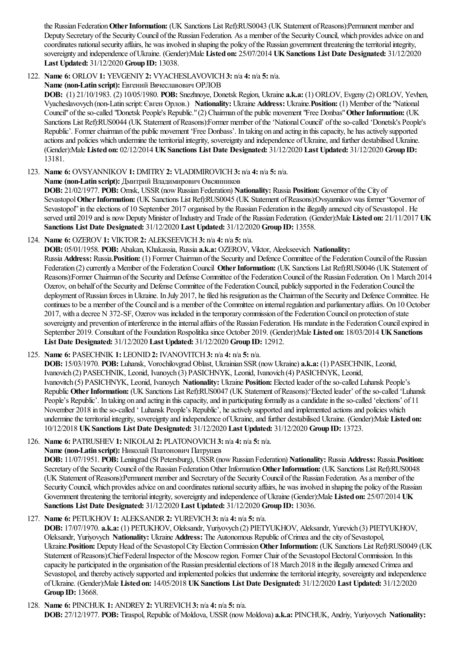the Russian Federation Other Information: (UK Sanctions List Ref):RUS0043 (UK Statement of Reasons):Permanent member and Deputy Secretary of the Security Council of the Russian Federation. As a member of the Security Council, which provides advice on and coordinates national security affairs, he was involved in shaping the policy of the Russian government threatening the territorial integrity, sovereignty and independence ofUkraine. (Gender):Male **Listed on:** 25/07/2014 **UKSanctions List Date Designated:** 31/12/2020 **Last Updated:** 31/12/2020 **Group ID:** 13038.

# 122. **Name 6:** ORLOV**1:** YEVGENIY**2:** VYACHESLAVOVICH**3:** n/a **4:** n/a **5:** n/a.

**Name (non-Latin script):** Евгений Вячеславович ОРЛОВ

**DOB:** (1) 21/10/1983. (2) 10/05/1980. **POB:** Snezhnoye, Donetsk Region, Ukraine **a.k.a:** (1) ORLOV, Evgeny (2) ORLOV, Yevhen, Vyacheslavovych (non-Latin script:Євген Орлов.) **Nationality:** Ukraine **Address:** Ukraine.**Position:** (1) Member ofthe"National Council" of the so-called "Donetsk People's Republic." (2) Chairman of the public movement "Free Donbas" Other Information: (UK Sanctions List Ref):RUS0044 (UK Statement of Reasons):Former member of the 'National Council' of the so-called 'Donetsk's People's Republic'. Former chairman of the public movement 'Free Donbass'. In taking on and acting in this capacity, he has actively supported actions and policies which undermine the territorial integrity, sovereignty and independence of Ukraine, and further destabilised Ukraine. (Gender):Male **Listed on:** 02/12/2014 **UKSanctions List Date Designated:** 31/12/2020 **Last Updated:** 31/12/2020 **Group ID:** 13181.

123. **Name 6:** OVSYANNIKOV**1:** DMITRY**2:** VLADIMIROVICH**3:** n/a **4:** n/a **5:** n/a.

**Name (non-Latin script):** Дмитрий Владимирович Овсянников

**DOB:** 21/02/1977. **POB:** Omsk, USSR(nowRussian Federation) **Nationality:** Russia **Position:** Governor ofthe City of Sevastopol Other Information: (UK Sanctions List Ref):RUS0045 (UK Statement of Reasons):Ovsyannikov was former "Governor of Sevastopol" in the elections of 10 September 2017 organised by the Russian Federation in the illegally annexed city of Sevastopol. He served until 2019 and is nowDeputyMinister ofIndustry and Trade ofthe Russian Federation. (Gender):Male **Listed on:** 21/11/2017 **UK Sanctions List Date Designated:** 31/12/2020 **Last Updated:** 31/12/2020 **Group ID:** 13558.

124. **Name 6:** OZEROV**1:** VIKTOR**2:** ALEKSEEVICH**3:** n/a **4:** n/a **5:** n/a.

**DOB:** 05/01/1958. **POB:** Abakan, Khakassia, Russia **a.k.a:** OZEROV, Viktor, Aleekseevich **Nationality:**

Russia **Address:** Russia.**Position:** (1) Former Chairman ofthe Security and Defence Committee ofthe FederationCouncil ofthe Russian Federation (2) currently a Member of the Federation Council Other Information: (UK Sanctions List Ref):RUS0046 (UK Statement of Reasons):Former Chairman of the Security and Defense Committee of the Federation Council of the Russian Federation. On 1 March 2014 Ozerov, on behalf of the Security and Defense Committee of the Federation Council, publicly supported in the Federation Council the deployment of Russian forces in Ukraine. In July 2017, he filed his resignation as the Chairman of the Security and Defence Committee. He continues to be a member of the Council and is a member of the Committee on internal regulation and parliamentary affairs. On 10 October 2017, with a decree N 372-SF, Ozerov was included in the temporary commission of the Federation Council on protection of state sovereignty and prevention of interference in the internal affairs of the Russian Federation. His mandate in the Federation Council expired in September 2019. Consultant of the Foundation Rospolitika since October 2019. (Gender):Male Listed on: 18/03/2014 UK Sanctions **List Date Designated:** 31/12/2020 **Last Updated:** 31/12/2020 **Group ID:** 12912.

125. **Name 6:** PASECHNIK **1:** LEONID**2:** IVANOVITCH**3:** n/a **4:** n/a **5:** n/a.

**DOB:** 15/03/1970. **POB:** Luhansk, Vorochilovgrad Oblast, Ukrainian SSR(nowUkraine) **a.k.a:** (1) PASECHNIK, Leonid, Ivanovich (2) PASECHNIK, Leonid, Ivanoych (3) PASICHNYK, Leonid, Ivanovich (4) PASICHNYK, Leonid, Ivanovitch (5) PASICHNYK, Leonid, Ivanoych **Nationality:** Ukraine **Position:** Elected leader oftheso-called Luhansk People's Republic Other Information: (UK Sanctions List Ref):RUS0047 (UK Statement of Reasons): Elected leader' of the so-called 'Luhansk People's Republic'. In taking on and acting in this capacity, and in participating formally as a candidate in the so-called 'elections' of 11 November 2018 in the so-called ' Luhansk People's Republic', he actively supported and implemented actions and policies which undermine the territorial integrity, sovereignty and independence of Ukraine, and further destabilised Ukraine. (Gender):Male Listed on: 10/12/2018 **UKSanctions List Date Designated:** 31/12/2020 **Last Updated:** 31/12/2020 **Group ID:** 13723.

126. **Name 6:** PATRUSHEV**1:** NIKOLAI **2:** PLATONOVICH**3:** n/a **4:** n/a **5:** n/a.

**Name (non-Latin script):** Николай Платонович Патрушев

**DOB:** 11/07/1951. **POB:** Leningrad (St Petersburg), USSR(nowRussian Federation) **Nationality:** Russia **Address:** Russia.**Position:** Secretary of the Security Council of the Russian Federation Other Information Other Information: (UK Sanctions List Ref):RUS0048 (UK Statement of Reasons):Permanent member and Secretary of the Security Council of the Russian Federation. As a member of the Security Council, which provides advice on and coordinates national security affairs, he was involved in shaping the policy of the Russian Government threatening the territorial integrity, sovereignty and independence of Ukraine (Gender):Male Listed on: 25/07/2014 UK **Sanctions List Date Designated:** 31/12/2020 **Last Updated:** 31/12/2020 **Group ID:** 13036.

# 127. **Name 6:** PETUKHOV**1:** ALEKSANDR**2:** YUREVICH**3:** n/a **4:** n/a **5:** n/a.

**DOB:** 17/07/1970. **a.k.a:** (1) PETUKHOV, Oleksandr, Yuriyovych (2) PIETYUKHOV, Aleksandr, Yurevich (3) PIETYUKHOV, Oleksandr, Yuriyovych **Nationality:** Ukraine **Address:** The Autonomous Republic ofCrimeaand thecity ofSevastopol, Ukraine.**Position:** DeputyHead ofthe SevastopolCityElectionCommission**OtherInformation:** (UK Sanctions List Ref):RUS0049 (UK Statement of Reasons):Chief Federal Inspector of the Moscow region. Former Chair of the Sevastopol Electoral Commission. In this capacity he participated in the organisation of the Russian presidential elections of 18 March 2018 in the illegally annexed Crimea and Sevastopol, and thereby actively supported and implemented policies that undermine the territorial integrity, sovereignty and independence ofUkraine. (Gender):Male **Listed on:** 14/05/2018 **UKSanctions List Date Designated:** 31/12/2020 **Last Updated:** 31/12/2020 **Group ID:** 13668.

128. **Name 6:** PINCHUK **1:** ANDREY**2:** YUREVICH**3:** n/a **4:** n/a **5:** n/a.

**DOB:** 27/12/1977. **POB:** Tiraspol, Republic ofMoldova, USSR(nowMoldova) **a.k.a:** PINCHUK, Andriy, Yuriyovych **Nationality:**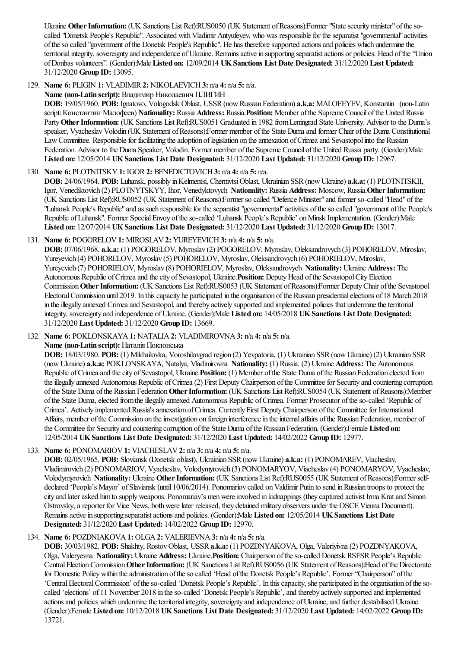Ukraine Other Information: (UK Sanctions List Ref):RUS0050 (UK Statement of Reasons):Former "State security minister" of the socalled "Donetsk People's Republic". Associated with Vladimir Antyufeyev, who was responsible for the separatist "governmental" activities oftheso called "government ofthe Donetsk People's Republic". He has thereforesupported actionsand policies which underminethe territorial integrity, sovereignty and independence of Ukraine. Remains active in supporting separatist actions or policies. Head of the "Union ofDonbas volunteers". (Gender):Male **Listed on:** 12/09/2014 **UKSanctions List Date Designated:** 31/12/2020 **Last Updated:** 31/12/2020 **Group ID:** 13095.

129. **Name 6:** PLIGIN **1:** VLADIMIR**2:** NIKOLAEVICH**3:** n/a **4:** n/a **5:** n/a.

**Name (non-Latin script):** Владимир Николаевич ПЛИГИН

**DOB:** 19/05/1960. **POB:** Ignatovo, Vologodsk Oblast, USSR(nowRussian Federation) **a.k.a:** MALOFEYEV, Konstantin (non-Latin script:Константин Малофеев) **Nationality:** Russia **Address:** Russia.**Position:** Member ofthe Supreme Council ofthe United Russia Party Other Information: (UK Sanctions List Ref):RUS0051 Graduated in 1982 from Leningrad State University. Advisor to the Duma's speaker, Vyacheslav Volodin (UK Statement of Reasons):Former member of the State Duma and former Chair of the Duma Constitutional Law Committee. Responsible for facilitating the adoption of legislation on the annexation of Crimea and Sevastopol into the Russian Federation. Advisor to the Duma Speaker, Volodin. Former member ofthe Supreme Council ofthe United Russia party. (Gender):Male **Listed on:** 12/05/2014 **UKSanctions List Date Designated:** 31/12/2020 **Last Updated:** 31/12/2020 **Group ID:** 12967.

130. **Name 6:** PLOTNITSKY**1:** IGOR**2:** BENEDICTOVICH**3:** n/a **4:** n/a **5:** n/a.

**DOB:** 24/06/1964. **POB:** Luhansk, possibly inKelmentsi, ChernivtsiOblast, Ukrainian SSR(nowUkraine) **a.k.a:** (1) PLOTNITSKII, Igor, Venediktovich (2) PLOTNYTSKYY, Ihor, Venedyktovych Nationality: Russia Address: Moscow, Russia. Other Information: (UK Sanctions List Ref):RUS0052 (UK Statement ofReasons):Former so called "Defence Minister"and former so-called "Head"ofthe "Luhansk People's Republic" and as such responsible for the separatist "governmental" activities of the so called "government of the People's Republic of Luhansk". Former Special Envoy of the so-called 'Luhansk People's Republic' on Minsk Implementation. (Gender):Male **Listed on:** 12/07/2014 **UKSanctions List Date Designated:** 31/12/2020 **Last Updated:** 31/12/2020 **Group ID:** 13017.

- 131. **Name 6:** POGORELOV**1:** MIROSLAV**2:** YUREYEVICH**3:** n/a **4:** n/a **5:** n/a. **DOB:** 07/06/1968. **a.k.a:** (1) POGORELOV, Myroslav (2) POGORELOV, Myroslav, Oleksandrovych (3) POHORELOV, Miroslav, Yureyevich (4) POHORELOV, Myroslav (5) POHORELOV, Myroslav, Oleksandrovych (6) POHORIELOV, Miroslav, Yureyevich (7) POHORIELOV, Myroslav (8) POHORIELOV, Myroslav, Oleksandrovych **Nationality:** Ukraine **Address:** The Autonomous Republic of Crimea and the city of Sevastopol, Ukraine. **Position:** Deputy Head of the Sevastopol City Election Commission**OtherInformation:** (UK Sanctions List Ref):RUS0053 (UK Statement ofReasons):Former DeputyChair ofthe Sevastopol ElectoralCommission until 2019. In thiscapacity he participated in the organisation ofthe Russian presidentialelections of 18 March 2018 in the illegally annexed Crimea and Sevastopol, and thereby actively supported and implemented policies that undermine the territorial integrity, sovereignty and independence ofUkraine. (Gender):Male **Listed on:** 14/05/2018 **UKSanctions List Date Designated:** 31/12/2020 **Last Updated:** 31/12/2020 **Group ID:** 13669.
- 132. **Name 6:** POKLONSKAYA**1:** NATALIA**2:** VLADIMIROVNA**3:** n/a **4:** n/a **5:** n/a. **Name (non-Latin script):** Наталія Поклонська

**DOB:** 18/03/1980. **POB:** (1) Mikhailovka, Voroshilovgrad region (2) Yevpatoria, (1) Ukrainian SSR(nowUkraine) (2) Ukrainian SSR (nowUkraine) **a.k.a:** POKLONSKAYA, Natalya, Vladimirovna **Nationality:** (1) Russia. (2) Ukraine **Address:** The Autonomous Republic ofCrimeaand thecity ofSevastopol, Ukraine.**Position:** (1) Member ofthe State Duma ofthe Russian Federation elected from the illegally annexed Autonomous Republic of Crimea (2) First Deputy Chairperson of the Committee for Security and countering corruption ofthe State Duma ofthe Russian Federation**OtherInformation:** (UK Sanctions List Ref):RUS0054 (UK Statement ofReasons):Member of the State Duma, elected from the illegally annexed Autonomous Republic of Crimea. Former Prosecutor of the so-called 'Republic of Crimea'. Actively implemented Russia'sannexation ofCrimea. Currently First DeputyChairperson ofthe Committeefor International Affairs, member of the Commission on the investigation on foreign interference in the internal affairs of the Russian Federation, member of the Committeefor Security and countering corruption ofthe State Duma ofthe Russian Federation. (Gender):Female **Listed on:** 12/05/2014 **UKSanctions List Date Designated:** 31/12/2020 **Last Updated:** 14/02/2022 **Group ID:** 12977.

133. **Name 6:** PONOMARIOV**1:** VIACHESLAV**2:** n/a **3:** n/a **4:** n/a **5:** n/a.

**DOB:** 02/05/1965. **POB:** Sloviansk (Donetsk oblast), Ukrainian SSR(nowUkraine) **a.k.a:** (1) PONOMAREV, Viacheslav, Vladimirovich (2) PONOMARIOV, Vyacheslav, Volodymyrovich (3) PONOMARYOV, Viacheslav (4) PONOMARYOV, Vyacheslav, Volodymyrovich **Nationality:** Ukraine **OtherInformation:** (UK Sanctions List Ref):RUS0055 (UK Statement ofReasons):Former selfdeclared 'People's Mayor' of Slaviansk (until 10/06/2014). Ponomariov called on Valdimir Putin to send in Russian troops to protect the city and laterasked himto supplyweapons. Ponomariav's menwereinvolved in kidnappings (they captured activist Irma Kratand Simon Ostrovsky, a reporter for Vice News, both were later released, they detained military observers under the OSCE Vienna Document). Remainsactivein supporting separatistactionsand policies. (Gender):Male **Listed on:** 12/05/2014 **UKSanctions List Date Designated:** 31/12/2020 **Last Updated:** 14/02/2022 **Group ID:** 12970.

# 134. **Name 6:** POZDNIAKOVA**1:** OLGA**2:** VALERIEVNA**3:** n/a **4:** n/a **5:** n/a.

**DOB:** 30/03/1982. **POB:** Shakhty, RostovOblast, USSR**a.k.a:** (1) POZDNYAKOVA, Olga, Valeriyivna(2) POZDNYAKOVA, Olga, Valeryevna **Nationality:** Ukraine **Address:** Ukraine.**Position:** Chairperson oftheso-called Donetsk RSFSRPeople's Republic CentralElectionCommission**OtherInformation:** (UK Sanctions List Ref):RUS0056 (UK Statement ofReasons):Head ofthe Directorate for Domestic Policy within the administration of the so called 'Head of the Donetsk People's Republic'. Former "Chairperson" of the 'Central Electoral Commission' of the so-called 'Donetsk People's Republic'. In this capacity, she participated in the organisation of the socalled 'elections' of 11 November 2018 in the so-called 'Donetsk People's Republic', and thereby actively supported and implemented actions and policies which undermine the territorial integrity, sovereignty and independence of Ukraine, and further destabilised Ukraine. (Gender):Female **Listed on:** 10/12/2018 **UKSanctions List Date Designated:** 31/12/2020 **Last Updated:** 14/02/2022 **Group ID:** 13721.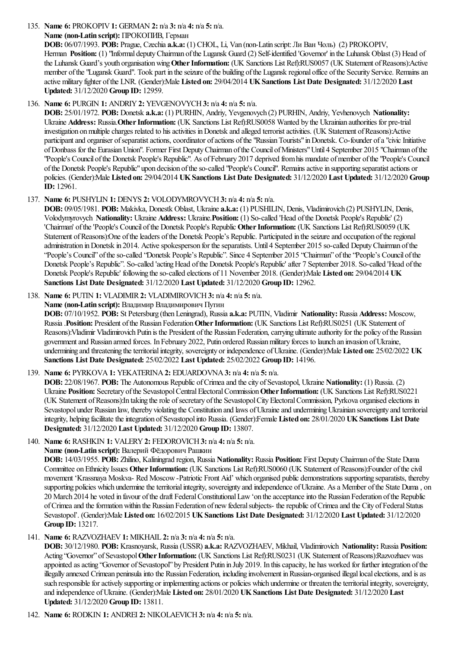135. **Name 6:** PROKOPIV**1:** GERMAN **2:** n/a **3:** n/a **4:** n/a **5:** n/a.

**Name (non-Latin script):** ПРОКОПИВ, Герман

**DOB:** 06/07/1993. **POB:** Prague, Czechia **a.k.a:** (1) CHOL, Li, Van (non-Latin script:Ли Ван Чоль) (2) PROKOPIV, Herman **Position:** (1) "Informal deputy Chairman of the Lugansk Guard (2) Self-identified 'Governor' in the Luhansk Oblast (3) Head of the Luhansk Guard's youth organisation wing Other Information: (UK Sanctions List Ref):RUS0057 (UK Statement of Reasons):Active member of the "Lugansk Guard". Took part in the seizure of the building of the Lugansk regional office of the Security Service. Remains an active military fighter ofthe LNR. (Gender):Male **Listed on:** 29/04/2014 **UKSanctions List Date Designated:** 31/12/2020 **Last Updated:** 31/12/2020 **Group ID:** 12959.

# 136. **Name 6:** PURGIN **1:** ANDRIY**2:** YEVGENOVYCH**3:** n/a **4:** n/a **5:** n/a.

**DOB:** 25/01/1972. **POB:** Donetsk **a.k.a:** (1) PURHIN, Andriy, Yevgenovych (2) PURHIN, Andriy, Yevhenovych **Nationality:** Ukraine **Address:** Russia.**OtherInformation:** (UK Sanctions List Ref):RUS0058 Wanted by the Ukrainian authorities for pre-trial investigation on multiple charges related to his activities in Donetsk and alleged terrorist activities. (UK Statement of Reasons):Active participant and organiser of separatist actions, coordinator of actions of the "Russian Tourists" in Donetsk. Co-founder of a "civic Initiative ofDonbass for the EurasianUnion". Former First DeputyChairman ofthe Council ofMinisters"Until 4 September 2015 "Chairman ofthe "People's Council ofthe Donetsk People's Republic". As ofFebruary 2017 deprived fromhis mandate ofmember ofthe"People's Council ofthe Donetsk People's Republic"upon decision oftheso-called "People's Council". Remainsactivein supporting separatistactions or policies. (Gender):Male **Listed on:** 29/04/2014 **UKSanctions List Date Designated:** 31/12/2020 **Last Updated:** 31/12/2020 **Group ID:** 12961.

# 137. **Name 6:** PUSHYLIN **1:** DENYS **2:** VOLODYMROVYCH**3:** n/a **4:** n/a **5:** n/a.

**DOB:** 09/05/1981. **POB:** Makivka, Donestk Oblast, Ukraine **a.k.a:** (1) PUSHILIN, Denis, Vladimirovich (2) PUSHYLIN, Denis, Volodymyrovych **Nationality:** Ukraine **Address:** Ukraine.**Position:** (1) So-called 'Head ofthe Donetsk People's Republic' (2) 'Chairman' ofthe'People's Council ofthe Donetsk People's Republic **OtherInformation:** (UK Sanctions List Ref):RUS0059 (UK Statement of Reasons):One of the leaders of the Donetsk People's Republic. Participated in the seizure and occupation of the regional administration in Donetsk in 2014. Active spokesperson for the separatists. Until 4 September 2015 so-called Deputy Chairman of the "People's Council" of the so-called "Donetsk People's Republic". Since 4 September 2015 "Chairman" of the "People's Council of the Donetsk People's Republic". So-called 'acting Head of the Donetsk People's Republic' after 7 September 2018. So-called 'Head of the Donetsk People's Republic' following theso-called elections of 11 November 2018. (Gender):Male **Listed on:** 29/04/2014 **UK Sanctions List Date Designated:** 31/12/2020 **Last Updated:** 31/12/2020 **Group ID:** 12962.

# 138. **Name 6:** PUTIN **1:** VLADIMIR**2:** VLADIMIROVICH**3:** n/a **4:** n/a **5:** n/a.

**Name (non-Latin script):** Владимир Владимирович Путин

**DOB:** 07/10/1952. **POB:** St Petersburg (thenLeningrad), Russia **a.k.a:** PUTIN, Vladimir **Nationality:** Russia **Address:** Moscow, Russia.**Position:** President ofthe Russian Federation**OtherInformation:** (UK Sanctions List Ref):RUS0251 (UK Statement of Reasons): Vladimir Vladimirovich Putin is the President of the Russian Federation, carrying ultimate authority for the policy of the Russian government and Russian armed forces. In February 2022, Putin ordered Russian military forces to launch an invasion of Ukraine, undermining and threatening theterritorialintegrity, sovereignty or independence ofUkraine. (Gender):Male **Listed on:** 25/02/2022 **UK Sanctions List Date Designated:** 25/02/2022 **Last Updated:** 25/02/2022 **Group ID:** 14196.

# 139. **Name 6:** PYRKOVA**1:** YEKATERINA**2:** EDUARDOVNA**3:** n/a **4:** n/a **5:** n/a.

**DOB:** 22/08/1967. **POB:** The Autonomous Republic of Crimea and the city of Sevastopol, Ukraine Nationality: (1) Russia. (2) Ukraine **Position:** Secretary ofthe SevastopolCentralElectoralCommission**OtherInformation:** (UK Sanctions List Ref):RUS0221 (UK Statement ofReasons):In taking therole ofsecretary ofthe SevastopolCityElectoralCommission, Pyrkova organised elections in Sevastopol under Russian law, thereby violating the Constitution and laws of Ukraine and undermining Ukrainian sovereignty and territorial integrity, helping facilitate the integration of Sevastopol into Russia. (Gender):Female Listed on: 28/01/2020 UK Sanctions List Date **Designated:** 31/12/2020 **Last Updated:** 31/12/2020 **Group ID:** 13807.

140. **Name 6:** RASHKIN **1:** VALERY**2:** FEDOROVICH**3:** n/a **4:** n/a **5:** n/a.

**Name (non-Latin script):** Валерий Фëдoрoвич Рашкин

**DOB:** 14/03/1955. **POB:** Zhilino, Kaliningrad region, Russia **Nationality:** Russia **Position:** First DeputyChairman ofthe State Duma Committee on Ethnicity Issues Other Information: (UK Sanctions List Ref):RUS0060 (UK Statement of Reasons):Founder of the civil movement 'Krassnaya Moskva- Red Moscow-Patriotic Front Aid' which organised public demonstrations supporting separatists, thereby supporting policies which undermine the territorial integrity, sovereignty and independence of Ukraine. As a Member of the State Duma, on 20 March 2014 he voted in favour ofthe draft FederalConstitutionalLaw'on theacceptanceinto the Russian Federation ofthe Republic of Crimea and the formation within the Russian Federation of new federal subjects- the republic of Crimea and the City of Federal Status Sevastopol'. (Gender):Male **Listed on:** 16/02/2015 **UKSanctions List Date Designated:** 31/12/2020 **Last Updated:** 31/12/2020 **Group ID:** 13217.

# 141. **Name 6:** RAZVOZHAEV**1:** MIKHAIL **2:** n/a **3:** n/a **4:** n/a **5:** n/a.

**DOB:** 30/12/1980. **POB:** Krasnoyarsk, Russia(USSR) **a.k.a:** RAZVOZHAEV, Mikhail, Vladimirovich **Nationality:** Russia **Position:** Acting "Governor" of Sevastopol Other Information: (UK Sanctions List Ref):RUS0231 (UK Statement of Reasons):Razvozhaev was appointed as acting "Governor of Sevastopol" by President Putin in July 2019. In this capacity, he has worked for further integration of the illegally annexed Crimean peninsula into the Russian Federation, including involvement in Russian-organised illegal local elections, and is as such responsible for actively supporting or implementing actions or policies which undermine or threaten the territorial integrity, sovereignty, and independence ofUkraine. (Gender):Male **Listed on:** 28/01/2020 **UKSanctions List Date Designated:** 31/12/2020 **Last Updated:** 31/12/2020 **Group ID:** 13811.

142. **Name 6:** RODKIN **1:** ANDREI **2:** NIKOLAEVICH**3:** n/a **4:** n/a **5:** n/a.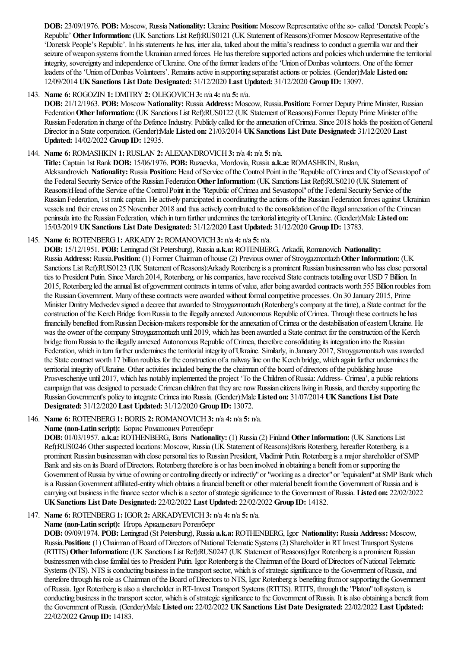**DOB:** 23/09/1976. **POB:** Moscow, Russia **Nationality:** Ukraine **Position:** MoscowRepresentative oftheso- called 'Donetsk People's Republic' Other Information: (UK Sanctions List Ref):RUS0121 (UK Statement of Reasons):Former Moscow Representative of the 'Donetsk People's Republic'. In his statements he has, inter alia, talked about the militia's readiness to conduct a guerrilla war and their seizure of weapon systems from the Ukrainian armed forces. He has therefore supported actions and policies which undermine the territorial integrity, sovereignty and independence of Ukraine. One of the former leaders of the 'Union of Donbas volunteers. One of the former leaders ofthe'Union ofDonbas Volunteers'. Remainsactivein supporting separatistactions or policies. (Gender):Male **Listed on:** 12/09/2014 **UKSanctions List Date Designated:** 31/12/2020 **Last Updated:** 31/12/2020 **Group ID:** 13097.

# 143. **Name 6:** ROGOZIN **1:** DMITRY**2:** OLEGOVICH**3:** n/a **4:** n/a **5:** n/a.

**DOB:** 21/12/1963. **POB:** Moscow**Nationality:** Russia **Address:** Moscow, Russia.**Position:** Former Deputy Prime Minister, Russian Federation Other Information: (UK Sanctions List Ref):RUS0122 (UK Statement of Reasons):Former Deputy Prime Minister of the Russian Federation in charge of the Defence Industry. Publicly called for the annexation of Crimea. Since 2018 holds the position of General Director in a Statecorporation. (Gender):Male **Listed on:** 21/03/2014 **UKSanctions List Date Designated:** 31/12/2020 **Last Updated:** 14/02/2022 **Group ID:** 12935.

### 144. **Name 6:** ROMASHKIN **1:** RUSLAN **2:** ALEXANDROVICH**3:** n/a **4:** n/a **5:** n/a.

**Title:** Captain 1st Rank **DOB:** 15/06/1976. **POB:** Ruzaevka, Mordovia, Russia **a.k.a:** ROMASHKIN, Ruslan, Aleksandrovich Nationality: Russia Position: Head of Service of the Control Point in the 'Republic of Crimea and City of Sevastopol' of the Federal Security Service of the Russian Federation Other Information: (UK Sanctions List Ref):RUS0210 (UK Statement of Reasons): Head of the Service of the Control Point in the "Republic of Crimea and Sevastopol" of the Federal Security Service of the Russian Federation, 1st rank captain. He actively participated in coordinating the actions of the Russian Federation forces against Ukrainian vessels and their crews on 25 November 2018 and thus actively contributed to the consolidation of the illegal annexation of the Crimean peninsula into the Russian Federation, which in turn further undermines the territorial integrity of Ukraine. (Gender):Male Listed on: 15/03/2019 **UKSanctions List Date Designated:** 31/12/2020 **Last Updated:** 31/12/2020 **Group ID:** 13783.

### 145. **Name 6:** ROTENBERG**1:** ARKADY**2:** ROMANOVICH**3:** n/a **4:** n/a **5:** n/a.

**DOB:** 15/12/1951. **POB:** Leningrad (St Petersburg), Russia **a.k.a:** ROTENBERG, Arkadii, Romanovich **Nationality:** Russia **Address:** Russia.**Position:** (1) Former Chairman of house(2) Previous owner ofStroygazmontazh**OtherInformation:** (UK Sanctions List Ref):RUS0123 (UK Statement of Reasons):Arkady Rotenberg is a prominent Russian businessman who has close personal ties to President Putin. Since March 2014, Rotenberg, or his companies, have received State contracts totalling over USD 7 Billion. In 2015, Rotenberg led the annual list of government contracts in terms of value, after being awarded contracts worth 555 Billion roubles from the Russian Government. Many of these contracts were awarded without formal competitive processes. On 30 January 2015, Prime Minister Dmitry Medvedev signed a decree that awarded to Stroygazmontazh (Rotenberg's company at the time), a State contract for the construction of the Kerch Bridge from Russia to the illegally annexed Autonomous Republic of Crimea. Through these contracts he has financially benefited from Russian Decision-makers responsible for the annexation of Crimea or the destabilisation of eastern Ukraine. He was the owner of the company Stroygazmontazh until 2019, which has been awarded a State contract for the construction of the Kerch bridge from Russia to the illegally annexed Autonomous Republic of Crimea, therefore consolidating its integration into the Russian Federation, which in turn further undermines the territorial integrity of Ukraine. Similarly, in January 2017, Stroygazmontazh was awarded the State contract worth 17 billion roubles for the construction of a railway line on the Kerch bridge, which again further undermines the territorial integrity of Ukraine. Other activities included being the the chairman of the board of directors of the publishing house Prosvescheniye until 2017, which has notably implemented the project 'To the Children of Russia: Address- Crimea', a public relations campaign that was designed to persuade Crimean children that they are now Russian citizens living in Russia, and thereby supporting the RussianGovernment's policy to integrate Crimeainto Russia. (Gender):Male **Listed on:** 31/07/2014 **UKSanctions List Date Designated:** 31/12/2020 **Last Updated:** 31/12/2020 **Group ID:** 13072.

# 146. **Name 6:** ROTENBERG**1:** BORIS **2:** ROMANOVICH**3:** n/a **4:** n/a **5:** n/a.

### **Name (non-Latin script):** Борис Романович Ротенберг

**DOB:** 01/03/1957. **a.k.a:** ROTHENBERG, Boris **Nationality:** (1) Russia(2) Finland **OtherInformation:** (UK Sanctions List Ref):RUS0246 Other suspected locations: Moscow, Russia (UK Statement of Reasons):Boris Rotenberg, hereafter Rotenberg, is a prominent Russian businessmanwith close personalties to Russian President, Vladimir Putin. Rotenberg isa major shareholder ofSMP Bank and sits on its Board of Directors. Rotenberg therefore is or has been involved in obtaining a benefit from or supporting the Government of Russia by virtue of owning or controlling directly or indirectly" or "working as a director" or "equivalent" at SMP Bank which is a Russian Government affiliated-entity which obtains a financial benefit or other material benefit from the Government of Russia and is carrying out business in the finance sector which is a sector of strategic significance to the Government of Russia. Listed on:  $22/02/2022$ **UKSanctions List Date Designated:** 22/02/2022 **Last Updated:** 22/02/2022 **Group ID:** 14182.

# 147. **Name 6:** ROTENBERG**1:** IGOR**2:** ARKADYEVICH**3:** n/a **4:** n/a **5:** n/a.

# **Name (non-Latin script):** Игорь Аркадьевич Ротенберг

**DOB:** 09/09/1974. **POB:** Leningrad (St Petersburg), Russia **a.k.a:** ROTHENBERG, Igor **Nationality:** Russia **Address:** Moscow, Russia.**Position:** (1) Chairman ofBoard ofDirectors ofNationalTelematic Systems (2) Shareholder inRT Invest Transport Systems (RTITS) Other Information: (UK Sanctions List Ref):RUS0247 (UK Statement of Reasons):Igor Rotenberg is a prominent Russian businessmen with close familial ties to President Putin. Igor Rotenberg is the Chairman of the Board of Directors of National Telematic Systems (NTS). NTS is conducting business in the transport sector, which is of strategic significance to the Government of Russia, and therefore through his role as Chairman of the Board of Directors to NTS, Igor Rotenberg is benefiting from or supporting the Government ofRussia. Igor Rotenberg isalso ashareholder inRT-Invest Transport Systems (RTITS). RTITS, through the"Platon"tollsystem, is conducting business in the transport sector, which is of strategic significance to the Government of Russia. It is also obtaining a benefit from the Government ofRussia. (Gender):Male **Listed on:** 22/02/2022 **UKSanctions List Date Designated:** 22/02/2022 **Last Updated:** 22/02/2022 **Group ID:** 14183.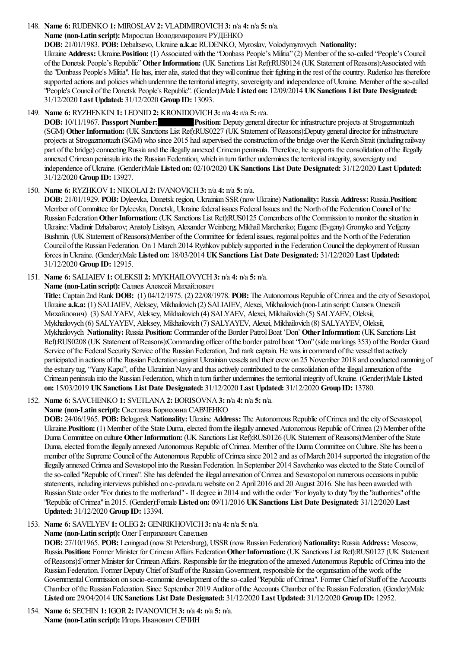### 148. **Name 6:** RUDENKO **1:** MIROSLAV**2:** VLADIMIROVICH**3:** n/a **4:** n/a **5:** n/a.

### **Name (non-Latin script):** Мирослав Володимирович РУДЕНКО

**DOB:** 21/01/1983. **POB:** Debaltsevo, Ukraine **a.k.a:** RUDENKO, Myroslav, Volodymyrovych **Nationality:** Ukraine **Address:** Ukraine.**Position:** (1) Associated with the"Donbass People's Militia"(2) Member oftheso-called "People's Council ofthe Donetsk People's Republic"**OtherInformation:** (UK Sanctions List Ref):RUS0124 (UK Statement ofReasons):Associated with the "Donbass People's Militia". He has, inter alia, stated that they will continue their fighting in the rest of the country. Rudenko has therefore supported actions and policies which undermine the territorial integrity, sovereignty and independence of Ukraine. Member of the so-called "People's Council ofthe Donetsk People's Republic". (Gender):Male **Listed on:** 12/09/2014 **UKSanctions List Date Designated:** 31/12/2020 **Last Updated:** 31/12/2020 **Group ID:** 13093.

### 149. **Name 6:** RYZHENKIN **1:** LEONID**2:** KRONIDOVICH**3:** n/a **4:** n/a **5:** n/a.

**DOB:** 10/11/1967. **Passport Number: Position:** Deputy general director for infrastructure projects at Strogazmontazh (SGM) Other Information: (UK Sanctions List Ref):RUS0227 (UK Statement of Reasons):Deputy general director for infrastructure projects at Strogazmontazh (SGM) who since 2015 had supervised the construction of the bridge over the Kerch Strait (including railway part of the bridge) connecting Russia and the illegally annexed Crimean peninsula. Therefore, he supports the consolidation of the illegally annexed Crimean peninsula into the Russian Federation, which in turn further undermines the territorial integrity, sovereignty and independence ofUkraine. (Gender):Male **Listed on:** 02/10/2020 **UKSanctions List Date Designated:** 31/12/2020 **Last Updated:** 31/12/2020 **Group ID:** 13927.

150. **Name 6:** RYZHKOV**1:** NIKOLAI **2:** IVANOVICH**3:** n/a **4:** n/a **5:** n/a.

**DOB:** 21/01/1929. **POB:** Dyleevka, Donetsk region, Ukrainian SSR(nowUkraine) **Nationality:** Russia **Address:** Russia.**Position:** Member of Committee for Dyleevka, Donetsk, Ukraine federal issues Federal Issues and the North of the Federation Council of the Russian Federation Other Information: (UK Sanctions List Ref):RUS0125 Comembers of the Commission to monitor the situation in Ukraine:Vladimir Dzhabarov; AnatolyLisitsyn, Alexander Weinberg; MikhailMarchenko; Eugene(Evgeny) Gromyko and Yefgeny Bushmin. (UK Statement of Reasons):Member of the Committee for federal issues, regional politics and the North of the Federation Council of the Russian Federation. On 1 March 2014 Ryzhkov publicly supported in the Federation Council the deployment of Russian forces inUkraine. (Gender):Male **Listed on:** 18/03/2014 **UKSanctions List Date Designated:** 31/12/2020 **Last Updated:** 31/12/2020 **Group ID:** 12915.

# 151. **Name 6:** SALIAIEV**1:** OLEKSII **2:** MYKHAILOVYCH**3:** n/a **4:** n/a **5:** n/a.

**Name (non-Latin script):** Саляев Алексей Михайлович

**Title:** Captain 2nd Rank **DOB:** (1) 04/12/1975. (2) 22/08/1978. **POB:** The Autonomous Republic ofCrimeaand thecity ofSevastopol, Ukraine **a.k.a:** (1) SALIAIEV, Aleksey, Mikhailovich (2) SALIAIEV, Alexei, Mikhailovich (non-Latin script:Саляєв Олексій Михайлович) (3) SALYAEV, Aleksey, Mikhailovich (4) SALYAEV, Alexei, Mikhailovich (5) SALYAEV, Oleksii, Mykhailovych (6) SALYAYEV, Aleksey, Mikhailovich (7) SALYAYEV, Alexei, Mikhailovich (8) SALYAYEV, Oleksii, Mykhailovych **Nationality:** Russia **Position:** Commander ofthe Border PatrolBoat 'Don' **OtherInformation:** (UK Sanctions List Ref):RUS0208 (UK Statement ofReasons):Commanding officer ofthe border patrol boat"Don"(side markings 353) ofthe Border Guard Service of the Federal Security Service of the Russian Federation, 2nd rank captain. He was in command of the vessel that actively participated in actions of the Russian Federation against Ukrainian vessels and their crew on 25 November 2018 and conducted ramming of the estuary tug, "Yany Kapu", of the Ukrainian Navy and thus actively contributed to the consolidation of the illegal annexation of the Crimean peninsulainto the Russian Federation, which in turn further undermines theterritorialintegrity ofUkraine. (Gender):Male **Listed on:** 15/03/2019 **UKSanctions List Date Designated:** 31/12/2020 **Last Updated:** 31/12/2020 **Group ID:** 13780.

# 152. **Name 6:** SAVCHENKO **1:** SVETLANA**2:** BORISOVNA**3:** n/a **4:** n/a **5:** n/a.

**Name (non-Latin script):** Светлана Борисовна САВЧЕНКО

**DOB:** 24/06/1965. **POB:** Belogorsk **Nationality:** Ukraine **Address:** The Autonomous Republic ofCrimeaand thecity ofSevastopol, Ukraine. **Position:** (1) Member of the State Duma, elected from the illegally annexed Autonomous Republic of Crimea (2) Member of the Duma Committee on culture **OtherInformation:** (UK Sanctions List Ref):RUS0126 (UK Statement ofReasons):Member ofthe State Duma, elected from the illegally annexed Autonomous Republic of Crimea. Member of the Duma Committee on Culture. She has been a member of the Supreme Council of the Autonomous Republic of Crimea since 2012 and as of March 2014 supported the integration of the illegally annexed Crimea and Sevastopol into the Russian Federation. In September 2014 Savchenko was elected to the State Council of the so-called "Republic of Crimea". She has defended the illegal annexation of Crimea and Sevastopol on numerous occasions in public statements, including interviews published on c-pravda.ruwebsite on 2 April 2016 and 20 August 2016. She has been awarded with Russian State order "For duties to the motherland" - II degree in 2014 and with the order "For loyalty to duty "by the "authorities" of the "Republic ofCrimea"in 2015. (Gender):Female **Listed on:** 09/11/2016 **UKSanctions List Date Designated:** 31/12/2020 **Last Updated:** 31/12/2020 **Group ID:** 13394.

# 153. **Name 6:** SAVELYEV**1:** OLEG**2:** GENRIKHOVICH**3:** n/a **4:** n/a **5:** n/a.

# **Name (non-Latin script):** Олег Генрихович Савельев

**DOB:** 27/10/1965. **POB:** Leningrad (nowSt Petersburg), USSR(nowRussian Federation) **Nationality:** Russia **Address:** Moscow, Russia.**Position:** Former Minister for CrimeanAffairs Federation**OtherInformation:** (UK Sanctions List Ref):RUS0127 (UK Statement of Reasons):Former Minister for Crimean Affairs. Responsible for the integration of the annexed Autonomous Republic of Crimea into the Russian Federation. Former Deputy Chief of Staff of the Russian Government, responsible for the organisation of the work of the Governmental Commission on socio-economic development of the so-called "Republic of Crimea". Former Chief of Staff of the Accounts Chamber ofthe Russian Federation. Since September 2019 Auditor ofthe Accounts Chamber ofthe Russian Federation. (Gender):Male **Listed on:** 29/04/2014 **UKSanctions List Date Designated:** 31/12/2020 **Last Updated:** 31/12/2020 **Group ID:** 12952.

154. **Name 6:** SECHIN **1:** IGOR**2:** IVANOVICH**3:** n/a **4:** n/a **5:** n/a. **Name (non-Latin script):** Игорь Иванович СЕЧИН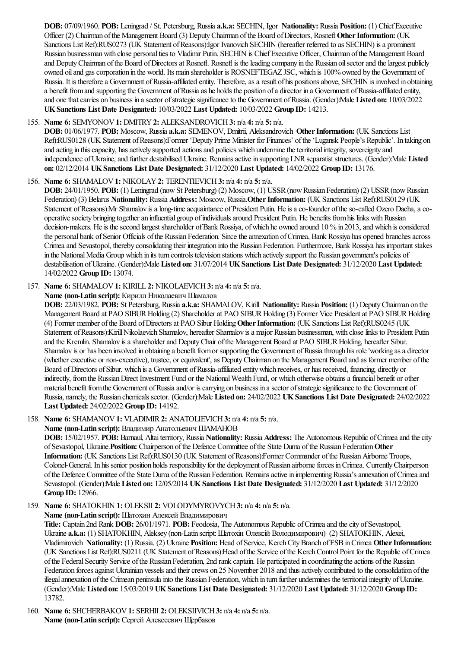**DOB:** 07/09/1960. **POB:** Leningrad / St. Petersburg, Russia **a.k.a:** SECHIN, Igor **Nationality:** Russia **Position:** (1) ChiefExecutive Officer (2) Chairman of the Management Board (3) Deputy Chairman of the Board of Directors, Rosneft Other Information: (UK Sanctions List Ref):RUS0273 (UK Statement of Reasons):Igor Ivanovich SECHIN (hereafter referred to as SECHIN) is a prominent Russian businessmanwith close personalties to Vladimir Putin. SECHIN is ChiefExecutive Officer, Chairman ofthe Management Board and Deputy Chairman of the Board of Directors at Rosneft. Rosneft is the leading company in the Russian oil sector and the largest publicly owned oil and gas corporation in the world. Its main shareholder is ROSNEFTEGAZ JSC, which is 100% owned by the Government of Russia. It is therefore a Government of Russia-affiliated entity. Therefore, as a result of his positions above, SECHIN is involved in obtaining a benefit from and supporting the Government of Russia as he holds the position of a director in a Government of Russia-affiliated entity, and one that carries on business in a sector of strategic significance to the Government of Russia. (Gender):Male Listed on:  $10/03/2022$ **UKSanctions List Date Designated:** 10/03/2022 **Last Updated:** 10/03/2022 **Group ID:** 14213.

### 155. **Name 6:** SEMYONOV**1:** DMITRY**2:** ALEKSANDROVICH**3:** n/a **4:** n/a **5:** n/a.

**DOB:** 01/06/1977. **POB:** Moscow, Russia **a.k.a:** SEMENOV, Dmitrii, Aleksandrovich **OtherInformation:** (UK Sanctions List Ref):RUS0128 (UK Statement ofReasons):Former 'Deputy Prime Minister for Finances' ofthe'Lugansk People's Republic'. In taking on and acting in this capacity, has actively supported actions and policies which undermine the territorial integrity, sovereignty and independence of Ukraine, and further destabilised Ukraine. Remains active in supporting LNR separatist structures. (Gender):Male Listed **on:** 02/12/2014 **UKSanctions List Date Designated:** 31/12/2020 **Last Updated:** 14/02/2022 **Group ID:** 13176.

### 156. **Name 6:** SHAMALOV**1:** NIKOLAY**2:** TERENTIEVICH**3:** n/a **4:** n/a **5:** n/a.

**DOB:** 24/01/1950. **POB:** (1) Leningrad (now St Petersburg) (2) Moscow, (1) USSR (now Russian Federation) (2) USSR (now Russian Federation) (3) Belarus **Nationality:** Russia **Address:** Moscow, Russia.**OtherInformation:** (UK Sanctions List Ref):RUS0129 (UK Statement of Reasons):Mr Shamalov is a long-time acquaintance of President Putin. He is a co-founder of the so-called Ozero Dacha, a cooperative society bringing together an influential group of individuals around President Putin. He benefits from his links with Russian decision-makers. He is the second largest shareholder of Bank Rossiya, of which he owned around 10 % in 2013, and which is considered the personal bank of Senior Officials of the Russian Federation. Since the annexation of Crimea, Bank Rossiya has opened branches across Crimeaand Sevastopol, thereby consolidating their integration into the Russian Federation. Furthermore, Bank Rossiya has importantstakes in the National Media Group which in its turn controls television stations which actively support the Russian government's policies of destabilisation ofUkraine. (Gender):Male **Listed on:** 31/07/2014 **UKSanctions List Date Designated:** 31/12/2020 **Last Updated:** 14/02/2022 **Group ID:** 13074.

### 157. **Name 6:** SHAMALOV**1:** KIRILL **2:** NIKOLAEVICH**3:** n/a **4:** n/a **5:** n/a.

**Name (non-Latin script):** Кирилл Николаевич Шамалов

**DOB:** 22/03/1982. **POB:** St Petersburg, Russia **a.k.a:** SHAMALOV, Kirill **Nationality:** Russia **Position:** (1) DeputyChairman on the Management Board at PAO SIBUR Holding (2) Shareholder at PAO SIBUR Holding (3) Former Vice President at PAO SIBUR Holding (4) Former member ofthe Board ofDirectorsat PAO Sibur Holding**OtherInformation:** (UK Sanctions List Ref):RUS0245 (UK Statement of Reasons): Kirill Nikolaevich Shamalov, hereafter Shamalov is a major Russian businessman, with close links to President Putin and the Kremlin. Shamalov is a shareholder and Deputy Chair of the Management Board at PAO SIBUR Holding, hereafter Sibur. Shamalov is or has been involved in obtaining a benefit fromor supporting the Government ofRussiathrough his role'working asa director (whether executive or non-executive), trustee, or equivalent', as Deputy Chairman on the Management Board and as former member of the Board of Directors of Sibur, which is a Government of Russia-affiliated entity which receives, or has received, financing, directly or indirectly, fromthe RussianDirect Investment Fund or the NationalWealth Fund, or which otherwise obtainsafinancial benefit or other material benefit from the Government of Russia and/or is carrying on business in a sector of strategic significance to the Government of Russia, namely, the Russian chemicals sector. (Gender):Male **Listed on:** 24/02/2022 **UKSanctions List Date Designated:** 24/02/2022 **Last Updated:** 24/02/2022 **Group ID:** 14192.

# 158. **Name 6:** SHAMANOV**1:** VLADIMIR**2:** ANATOLIEVICH**3:** n/a **4:** n/a **5:** n/a.

**Name (non-Latin script):** Владимир Анатольевич ШАМАНОВ

**DOB:** 15/02/1957. **POB:** Barnaul, Altaiterritory, Russia **Nationality:** Russia **Address:** The Autonomous Republic ofCrimeaand thecity ofSevastopol, Ukraine.**Position:** Chairperson ofthe Defence Committee ofthe State Duma ofthe Russian Federation**Other Information:** (UK Sanctions List Ref):RUS0130 (UK Statement ofReasons):Former Commander ofthe RussianAirborne Troops, Colonel-General. In his senior position holds responsibility for the deployment of Russian airborne forces in Crimea. Currently Chairperson of the Defence Committee of the State Duma of the Russian Federation. Remains active in implementing Russia's annexation of Crimea and Sevastopol. (Gender):Male **Listed on:** 12/05/2014 **UKSanctions List Date Designated:** 31/12/2020 **Last Updated:** 31/12/2020 **Group ID:** 12966.

159. **Name 6:** SHATOKHIN **1:** OLEKSII **2:** VOLODYMYROVYCH**3:** n/a **4:** n/a **5:** n/a.

### **Name (non-Latin script):** Шатохин Алексей Владимирович

Title: Captain 2nd Rank DOB: 26/01/1971. POB: Feodosia, The Autonomous Republic of Crimea and the city of Sevastopol, Ukraine **a.k.a:** (1) SHATOKHIN, Aleksey (non-Latin script:Шатохін Олексій Володимирович) (2) SHATOKHIN, Alexei, Vladimirovich **Nationality:** (1) Russia. (2) Ukraine **Position:** Head ofService, KerchCityBranch ofFSBinCrimea **OtherInformation:** (UK Sanctions List Ref):RUS0211 (UK Statement ofReasons):Head ofthe Service ofthe KerchControlPoint for the Republic ofCrimea of the Federal Security Service of the Russian Federation, 2nd rank captain. He participated in coordinating the actions of the Russian Federation forces against Ukrainian vessels and their crews on 25 November 2018 and thus actively contributed to the consolidation of the illegalannexation ofthe Crimean peninsulainto the Russian Federation, which in turn further undermines theterritorialintegrity ofUkraine. (Gender):Male **Listed on:** 15/03/2019 **UKSanctions List Date Designated:** 31/12/2020 **Last Updated:** 31/12/2020 **Group ID:** 13782.

160. **Name 6:** SHCHERBAKOV**1:** SERHII **2:** OLEKSIIVICH**3:** n/a **4:** n/a **5:** n/a. **Name (non-Latin script):** Сергей Алексеевич Щербаков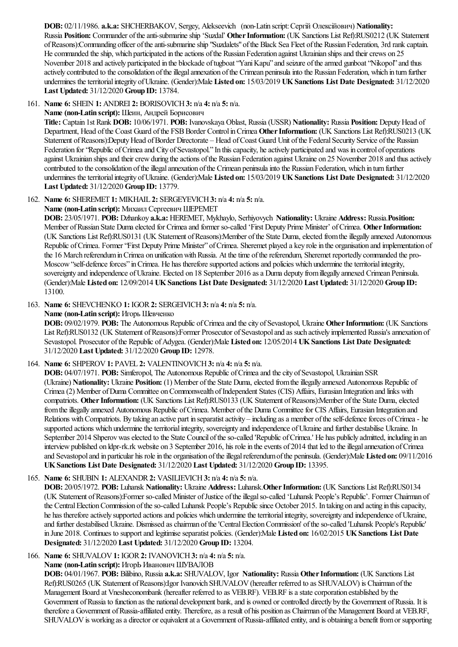**DOB:** 02/11/1986. **a.k.a:** SHCHERBAKOV, Sergey, Alekseevich (non-Latin script:Сергій Олексійович) **Nationality:** Russia **Position:** Commander of the anti-submarine ship 'Suzdal' **Other Information:** (UK Sanctions List Ref):RUS0212 (UK Statement ofReasons):Commanding officer oftheanti-submarineship "Suzdalets"ofthe Black Sea Fleet ofthe Russian Federation, 3rd rank captain. He commanded the ship, which participated in the actions of the Russian Federation against Ukrainian ships and their crews on 25 November 2018 and actively participated in the blockade oftugboat"YaniKapu"and seizure ofthearmed gunboat"Nikopol"and thus actively contributed to the consolidation of the illegal annexation of the Crimean peninsula into the Russian Federation, which in turn further undermines theterritorialintegrity ofUkraine. (Gender):Male **Listed on:** 15/03/2019 **UKSanctions List Date Designated:** 31/12/2020 **Last Updated:** 31/12/2020 **Group ID:** 13784.

161. **Name 6:** SHEIN **1:** ANDREI **2:** BORISOVICH**3:** n/a **4:** n/a **5:** n/a.

**Name (non-Latin script):** Шеин, Андрей Борисович

**Title:** Captain 1st Rank **DOB:** 10/06/1971. **POB:** Ivanovskaya Oblast, Russia(USSR) **Nationality:** Russia **Position:** DeputyHead of Department, Head of the Coast Guard of the FSB Border Control in Crimea Other Information: (UK Sanctions List Ref):RUS0213 (UK Statement of Reasons):Deputy Head of Border Directorate – Head of Coast Guard Unit of the Federal Security Service of the Russian Federation for "Republic of Crimea and City of Sevastopol." In this capacity, he actively participated and was in control of operations against Ukrainian ships and their crew during the actions of the Russian Federation against Ukraine on 25 November 2018 and thus actively contributed to the consolidation of the illegal annexation of the Crimean peninsulainto the Russian Federation, which in turn further undermines theterritorialintegrity ofUkraine. (Gender):Male **Listed on:** 15/03/2019 **UKSanctions List Date Designated:** 31/12/2020 **Last Updated:** 31/12/2020 **Group ID:** 13779.

162. **Name 6:** SHEREMET **1:** MIKHAIL **2:** SERGEYEVICH**3:** n/a **4:** n/a **5:** n/a.

**Name (non-Latin script):** Михаил Сергеевич ШЕРЕМЕТ

**DOB:** 23/05/1971. **POB:** Dzhankoy **a.k.a:** HEREMET, Mykhaylo, Serhiyovych **Nationality:** Ukraine **Address:** Russia.**Position:** Member of Russian State Duma elected for Crimea and former so-called 'First Deputy Prime Minister' of Crimea. Other Information: (UK Sanctions List Ref):RUS0131 (UK Statement of Reasons):Member of the State Duma, elected from the illegally annexed Autonomous Republic of Crimea. Former "First Deputy Prime Minister" of Crimea. Sheremet played a key role in the organisation and implementation of the 16 March referendum in Crimea on unification with Russia. At the time of the referendum, Sheremet reportedly commanded the pro-Moscow "self-defence forces" in Crimea. He has therefore supported actions and policies which undermine the territorial integrity, sovereignty and independence of Ukraine. Elected on 18 September 2016 as a Duma deputy from illegally annexed Crimean Peninsula. (Gender):Male **Listed on:** 12/09/2014 **UKSanctions List Date Designated:** 31/12/2020 **Last Updated:** 31/12/2020 **Group ID:** 13100.

163. **Name 6:** SHEVCHENKO **1:** IGOR**2:** SERGEIVICH**3:** n/a **4:** n/a **5:** n/a.

**Name (non-Latin script):** Игорь Шевченко

**DOB:** 09/02/1979. POB: The Autonomous Republic of Crimea and the city of Sevastopol, Ukraine Other Information: (UK Sanctions List Ref):RUS0132 (UK Statement of Reasons):Former Prosecutor of Sevastopol and as such actively implemented Russia's annexation of Sevastopol. Prosecutor ofthe Republic ofAdygea. (Gender):Male **Listed on:** 12/05/2014 **UKSanctions List Date Designated:** 31/12/2020 **Last Updated:** 31/12/2020 **Group ID:** 12978.

164. **Name 6:** SHPEROV**1:** PAVEL **2:** VALENTINOVICH**3:** n/a **4:** n/a **5:** n/a.

**DOB:** 04/07/1971. **POB:** Simferopol, The Autonomous Republic ofCrimeaand thecity ofSevastopol, Ukrainian SSR (Ukraine) Nationality: Ukraine Position: (1) Member of the State Duma, elected from the illegally annexed Autonomous Republic of Crimea(2) Member ofDuma Committee onCommonwealth ofIndependent States (CIS) Affairs, Eurasian Integration and links with compatriots. Other Information: (UK Sanctions List Ref):RUS0133 (UK Statement of Reasons):Member of the State Duma, elected from the illegally annexed Autonomous Republic of Crimea. Member of the Duma Committee for CIS Affairs, Eurasian Integration and Relations with Compatriots. By taking an active part in separatist activity – including as a member of the self-defence forces of Crimea - he supported actions which undermine the territorial integrity, sovereignty and independence of Ukraine and further destabilise Ukraine. In September 2014 Shperov was elected to the State Council of the so-called 'Republic of Crimea.' He has publicly admitted, including in an interview published on ldpr-rk.rk website on 3 September 2016, his role in the events of 2014 that led to the illegal annexation of Crimea and Sevastopol and in particular his role in the organisation of the illegal referendum of the peninsula. (Gender):Male **Listed on:** 09/11/2016 **UKSanctions List Date Designated:** 31/12/2020 **Last Updated:** 31/12/2020 **Group ID:** 13395.

165. **Name 6:** SHUBIN **1:** ALEXANDR**2:** VASILIEVICH**3:** n/a **4:** n/a **5:** n/a.

**DOB:** 20/05/1972. **POB:** Luhansk **Nationality:** Ukraine **Address:** Luhansk.**OtherInformation:** (UK Sanctions List Ref):RUS0134 (UK Statement ofReasons):Former so-called Minister ofJustice oftheillegalso-called 'Luhansk People's Republic'. Former Chairman of the Central Election Commission of the so-called Luhansk People's Republic since October 2015. In taking on and acting in this capacity, he has therefore actively supported actions and policies which undermine the territorial integrity, sovereignty and independence of Ukraine, and further destabilised Ukraine. Dismissed as chairman of the 'Central Election Commission' of the so-called 'Luhansk People's Republic' in June 2018. Continues to support and legitimise separatist policies. (Gender):Male Listed on: 16/02/2015 UK Sanctions List Date **Designated:** 31/12/2020 **Last Updated:** 31/12/2020 **Group ID:** 13204.

166. **Name 6:** SHUVALOV**1:** IGOR**2:** IVANOVICH**3:** n/a **4:** n/a **5:** n/a.

**Name (non-Latin script):** ИгорЬ Иванович ШУВАЛОВ

**DOB:** 04/01/1967. **POB:** Bilibino, Russia **a.k.a:** SHUVALOV, Igor **Nationality:** Russia **OtherInformation:** (UK Sanctions List Ref):RUS0265 (UK Statement ofReasons):Igor Ivanovich SHUVALOV(hereafter referred to as SHUVALOV) is Chairman ofthe Management Board at Vnesheconombank (hereafter referred to as VEB.RF). VEB.RF is a state corporation established by the Government of Russia to function as the national development bank, and is owned or controlled directly by the Government of Russia. It is therefore a Government of Russia-affiliated entity. Therefore, as a result of his position as Chairman of the Management Board at VEB.RF, SHUVALOV is working as a director or equivalent at a Government of Russia-affiliated entity, and is obtaining a benefit from or supporting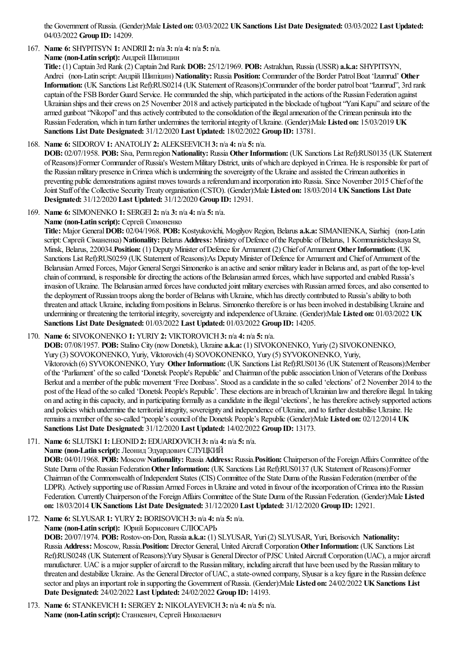the Government ofRussia. (Gender):Male **Listed on:** 03/03/2022 **UKSanctions List Date Designated:** 03/03/2022 **Last Updated:** 04/03/2022 **Group ID:** 14209.

# 167. **Name 6:** SHYPITSYN **1:** ANDRII **2:** n/a **3:** n/a **4:** n/a **5:** n/a.

**Name (non-Latin script):** Андрей Шипицин

**Title:** (1) Captain 3rd Rank (2) Captain 2nd Rank **DOB:** 25/12/1969. **POB:** Astrakhan, Russia(USSR) **a.k.a:** SHYPITSYN, Andrei (non-Latin script:Андрій Шипіцин) **Nationality:** Russia **Position:** Commander ofthe Border PatrolBoat 'Izumrud' **Other** Information: (UK Sanctions List Ref):RUS0214 (UK Statement of Reasons):Commander of the border patrol boat "Izumrud", 3rd rank captain of the FSB Border Guard Service. He commanded the ship, which participated in the actions of the Russian Federation against Ukrainian ships and their crews on 25 November 2018 and actively participated in the blockade of tugboat "Yani Kapu" and seizure of the armed gunboat "Nikopol" and thus actively contributed to the consolidation of the illegal annexation of the Crimean peninsula into the Russian Federation, which in turn further undermines theterritorialintegrity ofUkraine. (Gender):Male **Listed on:** 15/03/2019 **UK Sanctions List Date Designated:** 31/12/2020 **Last Updated:** 18/02/2022 **Group ID:** 13781.

# 168. **Name 6:** SIDOROV**1:** ANATOLIY**2:** ALEKSEEVICH**3:** n/a **4:** n/a **5:** n/a.

**DOB:** 02/07/1958. **POB:** Siva, Permregion**Nationality:** Russia **OtherInformation:** (UK Sanctions List Ref):RUS0135 (UK Statement of Reasons):Former Commander of Russia's Western Military District, units of which are deployed in Crimea. He is responsible for part of the Russian military presence in Crimea which is undermining the sovereignty of the Ukraine and assisted the Crimean authorities in preventing public demonstrations against moves towards a referendum and incorporation into Russia. Since November 2015 Chief of the Joint Staff ofthe Collective SecurityTreaty organisation (CSTO). (Gender):Male **Listed on:** 18/03/2014 **UKSanctions List Date Designated:** 31/12/2020 **Last Updated:** 31/12/2020 **Group ID:** 12931.

169. **Name 6:** SIMONENKO **1:** SERGEI **2:** n/a **3:** n/a **4:** n/a **5:** n/a.

# **Name (non-Latin script):** Сергей Симоненко

**Title:** Major General**DOB:** 02/04/1968. **POB:** Kostyukovichi, MogilyovRegion, Belarus **a.k.a:** SIMANIENKA, Siarhiej (non-Latin script:Сяргей Сіманенка) **Nationality:** Belarus **Address:** Ministry ofDefence ofthe Republic ofBelarus, 1 Kommunisticheskaya St, Minsk, Belarus, 220034. **Position:** (1) Deputy Minister of Defence for Armament (2) Chief of Armament Other Information: (UK Sanctions List Ref):RUS0259 (UK Statement of Reasons):As Deputy Minister of Defence for Armament and Chief of Armament of the Belarusian Armed Forces, Major General Sergei Simonenko is an active and senior military leader in Belarus and, as part of the top-level chain of command, is responsible for directing the actions of the Belarusian armed forces, which have supported and enabled Russia's invasion of Ukraine. The Belarusian armed forces have conducted joint military exercises with Russian armed forces, and also consented to the deployment of Russian troops along the border of Belarus with Ukraine, which has directly contributed to Russia's ability to both threaten and attack Ukraine, including from positions in Belarus. Simonenko therefore is or has been involved in destabilising Ukraine and undermining or threatening theterritorialintegrity, sovereignty and independence ofUkraine. (Gender):Male **Listed on:** 01/03/2022 **UK Sanctions List Date Designated:** 01/03/2022 **Last Updated:** 01/03/2022 **Group ID:** 14205.

# 170. **Name 6:** SIVOKONENKO **1:** YURIY**2:** VIKTOROVICH**3:** n/a **4:** n/a **5:** n/a.

**DOB:** 07/08/1957. **POB:** Stalino City (nowDonetsk), Ukraine **a.k.a:** (1) SIVOKONENKO, Yuriy (2) SIVOKONENKO,

Yury (3) SOVOKONENKO, Yuriy, Viktorovich (4) SOVOKONENKO, Yury (5) SYVOKONENKO, Yuriy,

Viktorovich (6) SYVOKONENKO, Yury **OtherInformation:** (UK Sanctions List Ref):RUS0136 (UK Statement ofReasons):Member of the 'Parliament' of the so called 'Donetsk People's Republic' and Chairman of the public association Union of Veterans of the Donbass Berkut and a member of the public movement 'Free Donbass'. Stood as a candidate in the so called 'elections' of 2 November 2014 to the post of the Head of the so called 'Donetsk People's Republic'. These elections are in breach of Ukrainian law and therefore illegal. In taking on and acting in thiscapacity,and in participating formally asacandidatein theillegal'elections', he has thereforeactively supported actions and policies which undermine the territorial integrity, sovereignty and independence of Ukraine, and to further destabilise Ukraine. He remainsa member oftheso-called "people'scouncil ofthe Donetsk People's Republic(Gender):Male **Listed on:** 02/12/2014 **UK Sanctions List Date Designated:** 31/12/2020 **Last Updated:** 14/02/2022 **Group ID:** 13173.

- 171. **Name 6:** SLUTSKI **1:** LEONID**2:** EDUARDOVICH**3:** n/a **4:** n/a **5:** n/a.
	- **Name (non-Latin script):** Леонид Эдуардович СЛУЦКИЙ

**DOB:** 04/01/1968. **POB:** Moscow**Nationality:** Russia **Address:** Russia.**Position:** Chairperson ofthe ForeignAffairs Committee ofthe State Duma ofthe Russian Federation**OtherInformation:** (UK Sanctions List Ref):RUS0137 (UK Statement ofReasons):Former Chairman ofthe Commonwealth ofIndependent States (CIS) Committee ofthe State Duma ofthe Russian Federation (member ofthe LDPR). Actively supporting use of Russian Armed Forces in Ukraine and voted in favour of the incorporation of Crimea into the Russian Federation. CurrentlyChairperson ofthe ForeignAffairs Committee ofthe State Duma ofthe Russian Federation. (Gender):Male **Listed on:** 18/03/2014 **UKSanctions List Date Designated:** 31/12/2020 **Last Updated:** 31/12/2020 **Group ID:** 12921.

# 172. **Name 6:** SLYUSAR**1:** YURY**2:** BORISOVICH**3:** n/a **4:** n/a **5:** n/a.

# **Name (non-Latin script):** Юрий Борисович СЛЮСАРЬ

**DOB:** 20/07/1974. **POB:** Rostov-on-Don, Russia **a.k.a:** (1) SLYUSAR, Yuri(2) SLYUSAR, Yuri, Borisovich **Nationality:** Russia Address: Moscow, Russia.Position: Director General, United Aircraft Corporation Other Information: (UK Sanctions List Ref):RUS0248 (UK Statement of Reasons):Yury Slyusar is General Director of PJSC United Aircraft Corporation (UAC), a major aircraft manufacturer. UAC isa major supplier ofaircraft to the Russianmilitary, including aircraft that have been used by the Russianmilitary to threaten and destabilize Ukraine. As the General Director of UAC, a state-owned company, Slyusar is a key figure in the Russian defence sectorand playsan important rolein supporting the Government ofRussia. (Gender):Male **Listed on:** 24/02/2022 **UKSanctions List Date Designated:** 24/02/2022 **Last Updated:** 24/02/2022 **Group ID:** 14193.

173. **Name 6:** STANKEVICH**1:** SERGEY**2:** NIKOLAYEVICH**3:** n/a **4:** n/a **5:** n/a. **Name (non-Latin script):** Станкевич, Сергей Николаевич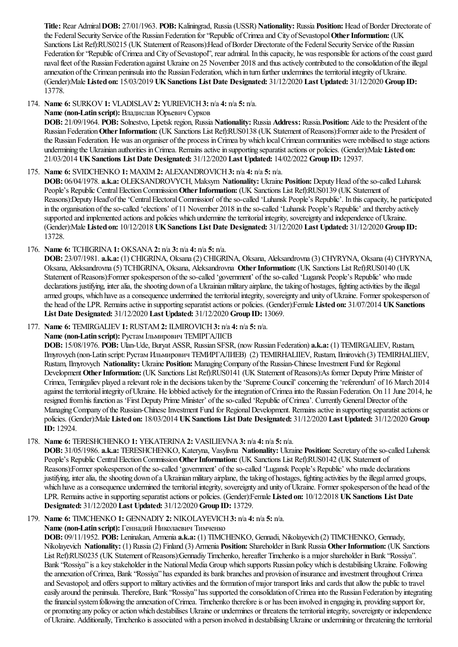**Title:** Rear Admiral**DOB:** 27/01/1963. **POB:** Kaliningrad, Russia(USSR) **Nationality:** Russia **Position:** Head ofBorder Directorate of the Federal Security Service of the Russian Federation for "Republic of Crimea and City of Sevastopol Other Information: (UK Sanctions List Ref):RUS0215 (UK Statement of Reasons):Head of Border Directorate of the Federal Security Service of the Russian Federation for "Republic of Crimea and City of Sevastopol", rear admiral. In this capacity, he was responsible for actions of the coast guard navalfleet ofthe Russian Federation against Ukraine on 25 November 2018 and thusactively contributed to theconsolidation oftheillegal annexation ofthe Crimean peninsulainto the Russian Federation, which in turn further undermines theterritorialintegrity ofUkraine. (Gender):Male **Listed on:** 15/03/2019 **UKSanctions List Date Designated:** 31/12/2020 **Last Updated:** 31/12/2020 **Group ID:** 13778.

174. **Name 6:** SURKOV**1:** VLADISLAV**2:** YURIEVICH**3:** n/a **4:** n/a **5:** n/a.

### **Name (non-Latin script):** Владислав Юрьевич Сурков

**DOB:** 21/09/1964. **POB:** Solnestvo, Lipetsk region, Russia **Nationality:** Russia **Address:** Russia.**Position:** Aideto the President ofthe Russian Federation Other Information: (UK Sanctions List Ref):RUS0138 (UK Statement of Reasons):Former aide to the President of the Russian Federation. He was an organiser of the process in Crimea by which local Crimean communities were mobilised to stage actions undermining the Ukrainian authorities inCrimea. Remainsactivein supporting separatistactions or policies. (Gender):Male **Listed on:** 21/03/2014 **UKSanctions List Date Designated:** 31/12/2020 **Last Updated:** 14/02/2022 **Group ID:** 12937.

# 175. **Name 6:** SVIDCHENKO **1:** MAXIM**2:** ALEXANDROVICH**3:** n/a **4:** n/a **5:** n/a.

**DOB:** 06/04/1978. **a.k.a:** OLEKSANDROVYCH, Maksym **Nationality:** Ukraine **Position:** DeputyHead oftheso-called Luhansk People's Republic Central Election Commission Other Information: (UK Sanctions List Ref):RUS0139 (UK Statement of Reasons):Deputy Head'of the 'Central Electoral Commission' of the so-called 'Luhansk People's Republic'. In this capacity, he participated in the organisation of the so-called 'elections' of 11 November 2018 in the so-called 'Luhansk People's Republic' and thereby actively supported and implemented actions and policies which undermine the territorial integrity, sovereignty and independence of Ukraine. (Gender):Male **Listed on:** 10/12/2018 **UKSanctions List Date Designated:** 31/12/2020 **Last Updated:** 31/12/2020 **Group ID:** 13728.

176. **Name 6:** TCHIGRINA**1:** OKSANA**2:** n/a **3:** n/a **4:** n/a **5:** n/a.

**DOB:** 23/07/1981. **a.k.a:** (1) CHIGRINA, Oksana(2) CHIGRINA, Oksana, Aleksandrovna(3) CHYRYNA, Oksana(4) CHYRYNA, Oksana, Aleksandrovna(5) TCHIGRINA, Oksana, Aleksandrovna **OtherInformation:** (UK Sanctions List Ref):RUS0140 (UK Statement of Reasons):Former spokesperson of the so-called 'government' of the so-called 'Lugansk People's Republic' who made declarations justifying, inter alia, the shooting down of a Ukrainian military airplane, the taking of hostages, fighting activities by the illegal armed groups, which have as a consequence undermined the territorial integrity, sovereignty and unity of Ukraine. Former spokesperson of the head ofthe LPR. Remainsactivein supporting separatistactions or policies. (Gender):Female **Listed on:** 31/07/2014 **UKSanctions List Date Designated:** 31/12/2020 **Last Updated:** 31/12/2020 **Group ID:** 13069.

177. **Name 6:** TEMIRGALIEV**1:** RUSTAM**2:** ILMIROVICH**3:** n/a **4:** n/a **5:** n/a.

**Name (non-Latin script):** Рустам Iльмирович ТЕМIРГАЛIЄВ

**DOB:** 15/08/1976. **POB:** Ulan-Ude, Buryat ASSR, Russian SFSR, (nowRussian Federation) **a.k.a:** (1) TEMIRGALIEV, Rustam, Ilmyrovych (non-Latin script:Рустам Ильмирович ТЕМИРГАЛИЕВ) (2) TEMIRHALIIEV, Rustam, Ilmirovich (3) TEMIRHALIIEV, Rustam, Ihnyrovych **Nationality:** Ukraine **Position:** Managing Company of the Russian-Chinese Investment Fund for Regional Development Other Information: (UK Sanctions List Ref):RUS0141 (UK Statement of Reasons):As former Deputy Prime Minister of Crimea, Temirgaliev played a relevant role in the decisions taken by the 'Supreme Council' concerning the 'referendum' of 16 March 2014 against the territorial integrity of Ukraine. He lobbied actively for the integration of Crimea into the Russian Federation. On 11 June 2014, he resigned from his function as 'First Deputy Prime Minister' of the so-called 'Republic of Crimea'. Currently General Director of the Managing Company of the Russian-Chinese Investment Fund for Regional Development. Remains active in supporting separatist actions or policies. (Gender):Male **Listed on:** 18/03/2014 **UKSanctions List Date Designated:** 31/12/2020 **Last Updated:** 31/12/2020 **Group ID:** 12924.

# 178. **Name 6:** TERESHCHENKO **1:** YEKATERINA**2:** VASILIEVNA**3:** n/a **4:** n/a **5:** n/a.

**DOB:** 31/05/1986. **a.k.a:** TERESHCHENKO, Kateryna, Vasylivna **Nationality:** Ukraine **Position:** Secretary oftheso-called Luhensk People's Republic Central Election Commission Other Information: (UK Sanctions List Ref):RUS0142 (UK Statement of Reasons):Former spokesperson of the so-called 'government' of the so-called 'Lugansk People's Republic' who made declarations justifying, inter alia, the shooting down of a Ukrainian military airplane, the taking of hostages, fighting activities by the illegal armed groups, which have as a consequence undermined the territorial integrity, sovereignty and unity of Ukraine. Former spokesperson of the head of the LPR. Remainsactivein supporting separatistactions or policies. (Gender):Female **Listed on:** 10/12/2018 **UKSanctions List Date Designated:** 31/12/2020 **Last Updated:** 31/12/2020 **Group ID:** 13729.

# 179. **Name 6:** TIMCHENKO **1:** GENNADIY**2:** NIKOLAYEVICH**3:** n/a **4:** n/a **5:** n/a.

# **Name (non-Latin script):** Геннадий Николаевич Тимченко

**DOB:** 09/11/1952. **POB:** Leninakan, Armenia **a.k.a:** (1) TIMCHENKO, Gennadi, Nikolayevich (2) TIMCHENKO, Gennady, Nikolayevich **Nationality:** (1) Russia(2) Finland (3) Armenia **Position:** Shareholder inBank Russia **OtherInformation:** (UK Sanctions List Ref):RUS0235 (UK Statement of Reasons):Gennadiy Timchenko, hereafter Timchenko is a major shareholder in Bank "Rossiya". Bank "Rossiya" is a key stakeholder in the National Media Group which supports Russian policy which is destabilising Ukraine. Following the annexation of Crimea, Bank "Rossiya" has expanded its bank branches and provision of insurance and investment throughout Crimea and Sevastopol; and offers support to military activities and the formation of major transport links and cards that allow the public to travel easily around the peninsula. Therefore, Bank "Rossiya" has supported the consolidation of Crimea into the Russian Federation by integrating the financial system following the annexation of Crimea. Timchenko therefore is or has been involved in engaging in, providing support for, or promoting any policy or action which destabilises Ukraine or undermines or threatens the territorial integrity, sovereignty or independence of Ukraine. Additionally, Timchenko is associated with a person involved in destabilising Ukraine or undermining or threatening the territorial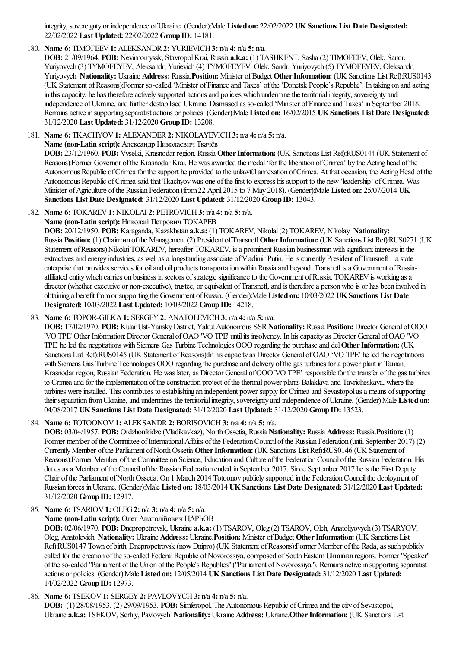integrity, sovereignty or independence ofUkraine. (Gender):Male **Listed on:** 22/02/2022 **UKSanctions List Date Designated:** 22/02/2022 **Last Updated:** 22/02/2022 **Group ID:** 14181.

# 180. **Name 6:** TIMOFEEV**1:** ALEKSANDR**2:** YURIEVICH**3:** n/a **4:** n/a **5:** n/a.

**DOB:** 21/09/1964. **POB:** Nevinnomyssk, StavropolKrai, Russia **a.k.a:** (1) TASHKENT, Sasha(2) TIMOFEEV, Olek, Sandr, Yuriyovych (3) TYMOFEYEV, Aleksandr, Yurievich (4) TYMOFEYEV, Olek, Sandr, Yuriyovych (5) TYMOFEYEV, Oleksandr, Yuriyovych **Nationality:** Ukraine **Address:** Russia.**Position:** Minister ofBudget**OtherInformation:** (UK Sanctions List Ref):RUS0143 (UK Statement ofReasons):Former so-called 'Minister ofFinanceand Taxes' ofthe'Donetsk People's Republic'. In taking on and acting in this capacity, he has therefore actively supported actions and policies which undermine the territorial integrity, sovereignty and independence of Ukraine, and further destabilised Ukraine. Dismissed as so-called 'Minister of Finance and Taxes' in September 2018. Remainsactivein supporting separatistactions or policies. (Gender):Male **Listed on:** 16/02/2015 **UKSanctions List Date Designated:** 31/12/2020 **Last Updated:** 31/12/2020 **Group ID:** 13208.

181. **Name 6:** TKACHYOV**1:** ALEXANDER**2:** NIKOLAYEVICH**3:** n/a **4:** n/a **5:** n/a.

**Name (non-Latin script):** Александр Николаевич Ткачëв

**DOB:** 23/12/1960. **POB:** Vyselki, Krasnodar region, Russia **OtherInformation:** (UK Sanctions List Ref):RUS0144 (UK Statement of Reasons):Former Governor of the Krasnodar Krai. He was awarded the medal 'for the liberation of Crimea' by the Acting head of the Autonomous Republic of Crimea for the support he provided to the unlawful annexation of Crimea. At that occasion, the Acting Head of the Autonomous Republic of Crimea said that Tkachyov was one of the first to express his support to the new 'leadership' of Crimea. Was Minister ofAgriculture ofthe Russian Federation (from22 April 2015 to 7 May 2018). (Gender):Male **Listed on:** 25/07/2014 **UK Sanctions List Date Designated:** 31/12/2020 **Last Updated:** 31/12/2020 **Group ID:** 13043.

182. **Name 6:** TOKAREV**1:** NIKOLAI **2:** PETROVICH**3:** n/a **4:** n/a **5:** n/a.

### **Name (non-Latin script):** Николай Петрович ТОКАРЕВ

**DOB:** 20/12/1950. **POB:** Karaganda, Kazakhstan **a.k.a:** (1) TOKAREV, Nikolai(2) TOKAREV, Nikolay **Nationality:** Russia **Position:** (1) Chairman ofthe Management (2) President ofTransneft**OtherInformation:** (UK Sanctions List Ref):RUS0271 (UK Statement of Reasons):Nikolai TOKAREV, hereafter TOKAREV, is a prominent Russian businessman with significant interests in the extractives and energy industries, as well as a longstanding associate of Vladimir Putin. He is currently President of Transneft – a state enterprise that provides services for oil and oil products transportation within Russia and beyond. Transneft is a Government of Russiaaffiliated entity which carries on business in sectors of strategic significance to the Government of Russia. TOKAREV is working as a director (whether executive or non-executive), trustee, or equivalent of Transneft, and is therefore a person who is or has been involved in obtaining a benefit fromor supporting the Government ofRussia. (Gender):Male **Listed on:** 10/03/2022 **UKSanctions List Date Designated:** 10/03/2022 **Last Updated:** 10/03/2022 **Group ID:** 14218.

# 183. **Name 6:** TOPOR-GILKA**1:** SERGEY**2:** ANATOLEVICH**3:** n/a **4:** n/a **5:** n/a.

**DOB:** 17/02/1970. **POB:** Kular Ust-YanskyDistrict, Yakut Autonomous SSR**Nationality:** Russia **Position:** Director General ofOOO 'VO TPE' Other Information:Director General ofOAO 'VO TPE' untilits insolvency. In hiscapacity as Director General ofOAO 'VO TPE' heled the negotiations with Siemens Gas Turbine Technologies OOO regarding the purchaseand del**OtherInformation:** (UK Sanctions List Ref):RUS0145 (UK Statement of Reasons):In his capacity as Director General of OAO 'VO TPE' he led the negotiations with Siemens Gas Turbine Technologies OOO regarding the purchase and delivery of the gas turbines for a power plant in Taman, Krasnodar region, Russian Federation. He was later, as Director General of OOO'VO TPE' responsible for the transfer of the gas turbines to Crimea and for the implementation of the construction project of the thermal power plants Balaklava and Tavricheskaya, where the turbines were installed. This contributes to establishing an independent power supply for Crimea and Sevastopol as a means of supporting their separation from Ukraine, and undermines the territorial integrity, sovereignty and independence of Ukraine. (Gender):Male Listed on: 04/08/2017 **UKSanctions List Date Designated:** 31/12/2020 **Last Updated:** 31/12/2020 **Group ID:** 13523.

# 184. **Name 6:** TOTOONOV**1:** ALEKSANDR**2:** BORISOVICH**3:** n/a **4:** n/a **5:** n/a.

**DOB:** 03/04/1957. **POB:** Ordzhonikidze(Vladikavkaz), NorthOssetia, Russia **Nationality:** Russia **Address:** Russia.**Position:** (1) Former member of the Committee of International Affairs of the Federation Council of the Russian Federation (until September 2017) (2) CurrentlyMember ofthe Parliament ofNorthOssetia **OtherInformation:** (UK Sanctions List Ref):RUS0146 (UK Statement of Reasons):Former Member of the Committee on Science, Education and Culture of the Federation Council of the Russian Federation. His duties as a Member of the Council of the Russian Federation ended in September 2017. Since September 2017 he is the First Deputy Chair of the Parliament of North Ossetia. On 1 March 2014 Totoonov publicly supported in the Federation Council the deployment of Russian forces inUkraine. (Gender):Male **Listed on:** 18/03/2014 **UKSanctions List Date Designated:** 31/12/2020 **Last Updated:** 31/12/2020 **Group ID:** 12917.

185. **Name 6:** TSARIOV**1:** OLEG**2:** n/a **3:** n/a **4:** n/a **5:** n/a.

### **Name (non-Latin script):** ОлегАнатолiйович ЦАРЬОВ

**DOB:** 02/06/1970. **POB:** Dnepropetrovsk, Ukraine **a.k.a:** (1) TSAROV, Oleg (2) TSAROV, Oleh, Anatoliyovych (3) TSARYOV, Oleg, Anatolevich **Nationality:** Ukraine **Address:** Ukraine.**Position:** Minister ofBudget**OtherInformation:** (UK Sanctions List Ref):RUS0147 Town of birth: Dnepropetrovsk (now Dnipro) (UK Statement of Reasons):Former Member of the Rada, as such publicly called for the creation of the so-called Federal Republic of Novorossiya, composed of South Eastern Ukrainian regions. Former "Speaker" oftheso-called "Parliament ofthe Union ofthe People's Republics"("Parliament ofNovorossiya"). Remainsactivein supporting separatist actions or policies. (Gender):Male **Listed on:** 12/05/2014 **UKSanctions List Date Designated:** 31/12/2020 **Last Updated:** 14/02/2022 **Group ID:** 12973.

# 186. **Name 6:** TSEKOV**1:** SERGEY**2:** PAVLOVYCH**3:** n/a **4:** n/a **5:** n/a.

**DOB:** (1) 28/08/1953. (2) 29/09/1953. **POB:** Simferopol, The Autonomous Republic ofCrimeaand thecity ofSevastopol, Ukraine **a.k.a:** TSEKOV, Serhiy, Pavlovych **Nationality:** Ukraine **Address:** Ukraine.**OtherInformation:** (UK Sanctions List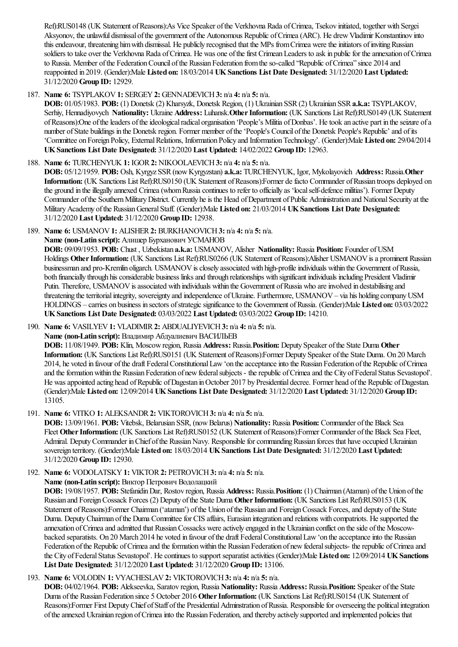Ref):RUS0148 (UK Statement ofReasons):As Vice Speaker ofthe Verkhovna Rada ofCrimea, Tsekov initiated, together with Sergei Aksyonov, the unlawful dismissal ofthe government ofthe Autonomous Republic ofCrimea(ARC). He drewVladimir Konstantinov into this endeavour, threatening him with dismissal. He publicly recognised that the MPs from Crimea were the initiators of inviting Russian soldiers to take over the Verkhovna Rada of Crimea. He was one of the first Crimean Leaders to ask in public for the annexation of Crimea to Russia. Member of the Federation Council of the Russian Federation from the so-called "Republic of Crimea" since 2014 and reappointed in 2019. (Gender):Male **Listed on:** 18/03/2014 **UKSanctions List Date Designated:** 31/12/2020 **Last Updated:** 31/12/2020 **Group ID:** 12929.

187. **Name 6:** TSYPLAKOV**1:** SERGEY**2:** GENNADEVICH**3:** n/a **4:** n/a **5:** n/a.

**DOB:** 01/05/1983. **POB:** (1) Donetsk (2) Kharsyzk, Donetsk Region, (1) Ukrainian SSR(2) Ukrainian SSR**a.k.a:** TSYPLAKOV, Serhiy, Hennadiyovych **Nationality:** Ukraine **Address:** Luhansk.**OtherInformation:** (UK Sanctions List Ref):RUS0149 (UK Statement ofReasons):One oftheleaders oftheideologicalradical organisation 'People's Militia ofDonbas'. Hetook an active part in theseizure ofa number ofState buildings in the Donetsk region. Former member ofthe'People's Council ofthe Donetsk People's Republic'and ofits 'Committee on Foreign Policy, ExternalRelations, Information Policy and InformationTechnology'. (Gender):Male **Listed on:** 29/04/2014 **UKSanctions List Date Designated:** 31/12/2020 **Last Updated:** 14/02/2022 **Group ID:** 12963.

### 188. **Name 6:** TURCHENYUK **1:** IGOR**2:** NIKOOLAEVICH**3:** n/a **4:** n/a **5:** n/a.

**DOB:** 05/12/1959. **POB:** Osh, Kyrgyz SSR(nowKyrgyzstan) **a.k.a:** TURCHENYUK, Igor, Mykolayovich **Address:** Russia.**Other** Information: (UK Sanctions List Ref):RUS0150 (UK Statement of Reasons):Former de facto Commander of Russian troops deployed on the ground in the illegally annexed Crimea (whom Russia continues to refer to officially as 'local self-defence militias'). Former Deputy Commander of the Southern Military District. Currently he is the Head of Department of Public Administration and National Security at the MilitaryAcademy ofthe RussianGeneralStaff. (Gender):Male **Listed on:** 21/03/2014 **UKSanctions List Date Designated:** 31/12/2020 **Last Updated:** 31/12/2020 **Group ID:** 12938.

189. **Name 6:** USMANOV**1:** ALISHER**2:** BURKHANOVICH**3:** n/a **4:** n/a **5:** n/a.

**Name (non-Latin script):** Алишер Бурханович УСМАНОВ

**DOB:** 09/09/1953. **POB:** Chust , Uzbekistan **a.k.a:** USMANOV, Alisher **Nationality:** Russia **Position:** Founder ofUSM Holdings **OtherInformation:** (UK Sanctions List Ref):RUS0266 (UK Statement ofReasons):Alisher USMANOVisa prominent Russian businessman and pro-Kremlin oligarch. USMANOV is closely associated with high-profile individuals within the Government of Russia, both financially through his considerable business links and through relationships with significant individuals including President Vladimir Putin. Therefore, USMANOV is associated with individuals within the Government of Russia who are involved in destabilising and threatening the territorial integrity, sovereignty and independence of Ukraine. Furthermore, USMANOV – via his holding company USM HOLDINGS – carries on business in sectors of strategic significance to the Government of Russia. (Gender):Male Listed on: 03/03/2022 **UKSanctions List Date Designated:** 03/03/2022 **Last Updated:** 03/03/2022 **Group ID:** 14210.

190. **Name 6:** VASILYEV**1:** VLADIMIR**2:** ABDUALIYEVICH**3:** n/a **4:** n/a **5:** n/a.

**Name (non-Latin script):** Владимир Абдуалиевич ВАСИЛЬЕВ

**DOB:** 11/08/1949. **POB:** Klin, Moscowregion, Russia **Address:** Russia.**Position:** Deputy Speaker ofthe State Duma **Other Information:** (UK Sanctions List Ref):RUS0151 (UK Statement ofReasons):Former Deputy Speaker ofthe State Duma. On 20 March 2014, he voted in favour ofthe draft FederalConstitutionalLaw'on theacceptanceinto the Russian Federation ofthe Republic ofCrimea and the formation within the Russian Federation of new federal subjects - the republic of Crimea and the City of Federal Status Sevastopol'. He was appointed acting head of Republic of Dagestan in October 2017 by Presidential decree. Former head of the Republic of Dagestan. (Gender):Male **Listed on:** 12/09/2014 **UKSanctions List Date Designated:** 31/12/2020 **Last Updated:** 31/12/2020 **Group ID:** 13105.

191. **Name 6:** VITKO **1:** ALEKSANDR**2:** VIKTOROVICH**3:** n/a **4:** n/a **5:** n/a.

**DOB:** 13/09/1961. **POB:** Vitebsk, Belarusian SSR, (now Belarus) Nationality: Russia Position: Commander of the Black Sea Fleet Other Information: (UK Sanctions List Ref):RUS0152 (UK Statement of Reasons):Former Commander of the Black Sea Fleet, Admiral. Deputy Commander in Chief of the Russian Navy. Responsible for commanding Russian forces that have occupied Ukrainian sovereign territory. (Gender):Male **Listed on:** 18/03/2014 **UKSanctions List Date Designated:** 31/12/2020 **Last Updated:** 31/12/2020 **Group ID:** 12930.

192. **Name 6:** VODOLATSKY**1:** VIKTOR**2:** PETROVICH**3:** n/a **4:** n/a **5:** n/a.

**Name (non-Latin script):** Виктор Петрович Водолацкий

**DOB:** 19/08/1957. **POB:** StefanidinDar, Rostov region, Russia **Address:** Russia.**Position:** (1) Chairman (Ataman) ofthe Union ofthe Russian and ForeignCossack Forces (2) Deputy ofthe State Duma **OtherInformation:** (UK Sanctions List Ref):RUS0153 (UK Statement of Reasons):Former Chairman ('ataman') of the Union of the Russian and Foreign Cossack Forces, and deputy of the State Duma. Deputy Chairman of the Duma Committee for CIS affairs, Eurasian integration and relations with compatriots. He supported the annexation of Crimea and admitted that Russian Cossacks were actively engaged in the Ukrainian conflict on the side of the Moscowbacked separatists. On 20 March 2014 he voted in favour of the draft Federal Constitutional Law 'on the acceptance into the Russian Federation of the Republic of Crimea and the formation within the Russian Federation of new federal subjects- the republic of Crimea and the City ofFederalStatus Sevastopol'. Hecontinues to supportseparatistactivities (Gender):Male **Listed on:** 12/09/2014 **UKSanctions List Date Designated:** 31/12/2020 **Last Updated:** 31/12/2020 **Group ID:** 13106.

193. **Name 6:** VOLODIN **1:** VYACHESLAV**2:** VIKTOROVICH**3:** n/a **4:** n/a **5:** n/a.

**DOB:** 04/02/1964. **POB:** Alekseevka, Saratov region, Russia **Nationality:** Russia **Address:** Russia.**Position:** Speaker ofthe State Duma of the Russian Federation since 5 October 2016 Other Information: (UK Sanctions List Ref):RUS0154 (UK Statement of Reasons):Former First Deputy Chief of Staff of the Presidential Administration of Russia. Responsible for overseeing the political integration oftheannexed Ukrainian region ofCrimeainto the Russian Federation,and thereby actively supported and implemented policies that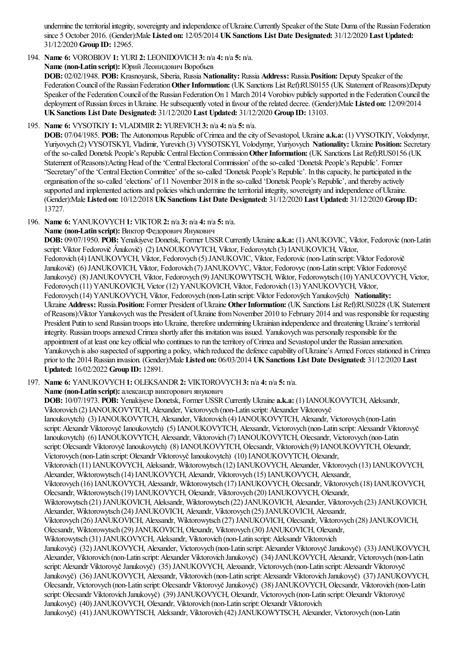undermine the territorial integrity, sovereignty and independence of Ukraine.Currently Speaker of the State Duma of the Russian Federation since 5 October 2016. (Gender):Male **Listed on:** 12/05/2014 **UKSanctions List Date Designated:** 31/12/2020 **Last Updated:** 31/12/2020 **Group ID:** 12965.

194. **Name 6:** VOROBIOV**1:** YURI **2:** LEONIDOVICH**3:** n/a **4:** n/a **5:** n/a.

**Name (non-Latin script):** Юрий Леонидович Воробьев

**DOB:** 02/02/1948. **POB:** Krasnoyarsk, Siberia, Russia **Nationality:** Russia **Address:** Russia.**Position:** Deputy Speaker ofthe Federation Council of the Russian Federation Other Information: (UK Sanctions List Ref):RUS0155 (UK Statement of Reasons):Deputy Speaker of the Federation Council of the Russian Federation On 1 March 2014 Vorobiov publicly supported in the Federation Council the deployment of Russian forces in Ukraine. He subsequently voted in favour of the related decree. (Gender):Male Listed on: 12/09/2014 **UKSanctions List Date Designated:** 31/12/2020 **Last Updated:** 31/12/2020 **Group ID:** 13103.

195. **Name 6:** VYSOTKIY**1:** VLADIMIR**2:** YUREVICH**3:** n/a **4:** n/a **5:** n/a.

**DOB:** 07/04/1985. **POB:** The Autonomous Republic ofCrimeaand thecity ofSevastopol, Ukraine **a.k.a:** (1) VYSOTKIY, Volodymyr, Yuriyovych (2) VYSOTSKYI, Vladimir, Yurevich (3) VYSOTSKYI, Volodymyr, Yuriyovych **Nationality:** Ukraine **Position:** Secretary oftheso-called Donetsk People's Republic CentralElectionCommission**OtherInformation:** (UK Sanctions List Ref):RUS0156 (UK Statement of Reasons):Acting Head of the 'Central Electoral Commission' of the so-called 'Donetsk People's Republic'. Former "Secretary" ofthe'CentralElectionCommittee' oftheso-called 'Donetsk People's Republic'. In thiscapacity, he participated in the organisation oftheso-called 'elections' of 11 November 2018 in theso-called 'Donetsk People's Republic',and thereby actively supported and implemented actions and policies which undermine the territorial integrity, sovereignty and independence of Ukraine. (Gender):Male **Listed on:** 10/12/2018 **UKSanctions List Date Designated:** 31/12/2020 **Last Updated:** 31/12/2020 **Group ID:** 13727.

196. **Name 6:** YANUKOVYCH**1:** VIKTOR**2:** n/a **3:** n/a **4:** n/a **5:** n/a.

**Name (non-Latin script):** Виктор Федорович Янукович

**DOB:** 09/07/1950. **POB:** Yenakiyeve Donetsk, Former USSRCurrentlyUkraine **a.k.a:** (1) ANUKOVIC, Viktor, Fedorovic(non-Latin script:Vìktor Fedorovič Ânukovič) (2) IANOUKOVYTCH, Viktor, Fedorovytch (3) IANUKOVICH, Viktor, Fedorovich (4) IANUKOVYCH, Viktor, Fedorovych (5) JANUKOVIC, Viktor, Fedorovic(non-Latin script:Viktor Fedorovič Janukovič) (6) JANUKOVICH, Viktor, Fedorovich (7) JANUKOVYC, Viktor, Fedorovyc (non-Latin script: Viktor Fedorovyč Janukovyč) (8) JANUKOVYCH, Viktor, Fedorovych (9) JANUKOWYTSCH, Wiktor, Fedorowytsch (10) YANUCOVYCH, Victor, Fedorovych (11) YANUKOVICH, Victor (12) YANUKOVICH, Viktor, Fedorovich (13) YANUKOVYCH, Viktor, Fedorovych (14) YANUKOVYCH, Viktor, Fedorovych (non-Latin script: Viktor Fedorovych Yanukovych) Nationality: Ukraine **Address:** Russia.**Position:** Former President ofUkraine **OtherInformation:** (UK Sanctions List Ref):RUS0228 (UK Statement of Reasons): Viktor Yanukovych was the President of Ukraine from November 2010 to February 2014 and was responsible for requesting President Putin to send Russian troops into Ukraine, therefore undermining Ukrainian independence and threatening Ukraine's territorial integrity. Russian troops annexed Crimea shortly after this invitation was issued. Yanukovych was personally responsible for the appointment of at least one key official who continues to run the territory of Crimea and Sevastopol under the Russian annexation. Yanukovych is also suspected of supporting a policy, which reduced the defence capability of Ukraine's Armed Forces stationed in Crimea prior to the 2014 Russian invasion. (Gender):Male **Listed on:** 06/03/2014 **UKSanctions List Date Designated:** 31/12/2020 **Last Updated:** 16/02/2022 **Group ID:** 12891.

197. **Name 6:** YANUKOVYCH**1:** OLEKSANDR**2:** VIKTOROVYCH**3:** n/a **4:** n/a **5:** n/a.

**Name (non-Latin script):**александр викторович янукович

**DOB:** 10/07/1973. **POB:** Yenakiyeve Donetsk, Former USSRCurrentlyUkraine **a.k.a:** (1) IANOUKOVYTCH, Aleksandr, Viktorovich (2) IANOUKOVYTCH, Alexander, Victorovych (non-Latin script:Alexander Viktorovyč Ianoukovytch) (3) IANOUKOVYTCH, Alexander, Viktorovich (4) IANOUKOVYTCH, Alexandr, Victorovych (non-Latin script: Alexandr Viktorovyč Ianoukovytch) (5) IANOUKOVYTCH, Alexsandr, Victorovych (non-Latin script: Alexsandr Viktorovyč Ianoukovytch) (6) IANOUKOVYTCH, Alexsandr, Viktorovich (7) IANOUKOVYTCH, Olecsandr, Victorovych (non-Latin script: Olecsandr Viktorovyč Ianoukovytch) (8) IANOUKOVYTCH, Olecsandr, Viktorovich (9) IANOUKOVYTCH, Olexandr, Victorovych (non-Latin script:Olexandr ViktorovyčIanoukovytch) (10) IANOUKOVYTCH, Olexandr, Viktorovich (11) IANUKOVYCH, Aleksandr, Wiktorowytsch (12) IANUKOVYCH, Alexander, Viktorovych (13) IANUKOVYCH, Alexander, Wiktorowytsch (14) IANUKOVYCH, Alexandr, Viktorovych (15) IANUKOVYCH, Alexsandr, Viktorovych (16) IANUKOVYCH, Alexsandr, Wiktorowytsch (17) IANUKOVYCH, Olecsandr, Viktorovych (18) IANUKOVYCH, Olecsandr, Wiktorowytsch (19) IANUKOVYCH, Olexandr, Viktorovych (20) IANUKOVYCH, Olexandr, Wiktorowytsch (21) JANUKOVICH, Aleksandr, Wiktorowytsch (22) JANUKOVICH, Alexander, Viktorovych (23) JANUKOVICH, Alexander, Wiktorowytsch (24) JANUKOVICH, Alexandr, Viktorovych (25) JANUKOVICH, Alexsandr, Viktorovych (26) JANUKOVICH, Alexsandr, Wiktorowytsch (27) JANUKOVICH, Olecsandr, Viktorovych (28) JANUKOVICH, Olecsandr, Wiktorowytsch (29) JANUKOVICH, Olexandr, Viktorovych (30) JANUKOVICH, Olexandr, Wiktorowytsch (31) JANUKOVYCH, Aleksandr, Viktorovich (non-Latin script:Aleksandr Viktorovich Janukovyč) (32) JANUKOVYCH, Alexander, Victorovych (non-Latin script: Alexander Viktorovyč Janukovyč) (33) JANUKOVYCH, Alexander, Viktorovich (non-Latin script:Alexander Viktorovich Janukovyč) (34) JANUKOVYCH, Alexandr, Victorovych (non-Latin script: Alexandr Viktorovyč Janukovyč) (35) JANUKOVYCH, Alexsandr, Victorovych (non-Latin script: Alexsandr Viktorovyč Janukovyč) (36) JANUKOVYCH, Alexsandr, Viktorovich (non-Latin script:Alexsandr Viktorovich Janukovyč) (37) JANUKOVYCH, Olecsandr, Victorovych (non-Latin script: Olecsandr Viktorovyč Janukovyč) (38) JANUKOVYCH, Olecsandr, Viktorovich (non-Latin script: Olecsandr Viktorovich Janukovyč) (39) JANUKOVYCH, Olexandr, Victorovych (non-Latin script: Olexandr Viktorovyč Janukovyč) (40) JANUKOVYCH, Olexandr, Viktorovich (non-Latin script:Olexandr Viktorovich Janukovyč) (41) JANUKOWYTSCH, Aleksandr, Viktorovich (42) JANUKOWYTSCH, Alexander, Victorovych (non-Latin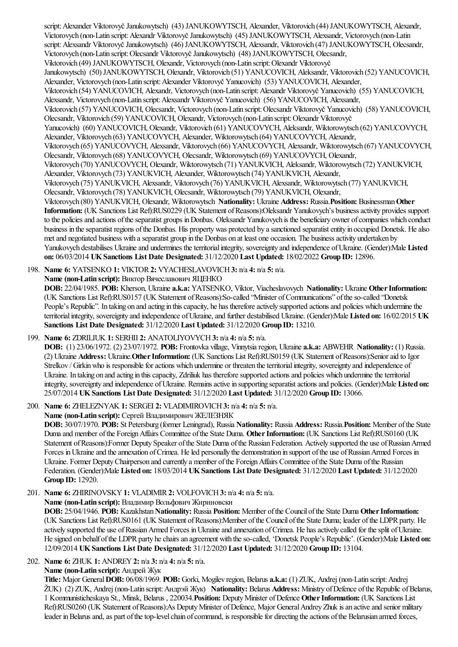script: Alexander Viktorovyč Janukowytsch) (43) JANUKOWYTSCH, Alexander, Viktorovich (44) JANUKOWYTSCH, Alexandr, Victorovych (non-Latin script: Alexandr Viktorovyč Janukowytsch) (45) JANUKOWYTSCH, Alexsandr, Victorovych (non-Latin script: Alexsandr Viktorovyč Janukowytsch) (46) JANUKOWYTSCH, Alexsandr, Viktorovich (47) JANUKOWYTSCH, Olecsandr, Victorovych (non-Latin script:Olecsandr ViktorovyčJanukowytsch) (48) JANUKOWYTSCH, Olecsandr, Viktorovich (49) JANUKOWYTSCH, Olexandr, Victorovych (non-Latin script:Olexandr Viktorovyč Janukowytsch) (50) JANUKOWYTSCH, Olexandr, Viktorovich (51) YANUCOVICH, Aleksandr, Viktorovich (52) YANUCOVICH, Alexander, Victorovych (non-Latin script:Alexander Viktorovyč Yanucovich) (53) YANUCOVICH, Alexander, Viktorovich (54) YANUCOVICH, Alexandr, Victorovych (non-Latin script:Alexandr Viktorovyč Yanucovich) (55) YANUCOVICH, Alexsandr, Victorovych (non-Latin script:Alexsandr Viktorovyč Yanucovich) (56) YANUCOVICH, Alexsandr, Viktorovich (57) YANUCOVICH, Olecsandr, Victorovych (non-Latin script:Olecsandr Viktorovyč Yanucovich) (58) YANUCOVICH, Olecsandr, Viktorovich (59) YANUCOVICH, Olexandr, Victorovych (non-Latin script:Olexandr Viktorovyč Yanucovich) (60) YANUCOVICH, Olexandr, Viktorovich (61) YANUCOVYCH, Aleksandr, Wiktorowytsch (62) YANUCOVYCH, Alexander, Viktorovych (63) YANUCOVYCH, Alexander, Wiktorowytsch (64) YANUCOVYCH, Alexandr, Viktorovych (65) YANUCOVYCH, Alexsandr, Viktorovych (66) YANUCOVYCH, Alexsandr, Wiktorowytsch (67) YANUCOVYCH, Olecsandr, Viktorovych (68) YANUCOVYCH, Olecsandr, Wiktorowytsch (69) YANUCOVYCH, Olexandr, Viktorovych (70) YANUCOVYCH, Olexandr, Wiktorowytsch (71) YANUKVICH, Aleksandr, Wiktorowytsch (72) YANUKVICH, Alexander, Viktorovych (73) YANUKVICH, Alexander, Wiktorowytsch (74) YANUKVICH, Alexandr, Viktorovych (75) YANUKVICH, Alexsandr, Viktorovych (76) YANUKVICH, Alexsandr, Wiktorowytsch (77) YANUKVICH, Olecsandr, Viktorovych (78) YANUKVICH, Olecsandr, Wiktorowytsch (79) YANUKVICH, Olexandr, Viktorovych (80) YANUKVICH, Olexandr, Wiktorowytsch **Nationality:** Ukraine **Address:** Russia.**Position:** Businessman**Other** Information: (UK Sanctions List Ref):RUS0229 (UK Statement of Reasons):Oleksandr Yanukovych's business activity provides support to the policies and actions of the separatist groups in Donbas. Oleksandr Yanukovych is the beneficiary owner of companies which conduct business in the separatist regions of the Donbas. His property was protected by a sanctioned separatist entity in occupied Donetsk. He also met and negotiated business with a separatist group in the Donbas on at least one occasion. The business activity undertaken by Yanukovych destabilises Ukraine and undermines the territorial integrity, sovereignty and independence of Ukraine. (Gender):Male Listed **on:** 06/03/2014 **UKSanctions List Date Designated:** 31/12/2020 **Last Updated:** 18/02/2022 **Group ID:** 12896.

198. **Name 6:** YATSENKO **1:** VIKTOR**2:** VYACHESLAVOVICH**3:** n/a **4:** n/a **5:** n/a.

**Name (non-Latin script):** Виктор Вячеславович ЯЦЕНКО

**DOB:** 22/04/1985. **POB:** Kherson, Ukraine **a.k.a:** YATSENKO, Viktor, Viacheslavovych **Nationality:** Ukraine **OtherInformation:** (UK Sanctions List Ref):RUS0157 (UK Statement ofReasons):So-called "Minister ofCommunications" oftheso-called "Donetsk People's Republic". In taking on and acting in this capacity, he has therefore actively supported actions and policies which undermine the territorial integrity, sovereignty and independence of Ukraine, and further destabilised Ukraine. (Gender):Male Listed on: 16/02/2015 UK **Sanctions List Date Designated:** 31/12/2020 **Last Updated:** 31/12/2020 **Group ID:** 13210.

### 199. **Name 6:** ZDRILIUK **1:** SERHII **2:** ANATOLIYOVYCH**3:** n/a **4:** n/a **5:** n/a.

**DOB:** (1) 23/06/1972. (2) 23/07/1972. **POB:** Frontovka village, Vinnytsiaregion, Ukraine **a.k.a:** ABWEHR **Nationality:** (1) Russia. (2) Ukraine **Address:** Ukraine.**OtherInformation:** (UK Sanctions List Ref):RUS0159 (UK Statement ofReasons):Senioraid to Igor Strelkov / Girkin who is responsible for actions which undermine or threaten the territorial integrity, sovereignty and independence of Ukraine. In taking on and acting in this capacity, Zdriliuk has therefore supported actions and policies which undermine the territorial integrity, sovereignty and independence ofUkraine. Remainsactivein supporting separatistactionsand policies. (Gender):Male **Listed on:** 25/07/2014 **UKSanctions List Date Designated:** 31/12/2020 **Last Updated:** 31/12/2020 **Group ID:** 13066.

# 200. **Name 6:** ZHELEZNYAK **1:** SERGEI **2:** VLADIMIROVICH**3:** n/a **4:** n/a **5:** n/a.

**Name (non-Latin script):** Сергей Владимирович ЖЕЛЕЗНЯК

**DOB:** 30/07/1970. **POB:** St Petersburg (former Leningrad), Russia **Nationality:** Russia **Address:** Russia.**Position:** Member ofthe State Duma and member of the Foreign Affairs Committee of the State Duma. Other Information: (UK Sanctions List Ref):RUS0160 (UK Statement of Reasons):Former Deputy Speaker of the State Duma of the Russian Federation. Actively supported the use of Russian Armed Forces in Ukraine and the annexation of Crimea. He led personally the demonstration in support of the use of Russian Armed Forces in Ukraine. Former Deputy Chairperson and currently a member of the Foreign Affairs Committee of the State Duma of the Russian Federation. (Gender):Male **Listed on:** 18/03/2014 **UKSanctions List Date Designated:** 31/12/2020 **Last Updated:** 31/12/2020 **Group ID:** 12920.

201. **Name 6:** ZHIRINOVSKY**1:** VLADIMIR**2:** VOLFOVICH**3:** n/a **4:** n/a **5:** n/a.

### **Name (non-Latin script):** Владимир Вольфович Жириновски

**DOB:** 25/04/1946. **POB:** Kazakhstan**Nationality:** Russia **Position:** Member ofthe Council ofthe State Duma **OtherInformation:** (UK Sanctions List Ref):RUS0161 (UK Statement of Reasons):Member of the Council of the State Duma; leader of the LDPR party. He actively supported the use of Russian Armed Forces in Ukraine and annexation of Crimea. He has actively called for the split of Ukraine. He signed on behalf of the LDPR party he chairs an agreement with the so-called, 'Donetsk People's Republic'. (Gender):Male Listed on: 12/09/2014 **UKSanctions List Date Designated:** 31/12/2020 **Last Updated:** 31/12/2020 **Group ID:** 13104.

202. **Name 6:** ZHUK **1:** ANDREY**2:** n/a **3:** n/a **4:** n/a **5:** n/a.

**Name (non-Latin script):** Андрей Жук

**Title:** Major General**DOB:** 06/08/1969. **POB:** Gorki, Mogilev region, Belarus **a.k.a:** (1) ZUK, Andrej (non-Latin script:Andrej ŽUK) (2) ZUK, Andrej (non-Latin script:Андрэй Жук) **Nationality:** Belarus **Address:** Ministry ofDefence ofthe Republic ofBelarus, 1 Kommunisticheskaya St., Minsk, Belarus , 220034.**Position:** DeputyMinister ofDefence **OtherInformation:** (UK Sanctions List Ref):RUS0260 (UK Statement of Reasons):As Deputy Minister of Defence, Major General Andrey Zhuk is an active and senior military leader in Belarus and, as part of the top-level chain of command, is responsible for directing the actions of the Belarusian armed forces,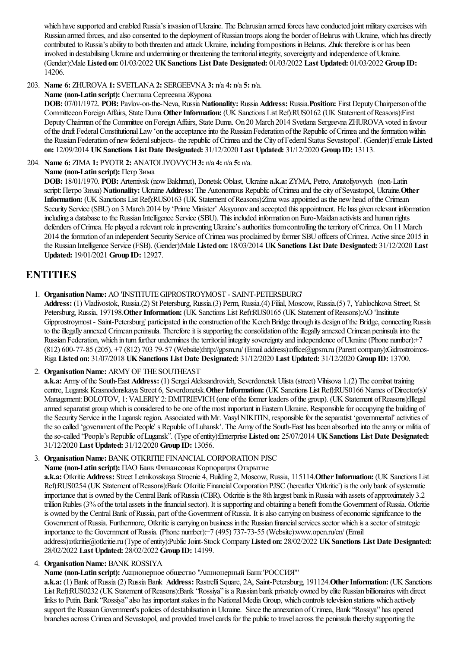which have supported and enabled Russia's invasion of Ukraine. The Belarusian armed forces have conducted joint military exercises with Russian armed forces, and also consented to the deployment of Russian troops along the border of Belarus with Ukraine, which has directly contributed to Russia's ability to both threaten and attack Ukraine, including from positions in Belarus. Zhuk therefore is or has been involved in destabilising Ukraine and undermining or threatening the territorial integrity, sovereignty and independence of Ukraine. (Gender):Male **Listed on:** 01/03/2022 **UKSanctions List Date Designated:** 01/03/2022 **Last Updated:** 01/03/2022 **Group ID:** 14206.

203. **Name 6:** ZHUROVA**1:** SVETLANA**2:** SERGEEVNA**3:** n/a **4:** n/a **5:** n/a.

**Name (non-Latin script):** Светлана Сергеевна Журова

**DOB:** 07/01/1972. **POB:** Pavlov-on-the-Neva, Russia **Nationality:** Russia **Address:** Russia.**Position:** First DeputyChairperson ofthe Committeeon ForeignAffairs, State Duma **OtherInformation:** (UK Sanctions List Ref):RUS0162 (UK Statement ofReasons):First Deputy Chairman of the Committee on Foreign Affairs, State Duma. On 20 March 2014 Svetlana Sergeevna ZHUROVA voted in favour of the draft Federal Constitutional Law 'on the acceptance into the Russian Federation of the Republic of Crimea and the formation within the Russian Federation of new federal subjects- the republic of Crimea and the City of Federal Status Sevastopol'. (Gender):Female Listed **on:** 12/09/2014 **UKSanctions List Date Designated:** 31/12/2020 **Last Updated:** 31/12/2020 **Group ID:** 13113.

204. **Name 6:** ZIMA**1:** PYOTR**2:** ANATOLIYOVYCH**3:** n/a **4:** n/a **5:** n/a.

**Name (non-Latin script):** Петр Зима

**DOB:** 18/01/1970. **POB:** Artemivsk (nowBakhmut), Donetsk Oblast, Ukraine **a.k.a:** ZYMA, Petro, Anatoliyovych (non-Latin script:Петро Зима) **Nationality:** Ukraine **Address:** The Autonomous Republic ofCrimeaand thecity ofSevastopol, Ukraine.**Other Information:** (UK Sanctions List Ref):RUS0163 (UK Statement of Reasons):Zima was appointed as the new head of the Crimean Security Service (SBU) on 3 March 2014 by 'Prime Minister' Aksyonov and accepted this appointment. He has given relevant information including a database to the Russian Intelligence Service (SBU). This included information on Euro-Maidan activists and human rights defenders of Crimea. He played a relevant role in preventing Ukraine's authorities from controlling the territory of Crimea. On 11 March 2014 the formation of an independent Security Service of Crimea was proclaimed by former SBU officers of Crimea. Active since 2015 in the Russian Intelligence Service(FSB). (Gender):Male **Listed on:** 18/03/2014 **UKSanctions List Date Designated:** 31/12/2020 **Last Updated:** 19/01/2021 **Group ID:** 12927.

# **ENTITIES**

1. Organisation Name: AO 'INSTITUTE GIPROSTROYMOST - SAINT-PETERSBURG'

**Address:** (1) Vladivostok, Russia.(2) St Petersburg, Russia.(3) Perm, Russia.(4) Filial, Moscow, Russia.(5) 7, Yablochkova Street, St Petersburg, Russia, 197198. Other Information: (UK Sanctions List Ref):RUS0165 (UK Statement of Reasons):AO 'Insititute Gipprostroymost - Saint-Petersburg' participated in the construction of the Kerch Bridge through its design of the Bridge, connecting Russia to the illegally annexed Crimean peninsula. Therefore it is supporting the consolidation of the illegally annexed Crimean peninsula into the Russian Federation, which in turn further undermines the territorial integrity sovereignty and independence of Ukraine (Phone number):+7 (812) 600-77-85 (205). +7 (812) 703 79-57 (Website):http://gpsm.ru/ (Emailaddress):office@gpsm.ru (Parentcompany):Gidrostroimos-Riga **Listed on:** 31/07/2018 **UKSanctions List Date Designated:** 31/12/2020 **Last Updated:** 31/12/2020 **Group ID:** 13700.

2. Organisation Name: ARMY OF THE SOUTHEAST

**a.k.a:** Army of the South-East **Address:** (1) Sergei Aleksandrovich, Severdonetsk Ulista (street) Vihisova 1.(2) The combat training centre, Lugansk Krasnodonskaya Street 6, Severdonetsk. Other Information: (UK Sanctions List Ref):RUS0166 Names of Director(s)/ Management: BOLOTOV, 1: VALERIY 2: DMITRIEVICH (one of the former leaders of the group). (UK Statement of Reasons):Illegal armed separatist group which is considered to be one of the most important in Eastern Ukraine. Responsible for occupying the building of the Security Service in the Lugansk region. Associated with Mr. Vasyl NIKITIN, responsible for the separatist 'governmental' activities of the so called 'government of the People' s Republic of Luhansk'. The Army of the South-East has been absorbed into the army or militia of theso-called "People's Republic ofLugansk". (Type ofentity):Enterprise **Listed on:** 25/07/2014 **UKSanctions List Date Designated:** 31/12/2020 **Last Updated:** 31/12/2020 **Group ID:** 13056.

3. Organisation Name: BANK OTKRITIE FINANCIAL CORPORATION PJSC

**Name (non-Latin script):** ПАО Банк Финансовая Корпорация Открытие

**a.k.a:** Otkritie **Address:** Street Letnikovskaya Stroenie 4, Building 2, Moscow, Russia, 115114.**OtherInformation:** (UK Sanctions List Ref):RUS0254 (UK Statement ofReasons):Bank Otkritie FinancialCorporation PJSC (hereafter 'Otkritie') is the only bank ofsystematic importance that is owned by the Central Bank of Russia (CBR). Otkritie is the 8th largest bank in Russia with assets of approximately 3.2 trillion Rubles (3% of the total assets in the financial sector). It is supporting and obtaining a benefit from the Government of Russia. Otkritie is owned by the Central Bank of Russia, part of the Government of Russia. It is also carrying on business of economic significance to the Government of Russia. Furthermore, Otkritie is carrying on business in the Russian financial services sector which is a sector of strategic importance to the Government of Russia. (Phone number): +7 (495) 737-73-55 (Website):www.open.ru/en/ (Email address):otkritie@otkritie.ru (Type ofentity):PublicJoint-Stock Company**Listed on:** 28/02/2022 **UKSanctions List Date Designated:** 28/02/2022 **Last Updated:** 28/02/2022 **Group ID:** 14199.

# 4. **Organisation Name: BANK ROSSIYA**

**Name (non-Latin script):** Акционерное общество "Акционерный Банк 'РОССИЯ'"

**a.k.a:** (1) Bank ofRussia(2) Russia Bank **Address:** RastrelliSquare, 2A, Saint-Petersburg, 191124.**OtherInformation:** (UK Sanctions List Ref):RUS0232 (UK Statement ofReasons):Bank "Rossiya"isa Russian bank privately owned by elite Russian billionaires with direct links to Putin. Bank "Rossiya" also has important stakes in the National Media Group, which controls television stations which actively support the Russian Government's policies of destabilisation in Ukraine. Since the annexation of Crimea, Bank "Rossiya" has opened branches across Crimea and Sevastopol, and provided travel cards for the public to travel across the peninsula thereby supporting the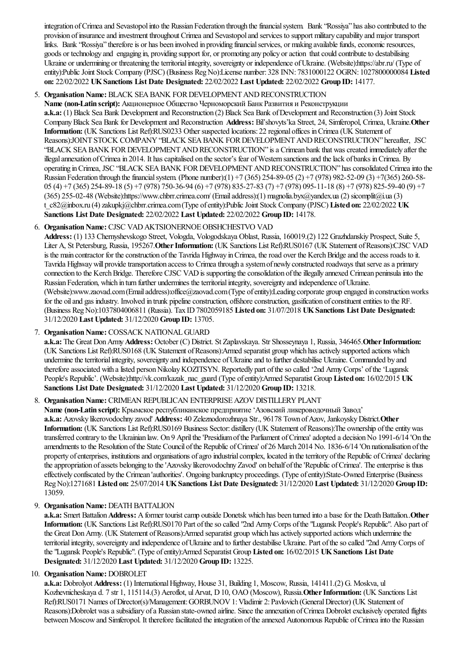integration ofCrimeaand Sevastopolinto the Russian Federation through thefinancialsystem. Bank "Rossiya" hasalso contributed to the provision ofinsuranceand investment throughout Crimeaand Sevastopoland services to supportmilitary capability and major transport links. Bank "Rossiya" therefore is or has been involved in providing financial services, or making available funds, economic resources, goods or technology and engaging in, providing support for, or promoting any policy oraction thatcould contributeto destabilising Ukraine or undermining or threatening the territorial integrity, sovereignty or independence of Ukraine. (Website):https://abr.ru/ (Type of entity):Public Joint Stock Company (PJSC) (Business Reg No):License number: 328 INN: 7831000122 OGRN: 1027800000084 Listed **on:** 22/02/2022 **UKSanctions List Date Designated:** 22/02/2022 **Last Updated:** 22/02/2022 **Group ID:** 14177.

# 5. **Organisation Name: BLACK SEA BANK FOR DEVELOPMENT AND RECONSTRUCTION**

**Name (non-Latin script):** Акционерное Общество Черноморский Банк Развития и Реконструкции a.k.a: (1) Black Sea Bank Development and Reconstruction (2) Black Sea Bank of Development and Reconstruction (3) Joint Stock CompanyBlack Sea Bank for Developmentand Reconstruction **Address:** Bil'shovyts'ka Street, 24, Simferopol, Crimea, Ukraine.**Other Information:** (UK Sanctions List Ref):RUS0233 Other suspected locations: 22 regional offices inCrimea(UK Statement of Reasons):JOINT STOCK COMPANY"BLACK SEABANK FORDEVELOPMENTANDRECONSTRUCTION" hereafter, JSC "BLACK SEA BANK FOR DEVELOPMENT AND RECONSTRUCTION" is a Crimean bank that was created immediately after the illegal annexation of Crimea in 2014. It has capitalised on the sector's fear of Western sanctions and the lack of banks in Crimea. By operating in Crimea, JSC "BLACK SEA BANK FOR DEVELOPMENT AND RECONSTRUCTION" has consolidated Crimea into the Russian Federation through thefinancialsystem. (Phone number):(1) +7 (365) 254-89-05 (2) +7 (978) 982-52-09 (3) +7(365) 260-58- 05 (4) +7 (365) 254-89-18 (5) +7 (978) 750-36-94 (6) +7 (978) 835-27-83 (7) +7 (978) 095-11-18 (8) +7 (978) 825-59-40 (9) +7 (365) 255-02-48 (Website):https://www.chbrr.crimea.com/ (Emailaddress):(1) magnolia.byx@yandex.ua(2) sicomplit@i.ua(3) t\_c82@inbox.ru (4)zakupkj@chbrr.crimea.com(Type ofentity):PublicJoint Stock Company (PJSC) **Listed on:** 22/02/2022 **UK Sanctions List Date Designated:** 22/02/2022 **Last Updated:** 22/02/2022 **Group ID:** 14178.

# 6. **OrganisationName:** CJSC VADAKTSIONERNOEOBSHCHESTVO VAD

**Address:** (1) 133 Chernyshevskogo Street, Vologda, Vologodskaya Oblast, Russia, 160019.(2) 122 Grazhdanskiy Prospect, Suite 5, Liter A, St Petersburg, Russia, 195267. Other Information: (UK Sanctions List Ref):RUS0167 (UK Statement of Reasons):CJSC VAD is the main contractor for the construction of the Tavrida Highway in Crimea, the road over the Kerch Bridge and the access roads to it. Tavrida Highway will provide transportation access to Crimea through a system of newly constructed roadways that serve as a primary connection to the Kerch Bridge. Therefore CJSC VAD is supporting the consolidation of the illegally annexed Crimean peninsulainto the Russian Federation, which in turn further undermines the territorial integrity, sovereignty and independence of Ukraine. (Website):www.zaovad.com(Emailaddress):office@zaovad.com(Type ofentity):Leading corporate group engaged in constructionworks for the oil and gas industry. Involved in trunk pipeline construction, offshore construction, gasification of constituent entities to the RF. (Business RegNo):1037804006811 (Russia). Tax ID7802059185 **Listed on:** 31/07/2018 **UKSanctions List Date Designated:** 31/12/2020 **Last Updated:** 31/12/2020 **Group ID:** 13705.

# 7. Organisation Name: COSSACK NATIONAL GUARD

a.k.a: The Great Don Army Address: October (C) District. St Zaplavskaya. Str Shosseynaya 1, Russia, 346465. Other Information: (UK Sanctions List Ref):RUS0168 (UK Statement ofReasons):Armed separatist group which hasactively supported actions which undermine the territorial integrity, sovereignty and independence of Ukraine and to further destabilise Ukraine. Commanded by and therefore associated with a listed person Nikolay KOZITSYN. Reportedly part of the so called '2nd Army Corps' of the 'Lugansk People's Republic'. (Website):http://vk.com/kazak\_nac\_guard (Type ofentity):Armed Separatist Group **Listed on:** 16/02/2015 **UK Sanctions List Date Designated:** 31/12/2020 **Last Updated:** 31/12/2020 **Group ID:** 13218.

# 8. **Organisation Name:** CRIMEAN REPUBLICAN ENTERPRISE AZOV DISTILLERY PLANT

**Name (non-Latin script):** Крымское республиканское предприятие'Азовский ликероводочный Завод' **a.k.a:** Azovsky likerovodochny zavod' **Address:** 40 Zeleznodorozhnaya Str., 96178 Town ofAzov, JankoyskyDistrict.**Other Information:** (UK Sanctions List Ref):RUS0169 Business Sector: distillery (UK Statement of Reasons):The ownership of the entity was transferred contrary to the Ukrainian law. On 9 April the 'Presidium of the Parliament of Crimea' adopted a decision No 1991-6/14 'On the amendments to the Resolution of the State Council of the Republic of Crimea' of 26 March 2014 No. 1836-6/14 'On nationalisation of the property of enterprises, institutions and organisations of agro industrial complex, located in the territory of the Republic of Crimea' declaring the appropriation of assets belonging to the 'Azovsky likerovodochny Zavod' on behalf of the 'Republic of Crimea'. The enterprise is thus effectively confiscated by the Crimean 'authorities'. Ongoing bankruptcy proceedings. (Type ofentity):State-Owned Enterprise(Business RegNo):1271681 **Listed on:** 25/07/2014 **UKSanctions List Date Designated:** 31/12/2020 **Last Updated:** 31/12/2020 **Group ID:** 13059.

# 9. **Organisation Name: DEATH BATTALION**

a.k.a: Smert Battalion Address: A former tourist camp outside Donetsk which has been turned into a base for the Death Battalion. Other Information: (UK Sanctions List Ref):RUS0170 Part of the so called "2nd Army Corps of the "Lugansk People's Republic". Also part of the Great Don Army. (UK Statement of Reasons):Armed separatist group which has actively supported actions which undermine the territorial integrity, sovereignty and independence of Ukraine and to further destabilise Ukraine. Part of the so called "2nd Army Corps of the"Lugansk People's Republic". (Type ofentity):Armed Separatist Group **Listed on:** 16/02/2015 **UKSanctions List Date Designated:** 31/12/2020 **Last Updated:** 31/12/2020 **Group ID:** 13225.

# 10. **Organisation Name: DOBROLET**

**a.k.a:** Dobrolyot **Address:** (1) InternationalHighway, House 31, Building 1, Moscow, Russia, 141411.(2) G. Moskva, ul Kozhevnicheskaya d. 7 str 1, 115114.(3) Aeroflot, ulArvat, D10, OAO (Moscow), Russia.**OtherInformation:** (UK Sanctions List Ref):RUS0171 Names of Director(s)/Management: GORBUNOV1: Vladimir 2: Pavlovich (General Director) (UK Statement of Reasons):Dobrolet was a subsidiary of a Russian state-owned airline. Since the annexation of Crimea Dobrolet exclusively operated flights between Moscow and Simferopol. It therefore facilitated the integration of the annexed Autonomous Republic of Crimea into the Russian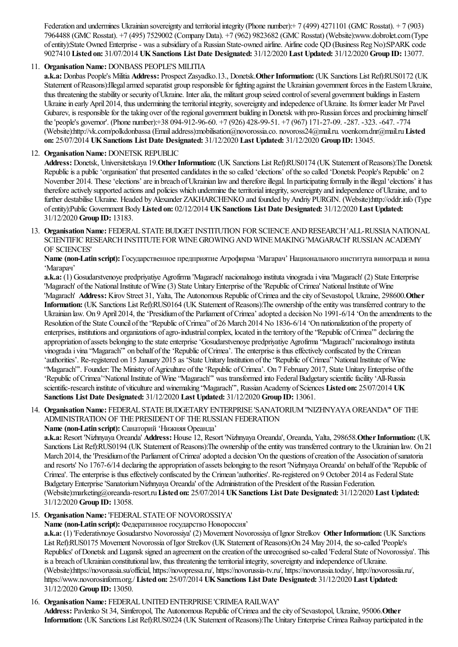Federation and undermines Ukrainian sovereignty and territorial integrity (Phone number): + 7 (499) 4271101 (GMC Rosstat). + 7 (903) 7964488 (GMC Rosstat). +7 (495) 7529002 (CompanyData). +7 (962) 9823682 (GMC Rosstat) (Website):www.dobrolet.com(Type of entity):State Owned Enterprise - was a subsidiary of a Russian State-owned airline. Airline code QD (Business Reg No):SPARK code 9027410 **Listed on:** 31/07/2014 **UKSanctions List Date Designated:** 31/12/2020 **Last Updated:** 31/12/2020 **Group ID:** 13077.

# 11. **Organisation Name: DONBASS PEOPLE'S MILITIA**

**a.k.a:** Donbas People's Militia **Address:** Prospect Zasyadko.13., Donetsk.**OtherInformation:** (UK Sanctions List Ref):RUS0172 (UK Statement of Reasons):Illegal armed separatist group responsible for fighting against the Ukrainian government forces in the Eastern Ukraine, thus threatening the stability or security of Ukraine. Inter alia, the militant group seized control of several government buildings in Eastern Ukraine in early April 2014, thus undermining the territorial integrity, sovereignty and indepedence of Ukraine. Its former leader Mr Pavel Gubarev, is responsible for the taking over of the regional government building in Donetsk with pro-Russian forces and proclaiming himself the'people's governor'. (Phone number):+38 094-912-96-60. +7 (926) 428-99-51. +7 (967) 171-27-09. -287. -323. -647. -774 (Website):http://vk.com/polkdonbassa(Emailaddress):mobilisation@novorossia.co. novoross24@mail.ru. voenkom.dnr@mail.ru**Listed on:** 25/07/2014 **UKSanctions List Date Designated:** 31/12/2020 **Last Updated:** 31/12/2020 **Group ID:** 13045.

### 12. **Organisation Name: DONETSK REPUBLIC**

**Address:** Donetsk, Universitetskaya 19.**OtherInformation:** (UK Sanctions List Ref):RUS0174 (UK Statement ofReasons):The Donetsk Republic is a public 'organisation' that presented candidates in the so called 'elections' of the so called 'Donetsk People's Republic' on 2 November 2014. These 'elections' are in breach of Ukrainian law and therefore illegal. In participating formally in the illegal 'elections' it has therefore actively supported actions and policies which undermine the territorial integrity, sovereignty and independence of Ukraine, and to further destabilise Ukraine. Headed byAlexander ZAKHARCHENKO and founded byAndriy PURGIN. (Website):http://oddr.info (Type ofentity):Public Government Body**Listed on:** 02/12/2014 **UKSanctions List Date Designated:** 31/12/2020 **Last Updated:** 31/12/2020 **Group ID:** 13183.

13. Organisation Name: FEDERAL STATE BUDGET INSTITUTION FOR SCIENCE AND RESEARCH 'ALL-RUSSIA NATIONAL SCIENTIFIC RESEARCH INSTITUTE FOR WINE GROWING AND WINE MAKING 'MAGARACH' RUSSIAN ACADEMY OF SCIENCES'

**Name (non-Latin script):** Государственное предприятие Агрофирма'Магарач' Национального института винограда и вина 'Магарач'

**a.k.a:** (1) Gosudarstvenoye predpriyatiye Agrofirma'Magarach' nacionalnogo instituta vinogradai vina'Magarach' (2) State Enterprise 'Magarach' of the National Institute of Wine (3) State Unitary Enterprise of the 'Republic of Crimea' National Institute of Wine 'Magarach' **Address:** Kirov Street 31, Yalta, The Autonomous Republic ofCrimeaand thecity ofSevastopol, Ukraine, 298600.**Other Information:** (UK Sanctions List Ref):RUS0164 (UK Statement of Reasons):The ownership of the entity was transferred contrary to the Ukrainian law. On 9 April 2014, the 'Presidium of the Parliament of Crimea' adopted a decision No 1991-6/14 'On the amendments to the Resolution of the State Council of the "Republic of Crimea" of 26 March 2014 No 1836-6/14 'On nationalization of the property of enterprises, institutions and organizations of agro-industrial complex, located in the territory of the "Republic of Crimea"' declaring the appropriation of assets belonging to the state enterprise 'Gosudarstvenoye predpriyatiye Agrofirma 'Magarach' nacionalnogo instituta vinograda i vina "Magarach" on behalf of the 'Republic of Crimea'. The enterprise is thus effectively confiscated by the Crimean 'authorities'. Re-registered on 15 January 2015 as 'State Unitary Institution ofthe"Republic ofCrimea"NationalInstitute ofWine "Magarach"". Founder: The Ministry of Agriculture of the 'Republic of Crimea'. On 7 February 2017, State Unitary Enterprise of the 'Republic of Crimea''National Institute of Wine "Magarach"' was transformed into Federal Budgetary scientific facility 'All-Russia scientific-research institute of viticulture and winemaking "Magarach"', Russian Academy of Sciences Listed on: 25/07/2014 UK **Sanctions List Date Designated:** 31/12/2020 **Last Updated:** 31/12/2020 **Group ID:** 13061.

# 14. **Organisation Name:** FEDERAL STATE BUDGETARY ENTERPRISE 'SANATORIUM "NIZHNYAYA OREANDA" OF THE ADMINISTRATION OF THE PRESIDENT OF THE RUSSIAN FEDERATION

**Name (non-Latin script):** Санаторий 'Нижняя Ореанда'

**a.k.a:** Resort 'Nizhnyaya Oreanda' **Address:** House 12, Resort 'Nizhnyaya Oreanda', Oreanda, Yalta, 298658.**OtherInformation:** (UK Sanctions List Ref):RUS0194 (UK Statement of Reasons):The ownership of the entity was transferred contrary to the Ukrainian law. On 21 March 2014, the 'Presidium of the Parliament of Crimea' adopted a decision 'On the questions of creation of the Association of sanatoria and resorts' No 1767-6/14 declaring the appropriation of assets belonging to the resort 'Nizhnyaya Oreanda' on behalf of the 'Republic of Crimea'. The enterprise is thus effectively confiscated by the Crimean 'authorities'. Re-registered on 9 October 2014 as Federal State Budgetary Enterprise 'Sanatorium Nizhnyaya Oreanda' of the Administration of the President of the Russian Federation. (Website):marketing@oreanda-resort.ru**Listed on:** 25/07/2014 **UKSanctions List Date Designated:** 31/12/2020 **Last Updated:** 31/12/2020 **Group ID:** 13058.

# 15. **Organisation Name: 'FEDERAL STATE OF NOVOROSSIYA'**

**Name (non-Latin script):** Федеративноегосударство Новороссия'

**a.k.a:** (1) 'Federativnoye Gosudarstvo Novorossiya' (2) Movement Novorossiya ofIgnor Strelkov **OtherInformation:** (UK Sanctions List Ref):RUS0175 Movement Novorossia ofIgor Strelkov (UK Statement ofReasons):On 24 May 2014, theso-called 'People's Republics' of Donetsk and Lugansk signed an agreement on the creation of the unrecognised so-called 'Federal State of Novorossiya'. This is a breach of Ukrainian constitutional law, thus threatening the territorial integrity, sovereignty and independence of Ukraine. (Website):https://novorussia.su/official, https://novopressa.ru/, https://novorussia-tv.ru/, https://novorussia.today/, http://novorossiia.ru/, https://www.novorosinform.org./ **Listed on:** 25/07/2014 **UKSanctions List Date Designated:** 31/12/2020 **Last Updated:** 31/12/2020 **Group ID:** 13050.

# 16. **Organisation Name: FEDERAL UNITED ENTERPRISE 'CRIMEA RAILWAY'**

**Address:** Pavlenko St 34, Simferopol, The Autonomous Republic ofCrimeaand thecity ofSevastopol, Ukraine, 95006.**Other** Information: (UK Sanctions List Ref):RUS0224 (UK Statement of Reasons):The Unitary Enterprise Crimea Railway participated in the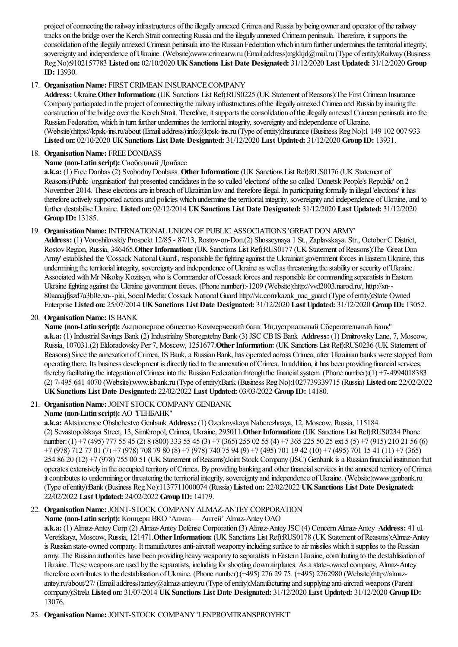project of connecting the railway infrastructures of the illegally annexed Crimea and Russia by being owner and operator of the railway tracks on the bridge over the Kerch Strait connecting Russia and the illegally annexed Crimean peninsula. Therefore, it supports the consolidation oftheillegally annexed Crimean peninsulainto the Russian Federationwhich in turn further undermines theterritorialintegrity, sovereignty and independence of Ukraine. (Website):www.crimearw.ru (Email address):ngkkjd@mail.ru (Type of entity):Railway (Business RegNo):9102157783 **Listed on:** 02/10/2020 **UKSanctions List Date Designated:** 31/12/2020 **Last Updated:** 31/12/2020 **Group ID:** 13930.

# 17. Organisation Name: FIRST CRIMEAN INSURANCE COMPANY

**Address:** Ukraine.**OtherInformation:** (UK Sanctions List Ref):RUS0225 (UK Statement ofReasons):The First Crimean Insurance Company participated in the project of connecting the railway infrastructures of the illegally annexed Crimea and Russia by insuring the construction of the bridge over the Kerch Strait. Therefore, it supports the consolidation of the illegally annexed Crimean peninsula into the Russian Federation, which in turn further undermines the territorial integrity, sovereignty and independence of Ukraine. (Website):https://kpsk-ins.ru/about (Emailaddress):info@kpsk-ins.ru (Type ofentity):Insurance(Business RegNo):1 149 102 007 933 **Listed on:** 02/10/2020 **UKSanctions List Date Designated:** 31/12/2020 **Last Updated:** 31/12/2020 **Group ID:** 13931.

# 18. **Organisation Name:** FREE DONBASS

**Name (non-Latin script):** Свободный Донбасс

**a.k.a:** (1) Free Donbas (2) Svobodny Donbass Other Information: (UK Sanctions List Ref):RUS0176 (UK Statement of Reasons):Public'organisation' that presented candidates in theso called 'elections' oftheso called 'Donetsk People's Republic' on 2 November 2014. These elections are in breach of Ukrainian law and therefore illegal. In participating formally in illegal 'elections' it has therefore actively supported actions and policies which undermine the territorial integrity, sovereignty and independence of Ukraine, and to further destabilise Ukraine. **Listed on:** 02/12/2014 **UKSanctions List Date Designated:** 31/12/2020 **Last Updated:** 31/12/2020 **Group ID:** 13185.

# 19. **OrganisationName:** INTERNATIONALUNION OF PUBLIC ASSOCIATIONS 'GREATDON ARMY'

**Address:** (1) Voroshilovskiy Prospekt 12/85 - 87/13, Rostov-on-Don.(2) Shosseynaya 1 St., Zaplavskaya. Str., October C District, Rostov Region, Russia, 346465. Other Information: (UK Sanctions List Ref):RUS0177 (UK Statement of Reasons):The 'Great Don Army' established the 'Cossack National Guard', responsible for fighting against the Ukrainian government forces in Eastern Ukraine, thus undermining the territorial integrity, sovereignty and independence of Ukraine as well as threatening the stability or security of Ukraine. Associated with Mr Nikolay Kozitsyn, who is Commander of Cossack forces and responsible for commanding separatists in Eastern Ukraine fighting against the Ukraine government forces. (Phone number):-1209 (Website):http://vvd2003.narod.ru/, http://xn--80aaaajfiszd7a3b0e.xn--plai, Social Media: Cossack National Guard http://vk.com/kazak\_nac\_guard (Type of entity):State Owned Enterprise **Listed on:** 25/07/2014 **UKSanctions List Date Designated:** 31/12/2020 **Last Updated:** 31/12/2020 **Group ID:** 13052.

# 20. **Organisation Name:** IS BANK

**Name (non-Latin script):** Акционерное общество Коммерческий банк "Индустриальный Сберегательный Банк" **a.k.a:** (1) IndustrialSavings Bank (2) Industrialny SberegatelnyBank (3) JSC CBIS Bank **Address:** (1) DmitrovskyLane, 7, Moscow, Russia, 107031.(2) Eldoradovsky Per 7, Moscow, 1251677.**OtherInformation:** (UK Sanctions List Ref):RUS0236 (UK Statement of Reasons): Since the annexation of Crimea, IS Bank, a Russian Bank, has operated across Crimea, after Ukrainian banks were stopped from operating there. Its business development is directly tied to theannexation ofCrimea. In addition, it has been providing financialservices, thereby facilitating the integration of Crimea into the Russian Federation through the financial system. (Phone number):(1) +7-4994018383 (2) 7-495 641 4070 (Website):www.isbank.ru (Type ofentity):Bank (Business RegNo):1027739339715 (Russia) **Listed on:** 22/02/2022 **UKSanctions List Date Designated:** 22/02/2022 **Last Updated:** 03/03/2022 **Group ID:** 14180.

# 21. Organisation Name: JOINT STOCK COMPANY GENBANK

# **Name (non-Latin script):** АО "ГЕНБАНК"

**a.k.a:** Aktsionernoe Obshchestvo Genbank **Address:** (1) Ozerkovskaya Naberezhnaya, 12, Moscow, Russia, 115184. (2) Sevastopolskaya Street, 13, Simferopol, Crimea, Ukraine, 295011.**OtherInformation:** (UK Sanctions List Ref):RUS0234 Phone number:(1) +7 (495) 777 55 45 (2) 8 (800) 333 55 45 (3) +7 (365) 255 02 55 (4) +7 365 225 50 25 ext 5 (5) +7 (915) 210 21 56 (6) +7 (978) 712 77 01 (7) +7 (978) 708 79 80 (8) +7 (978) 740 75 94 (9) +7 (495) 701 19 42 (10) +7 (495) 701 15 41 (11) +7 (365) 254 86 20 (12) +7 (978) 755 00 51 (UK Statement ofReasons):Joint Stock Company (JSC) Genbank isa Russian financialinstitution that operates extensively in the occupied territory of Crimea. By providing banking and other financial services in the annexed territory of Crimea it contributes to undermining or threatening the territorial integrity, sovereignty and independence of Ukraine. (Website):www.genbank.ru (Type ofentity):Bank (Business RegNo):1137711000074 (Russia) **Listed on:** 22/02/2022 **UKSanctions List Date Designated:** 22/02/2022 **Last Updated:** 24/02/2022 **Group ID:** 14179.

# 22. Organisation Name: JOINT-STOCK COMPANY ALMAZ-ANTEY CORPORATION

# **Name (non-Latin script):** Концерн ВКО 'Алмаз — Антей' Almaz-AnteyOAO

**a.k.a:** (1) Almaz-AnteyCorp (2) Almaz-AnteyDefense Corporation (3) Almaz-Antey JSC (4) ConcernAlmaz-Antey **Address:** 41 ul. Vereiskaya, Moscow, Russia, 121471.**OtherInformation:** (UK Sanctions List Ref):RUS0178 (UK Statement ofReasons):Almaz-Antey is Russian state-owned company. It manufactures anti-aircraft weaponry including surface to air missiles which it supplies to the Russian army. The Russian authorities have been providing heavy weaponry to separatists in Eastern Ukraine, contributing to the destablisiation of Ukraine. These weapons are used by the separatists, including for shooting down airplanes. As a state-owned company, Almaz-Antey therefore contributes to the destablisation of Ukraine. (Phone number):(+495) 276 29 75. (+495) 2762980 (Website):http://almazantey.ru/about/27/ (Emailaddress):antey@almaz-antey.ru (Type ofentity):Manufacturing and supplying anti-aircraft weapons (Parent company):Strela **Listed on:** 31/07/2014 **UKSanctions List Date Designated:** 31/12/2020 **Last Updated:** 31/12/2020 **Group ID:** 13076.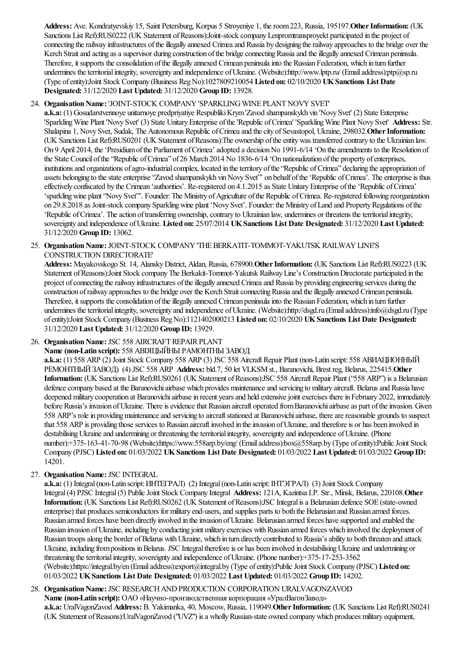Address: Ave. Kondratyevskiy 15, Saint Petersburg, Korpus 5 Stroyeniye 1, the room 223, Russia, 195197. Other Information: (UK Sanctions List Ref):RUS0222 (UK Statement of Reasons):Joint-stock company Lenpromtransproyekt participated in the project of connecting the railway infrastructures of the illegally annexed Crimea and Russia by designing the railway approaches to the bridge over the Kerch Strait and acting as a supervisor during construction of the bridge connecting Russia and the illegally annexed Crimean peninsula. Therefore, it supports the consolidation of the illegally annexed Crimean peninsulainto the Russian Federation, which in turn further undermines the territorial integrity, sovereignty and independence of Ukraine. (Website):http://www.lptp.ru/ (Email address):ptp@sp.ru (Type ofentity):Joint Stock Company (Business RegNo):1027809210054 **Listed on:** 02/10/2020 **UKSanctions List Date Designated:** 31/12/2020 **Last Updated:** 31/12/2020 **Group ID:** 13928.

# 24. Organisation Name: 'JOINT-STOCK COMPANY'SPARKLING WINE PLANT NOVY SVET'

a.k.a: (1) Gosudarstvennoye unitarnoye predpriyatiye Respubliki Krym 'Zavod shampanskykh vin 'Novy Svet' (2) State Enterprise 'Sparkling Wine Plant 'Novy Svet' (3) State Unitary Enterprise of the 'Republic of Crimea' 'Sparkling Wine Plant Novy Svet' Address: Str. Shalapina 1, Novy Svet, Sudak, The Autonomous Republic of Crimea and the city of Sevastopol, Ukraine, 298032. Other Information: (UK Sanctions List Ref):RUS0201 (UK Statement ofReasons):The ownership oftheentitywas transferred contrary to the Ukrainian law. On 9 April 2014, the 'Presidium of the Parliament of Crimea' adopted a decision No 1991-6/14 'On the amendments to the Resolution of the State Council ofthe"Republic ofCrimea" of 26 March 2014 No 1836-6/14 'On nationalization ofthe property ofenterprises, institutions and organizations of agro-industrial complex, located in the territory of the "Republic of Crimea" declaring the appropriation of assets belonging to the state enterprise "Zavod shampanskykh vin Novy Svet" on behalf of the 'Republic of Crimea'. The enterprise is thus effectively confiscated by the Crimean 'authorities'. Re-registered on 4.1.2015 as State Unitary Enterprise of the 'Republic of Crimea' 'sparkling wine plant 'Novy Svet'". Founder: The Ministry of Agriculture of the Republic of Crimea. Re-registered following reorganization on 29.8.2018 as Joint-stock company Sparkling wine plant 'Novy Svet'. Founder: the Ministry of Land and Property Regulations of the 'Republic of Crimea'. The action of transferring ownership, contrary to Ukrainian law, undermines or threatens the territorial integrity, sovereignty and independence ofUkraine. **Listed on:** 25/07/2014 **UKSanctions List Date Designated:** 31/12/2020 **Last Updated:** 31/12/2020 **Group ID:** 13062.

25. Organisation Name: JOINT-STOCK COMPANY 'THE BERKATIT-TOMMOT-YAKUTSK RAILWAY LINE'S CONSTRUCTION DIRECTORATE'

**Address:** Mayakovskogo St. 14, AlanskyDistrict, Aldan, Russia, 678900.**OtherInformation:** (UK Sanctions List Ref):RUS0223 (UK Statement of Reasons):Joint Stock company The Berkakit-Tommot-Yakutsk Railway Line's Construction Directorate participated in the project of connecting the railway infrastructures of the illegally annexed Crimea and Russia by providing engineering services during the construction of railway approaches to the bridge over the Kerch Strait connecting Russia and the illegally annexed Crimean peninsula. Therefore, it supports the consolidation of the illegally annexed Crimean peninsula into the Russian Federation, which in turn further undermines the territorial integrity, sovereignty and independence of Ukraine. (Website):http://dsgd.ru (Email address):info@dsgd.ru (Type ofentity):Joint Stock Company (Business RegNo):1121402000213 **Listed on:** 02/10/2020 **UKSanctions List Date Designated:** 31/12/2020 **Last Updated:** 31/12/2020 **Group ID:** 13929.

# 26. Organisation Name: JSC 558 AIRCRAFT REPAIR PLANT

**Name (non-Latin script):** 558 АВІЯЦЫЙНЫ РАМОНТНЫ ЗАВОД

**a.k.a:** (1) 558 ARP (2) Joint Stock Company 558 ARP (3) JSC 558 Aircraft Repair Plant (non-Latin script: 558 АВИАЦИОННЫЙ РЕМОНТНЫЙЗАВОД) (4) JSC 558 ARP **Address:** bld.7, 50 let VLKSMst., Baranovichi, Brest reg, Belarus, 225415.**Other Information:** (UK Sanctions List Ref):RUS0261 (UK Statement ofReasons):JSC 558 Aircraft Repair Plant ("558 ARP") isa Belarusian defence company based at the Baranovichi airbase which provides maintenance and servicing to military aircraft. Belarus and Russia have deepened military cooperation at Baranovichi airbase in recent years and held extensive joint exercises there in February 2022, immediately before Russia's invasion of Ukraine. There is evidence that Russian aircraft operated from Baranovichi airbase as part of the invasion. Given 558 ARP's role in providing maintenance and servicing to aircraft stationed at Baranovichi airbase, there are reasonable grounds to suspect that 558 ARP is providing those services to Russian aircraft involved in the invasion of Ukraine, and therefore is or has been involved in destabilising Ukraine and undermining or threatening the territorial integrity, sovereignty and independence of Ukraine. (Phone number):+375-163-41-70-98 (Website):https://www.558arp.by/eng/ (Emailaddress):box@558arp.by (Type ofentity):PublicJoint Stock Company (PJSC) **Listed on:** 01/03/2022 **UKSanctions List Date Designated:** 01/03/2022 **Last Updated:** 01/03/2022 **Group ID:** 14201.

27. Organisation Name: JSC INTEGRAL

**a.k.a:** (1) Integral(non-Latin script:ИНТЕГРАЛ) (2) Integral(non-Latin script:ІНТЭГРАЛ) (3) Joint Stock Company Integral (4) PJSC Integral (5) Public Joint Stock Company Integral Address: 121A, Kazintsa I.P. Str., Minsk, Belarus, 220108. Other **Information:** (UK Sanctions List Ref):RUS0262 (UK Statement of Reasons):JSC Integral is a Belarusian defence SOE (state-owned enterprise) that produces semiconductors for military end-users, and supplies parts to both the Belarusian and Russian armed forces. Russian armed forces have been directly involved in the invasion of Ukraine. Belarusian armed forces have supported and enabled the Russian invasion of Ukraine, including by conducting joint military exercises with Russian armed forces which involved the deployment of Russian troops along the border of Belarus with Ukraine, which in turn directly contributed to Russia's ability to both threaten and attack Ukraine, including from positions in Belarus. JSC Integral therefore is or has been involved in destabilising Ukraine and undermining or threatening the territorial integrity, sovereignty and independence of Ukraine. (Phone number):+375-17-253-3562 (Website):https://integral.by/en (Emailaddress):export@integral.by (Type ofentity):PublicJoint Stock Company (PJSC) **Listed on:** 01/03/2022 **UKSanctions List Date Designated:** 01/03/2022 **Last Updated:** 01/03/2022 **Group ID:** 14202.

### 28. Organisation Name: JSC RESEARCH AND PRODUCTION CORPORATION URALVAGONZAVOD **Name (non-Latin script):** ОАО «Научно-производственная корпорация «УралВагонЗавод»

**a.k.a:** UralVagonZavod **Address:** B. Yakimanka, 40, Moscow, Russia, 119049.**OtherInformation:** (UK Sanctions List Ref):RUS0241 (UK Statement of Reasons): UralVagonZavod ("UVZ") is a wholly Russian-state owned company which produces military equipment,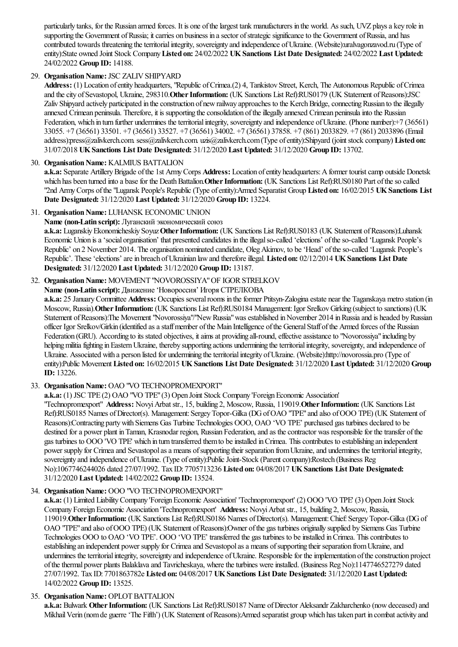particularly tanks, for the Russian armed forces. It is one of the largest tank manufacturers in the world. As such, UVZ plays a key role in supporting the Government of Russia; it carries on business in a sector of strategic significance to the Government of Russia, and has contributed towards threatening the territorial integrity, sovereignty and independence of Ukraine. (Website):uralvagonzavod.ru (Type of entity):State owned Joint Stock Company**Listed on:** 24/02/2022 **UKSanctions List Date Designated:** 24/02/2022 **Last Updated:** 24/02/2022 **Group ID:** 14188.

# 29. **Organisation Name: JSC ZALIV SHIPYARD**

**Address:** (1) Location ofentity headquarters, "Republic ofCrimea.(2) 4, Tankistov Street, Kerch, The Autonomous Republic ofCrimea and the city of Sevastopol, Ukraine, 298310. Other Information: (UK Sanctions List Ref):RUS0179 (UK Statement of Reasons):JSC Zaliv Shipyard actively participated in the construction of new railway approaches to the Kerch Bridge, connecting Russian to the illegally annexed Crimean peninsula. Therefore, it is supporting the consolidation of the illegally annexed Crimean peninsula into the Russian Federation, which in turn further undermines the territorial integrity, sovereignty and independence of Ukraine. (Phone number):+7 (36561) 33055. +7 (36561) 33501. +7 (36561) 33527. +7 (36561) 34002. +7 (36561) 37858. +7 (861) 2033829. +7 (861) 2033896 (Email address):press@zalivkerch.com. sess@zalivkerch.com. uzis@zalivkerch.com(Type ofentity):Shipyard (jointstock company) **Listed on:** 31/07/2018 **UKSanctions List Date Designated:** 31/12/2020 **Last Updated:** 31/12/2020 **Group ID:** 13702.

# 30. Organisation Name: KALMIUS BATTALION

a.k.a: Separate Artillery Brigade of the 1st Army Corps Address: Location of entity headquarters: A former tourist camp outside Donetsk which has been turned into a base for the Death Battalion. Other Information: (UK Sanctions List Ref):RUS0180 Part of the so called "2nd ArmyCorps ofthe"Lugansk People's Republic(Type ofentity):Armed Separatist Group **Listed on:** 16/02/2015 **UKSanctions List Date Designated:** 31/12/2020 **Last Updated:** 31/12/2020 **Group ID:** 13224.

# 31. Organisation Name: LUHANSK ECONOMIC UNION

# **Name (non-Latin script):** Луганский экономический союз

**a.k.a:** LuganskiyEkonomicheskiy Soyuz**OtherInformation:** (UK Sanctions List Ref):RUS0183 (UK Statement ofReasons):Luhansk Economic Union is a 'social organisation' that presented candidates in the illegal so-called 'elections' of the so-called 'Lugansk People's Republic' on 2 November 2014. The organisation nominated candidate, OlegAkimov, to be'Head' oftheso-called 'Lugansk People's Republic'. These'elections'arein breach ofUkrainian lawand thereforeillegal. **Listed on:** 02/12/2014 **UKSanctions List Date Designated:** 31/12/2020 **Last Updated:** 31/12/2020 **Group ID:** 13187.

# 32. Organisation Name: MOVEMENT "NOVOROSSIYA" OF IGOR STRELKOV

**Name (non-Latin script):** Движение'Новороссия' Игоря СТРЕЛКОВА

**a.k.a:** 25 January Committee **Address:** Occupies several rooms in the former Ptitsyn-Zalogina estate near the Taganskaya metro station (in Moscow, Russia).**OtherInformation:** (UK Sanctions List Ref):RUS0184 Management:Igor SrelkovGirking (subject to sanctions) (UK Statement of Reasons):The Movement "Novorossiya"/"New Russia" was established in November 2014 in Russia and is headed by Russian officer Igor Srelkov/Girkin (identified asastaffmember ofthe Main Intelligence ofthe GeneralStaff ofthe Armed forces ofthe Russian Federation (GRU). According to its stated objectives, it aims at providing all-round, effective assistance to "Novorossiya" including by helping militia fighting in Eastern Ukraine, thereby supporting actions undermining the territorial integrity, sovereignty, and independence of Ukraine. Associated with a person listed for undermining the territorial integrity of Ukraine. (Website):http://novorossia.pro (Type of entity):Public Movement **Listed on:** 16/02/2015 **UKSanctions List Date Designated:** 31/12/2020 **Last Updated:** 31/12/2020 **Group ID:** 13226.

# 33. **Organisation Name:** OAO "VO TECHNOPROMEXPORT"

# **a.k.a:** (1) JSC TPE (2) OAO "VO TPE" (3) Open Joint Stock Company 'Foreign Economic Association'

"Technopromexport" **Address:** Novyi Arbat str., 15, building 2, Moscow, Russia, 119019. Other Information: (UK Sanctions List Ref):RUS0185 Names of Director(s). Management: Sergey Topor-Gilka (DG of OAO "TPE" and also of OOO TPE) (UK Statement of Reasons):Contracting partywith Siemens Gas Turbine Technologies OOO, OAO 'VO TPE' purchased gas turbines declared to be destined for a power plant in Taman, Krasnodar region, Russian Federation, and as the contractor was responsible for the transfer of the gas turbines to OOO 'VO TPE' which in turn transferred them to be installed in Crimea. This contributes to establishing an independent power supply for Crimea and Sevastopol as a means of supporting their separation from Ukraine, and undermines the territorial integrity, sovereignty and independence of Ukraine. (Type of entity):Public Joint-Stock (Parent company):Rostech (Business Reg No):1067746244026 dated 27/07/1992. Tax ID: 7705713236 **Listed on:** 04/08/2017 **UKSanctions List Date Designated:** 31/12/2020 **Last Updated:** 14/02/2022 **Group ID:** 13524.

# 34. Organisation Name: OOO "VO TECHNOPROMEXPORT"

**a.k.a:** (1) Limited Liability Company 'Foreign Economic Association' 'Technopromexport' (2) OOO 'VO TPE' (3) Open Joint Stock Company Foreign Economic Association 'Technopromexport' Address: Novyi Arbat str., 15, building 2, Moscow, Russia, 119019.**OtherInformation:** (UK Sanctions List Ref):RUS0186 Names ofDirector(s). Management:Chief:SergeyTopor-Gilka(DGof OAO "TPE"and also ofOOO TPE) (UK Statement ofReasons):Owner ofthe gas turbines originally supplied by Siemens Gas Turbine Technologies OOO to OAO 'VO TPE'. OOO 'VO TPE' transferred the gas turbines to be installed in Crimea. This contributes to establishing an independent power supply for Crimea and Sevastopol as a means of supporting their separation from Ukraine, and undermines the territorial integrity, sovereignty and independence of Ukraine. Responsible for the implementation of the construction project of the thermal power plants Balaklava and Tavricheskaya, where the turbines were installed. (Business Reg No):1147746527279 dated 27/07/1992. Tax ID: 7701863782e **Listed on:** 04/08/2017 **UKSanctions List Date Designated:** 31/12/2020 **Last Updated:** 14/02/2022 **Group ID:** 13525.

# 35. **Organisation Name: OPLOT BATTALION**

**a.k.a:** Bulwark Other Information: (UK Sanctions List Ref):RUS0187 Name of Director Aleksandr Zakharchenko (now deceased) and Mikhail Verin (nom de guerre 'The Fifth') (UK Statement of Reasons):Armed separatist group which has taken part in combat activity and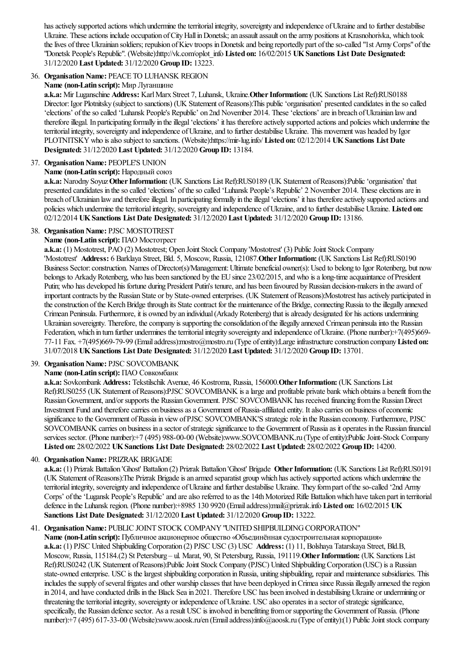has actively supported actions which undermine the territorial integrity, sovereignty and independence of Ukraine and to further destabilise Ukraine. These actions include occupation of City Hall in Donetsk; an assault assault on the army positions at Krasnohorivka, which took the lives of three Ukrainian soldiers; repulsion of Kiev troops in Donetsk and being reportedly part of the so-called "1st Army Corps" of the "Donetsk People's Republic". (Website):http://vk.com/oplot\_info **Listed on:** 16/02/2015 **UKSanctions List Date Designated:** 31/12/2020 **Last Updated:** 31/12/2020 **Group ID:** 13223.

# 36. **Organisation Name: PEACE TO LUHANSK REGION**

### **Name (non-Latin script):** Мир Луганщине

**a.k.a:** Mir Luganschine **Address:** KarlMarx Street 7, Luhansk, Ukraine.**OtherInformation:** (UK Sanctions List Ref):RUS0188 Director:Igor Plotnitsky (subject to sanctions) (UK Statement ofReasons):This public'organisation' presented candidates in theso called 'elections' of the so called 'Luhansk People's Republic' on 2nd November 2014. These 'elections' are in breach of Ukrainian law and therefore illegal. In participating formally in the illegal 'elections' it has therefore actively supported actions and policies which undermine the territorial integrity, sovereignty and independence of Ukraine, and to further destabilise Ukraine. This movement was headed by Igor PLOTNITSKYwho isalso subject to sanctions. (Website):https://mir-lug.info/ **Listed on:** 02/12/2014 **UKSanctions List Date Designated:** 31/12/2020 **Last Updated:** 31/12/2020 **Group ID:** 13184.

# 37. Organisation Name: PEOPLE'S UNION

### **Name (non-Latin script):** Народный союз

**a.k.a:** Narodny Soyuz**OtherInformation:** (UK Sanctions List Ref):RUS0189 (UK Statement ofReasons):Public'organisation' that presented candidates in the so called 'elections' of the so called 'Luhansk People's Republic' 2 November 2014. These elections are in breach of Ukrainian law and therefore illegal. In participating formally in the illegal 'elections' it has therefore actively supported actions and policies which undermine the territorial integrity, sovereignty and independence of Ukraine, and to further destabilise Ukraine. Listed on: 02/12/2014 **UKSanctions List Date Designated:** 31/12/2020 **Last Updated:** 31/12/2020 **Group ID:** 13186.

### 38. **Organisation Name: PJSC MOSTOTREST**

### **Name (non-Latin script):** ПАО Мостотрест

**a.k.a:** (1) Mostotrest, PAO (2) Mostotrest; Open Joint Stock Company 'Mostotrest' (3) Public Joint Stock Company 'Mostotrest' **Address:** 6 Barklaya Street, Bld. 5, Moscow, Russia, 121087.**OtherInformation:** (UK Sanctions List Ref):RUS0190 Business Sector:construction. Names ofDirector(s)/Management:Ultimate beneficial owner(s):Used to belong to Igor Rotenberg, but now belongs to Arkady Rotenberg, who has been sanctioned by the EU since 23/02/2015, and who is a long-time acquaintance of President Putin; who has developed his fortune during President Putin's tenure, and has been favoured by Russian decision-makers in the award of important contracts by the Russian State or by State-owned enterprises. (UK Statement of Reasons):Mostotrest has actively participated in the construction of the Kerch Bridge through its State contract for the maintenance of the Bridge, connecting Russia to the illegally annexed Crimean Peninsula. Furthermore, it is owned by an individual (Arkady Rotenberg) that is already designated for his actions undermining Ukrainian sovereignty. Therefore, the company is supporting the consolidation of the illegally annexed Crimean peninsula into the Russian Federation, which in turn further undermines the territorial integrity sovereignty and independence of Ukraine. (Phone number):+7(495)669-77-11 Fax. +7(495)669-79-99 (Emailaddress):mostro@mostro.ru (Type ofentity):Largeinfrastructureconstruction company**Listed on:** 31/07/2018 **UKSanctions List Date Designated:** 31/12/2020 **Last Updated:** 31/12/2020 **Group ID:** 13701.

# 39. **Organisation Name: PJSC SOVCOMBANK**

# **Name (non-Latin script):** ПАО Сoвкoмбaнк

**a.k.a:** Sovkombank **Address:** Tekstilschik Avenue, 46 Kostroma, Russia, 156000.**OtherInformation:** (UK Sanctions List Ref):RUS0255 (UK Statement of Reasons):PJSC SOVCOMBANK is a large and profitable private bank which obtains a benefit from the Russian Government, and/or supports the Russian Government. PJSC SOVCOMBANK has received financing from the Russian Direct Investment Fund and therefore carries on business as a Government of Russia-affiliated entity. It also carries on business of economic significance to the Government of Russia in view of PJSC SOVCOMBANK'S strategic role in the Russian economy. Furthermore, PJSC SOVCOMBANK carries on business in a sector of strategic significance to the Government of Russia as it operates in the Russian financial services sector. (Phone number):+7 (495) 988-00-00 (Website):www.SOVCOMBANK.ru (Type of entity):Public Joint-Stock Company **Listed on:** 28/02/2022 **UKSanctions List Date Designated:** 28/02/2022 **Last Updated:** 28/02/2022 **Group ID:** 14200.

# 40. **Organisation Name: PRIZRAK BRIGADE**

**a.k.a:** (1) Prizrak Battalion 'Ghost' Battalion (2) Prizrak Battalion 'Ghost' Brigade **OtherInformation:** (UK Sanctions List Ref):RUS0191 (UK Statement of Reasons):The Prizrak Brigade is an armed separatist group which has actively supported actions which undermine the territorial integrity, sovereignty and independence of Ukraine and further destabilise Ukraine. They form part of the so-called '2nd Army Corps' of the 'Lugansk People's Republic' and are also referred to as the 14th Motorized Rifle Battalion which have taken part in territorial defencein the Luhansk region. (Phone number):+8985 130 9920 (Emailaddress):mail@prizrak.info **Listed on:** 16/02/2015 **UK Sanctions List Date Designated:** 31/12/2020 **Last Updated:** 31/12/2020 **Group ID:** 13222.

# 41. Organisation Name: PUBLIC JOINT STOCK COMPANY "UNITED SHIPBUILDING CORPORATION"

Name (non-Latin script): Публичное акционерное общество «Объединённая судостроительная корпорация» a.k.a: (1) PJSC United Shipbuilding Corporation (2) PJSC USC (3) USC Address: (1) 11, Bolshaya Tatarskaya Street, Bld.B, Moscow, Russia, 115184.(2) St Petersburg – ul. Marat, 90, St Petersburg, Russia, 191119.**OtherInformation:** (UK Sanctions List Ref):RUS0242 (UK Statement of Reasons):Public Joint Stock Company (PJSC) United Shipbuilding Corporation (USC) is a Russian state-owned enterprise. USC is the largest shipbuilding corporation in Russia, uniting shipbuilding, repair and maintenance subsidiaries. This includes the supply of several frigates and other warship classes that have been deployed in Crimea since Russia illegally annexed the region in 2014, and have conducted drills in the Black Sea in 2021. Therefore USC has been involved in destabilising Ukraine or undermining or threatening the territorial integrity, sovereignty or independence of Ukraine. USC also operates in a sector of strategic significance, specifically, the Russian defence sector. As a result USC is involved in benefitting from or supporting the Government of Russia. (Phone number):+7 (495) 617-33-00 (Website):www.aoosk.ru/en (Emailaddress):info@aoosk.ru (Type ofentity):(1) PublicJointstock company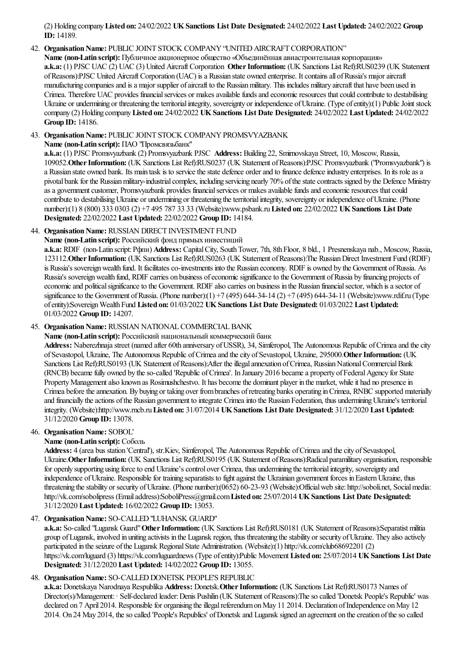(2) Holding company**Listed on:** 24/02/2022 **UKSanctions List Date Designated:** 24/02/2022 **Last Updated:** 24/02/2022 **Group ID:** 14189.

### 42. Organisation Name: PUBLIC JOINT STOCK COMPANY "UNITED AIRCRAFT CORPORATION"

Name (non-Latin script): Публичное акционерное общество «Объединённая авиастроительная корпорация» **a.k.a:** (1) PJSC UAC (2) UAC (3) United Aircraft Corporation **Other Information:** (UK Sanctions List Ref):RUS0239 (UK Statement ofReasons):PJSC United Aircraft Corporation (UAC) isa Russian state owned enterprise. Itcontainsall ofRussia's majoraircraft manufacturing companies and is a major supplier of aircraft to the Russian military. This includes military aircraft that have been used in Crimea. Therefore UAC provides financial services or makes available funds and economic resources that could contribute to destabilising Ukraine or undermining or threatening the territorial integrity, sovereignty or independence of Ukraine. (Type of entity):(1) Public Joint stock company (2) Holding company**Listed on:** 24/02/2022 **UKSanctions List Date Designated:** 24/02/2022 **Last Updated:** 24/02/2022 **Group ID:** 14186.

### 43. Organisation Name: PUBLIC JOINT STOCK COMPANY PROMSVYAZBANK

**Name (non-Latin script):** ПAO "Промсвязьбанк"

**a.k.a:** (1) PJSC Promsvyazbank (2) Promsvyazbank PJSC **Address:** Building 22, Smirnovskaya Street, 10, Moscow, Russia, 109052.**OtherInformation:** (UK Sanctions List Ref):RUS0237 (UK Statement ofReasons):PJSC Promsvyazbank ("Promsvyazbank") is a Russian state owned bank. Its main task is to service the state defence order and to finance defence industry enterprises. In its role as a pivotal bank for the Russianmilitary-industrialcomplex, including servicing nearly 70%ofthestatecontracts signed by the Defence Ministry as a government customer, Promsvyazbank provides financial services or makes available funds and economic resources that could contribute to destabilising Ukraine or undermining or threatening the territorial integrity, sovereignty or independence of Ukraine. (Phone number):(1) 8 (800) 333 0303 (2) +7 495 787 33 33 (Website):www.psbank.ru**Listed on:** 22/02/2022 **UKSanctions List Date Designated:** 22/02/2022 **Last Updated:** 22/02/2022 **Group ID:** 14184.

### 44. **Organisation Name: RUSSIAN DIRECT INVESTMENT FUND**

**Name (non-Latin script):** Российский фонд прямых инвестиций

**a.k.a:** RDIF (non-Latin script:Рфпи) **Address:** CapitalCity, SouthTower, 7th, 8th Floor, 8 bld., 1 Presnenskaya nab., Moscow, Russia, 123112.**OtherInformation:** (UK Sanctions List Ref):RUS0263 (UK Statement ofReasons):The RussianDirect Investment Fund (RDIF) is Russia's sovereign wealth fund. It facilitates co-investments into the Russian economy. RDIF is owned by the Government of Russia. As Russia's sovereign wealth fund, RDIF carries on business of economic significance to the Government of Russia by financing projects of economic and political significance to the Government. RDIF also carries on business in the Russian financial sector, which is a sector of significance to the Government of Russia. (Phone number):(1)  $+7$  (495) 644-34-14 (2)  $+7$  (495) 644-34-11 (Website):www.rdif.ru (Type ofentity):SovereignWealth Fund **Listed on:** 01/03/2022 **UKSanctions List Date Designated:** 01/03/2022 **Last Updated:** 01/03/2022 **Group ID:** 14207.

### 45. Organisation Name: RUSSIAN NATIONAL COMMERCIAL BANK

**Name (non-Latin script):** Российский национальный коммерческий банк

Address: Naberezhnaja street (named after 60th anniversary of USSR), 34, Simferopol, The Autonomous Republic of Crimea and the city of Sevastopol, Ukraine, The Autonomous Republic of Crimea and the city of Sevastopol, Ukraine, 295000. Other Information: (UK Sanctions List Ref):RUS0193 (UK Statement of Reasons):After the illegal annexation of Crimea, Russian National Commercial Bank (RNCB) became fully owned by the so-called 'Republic of Crimea'. In January 2016 became a property of Federal Agency for State Property Management also known as Rosimushchestvo. It has become the dominant player in the market, while it had no presence in Crimea before the annexation. By buying or taking over from branches of retreating banks operating in Crimea, RNBC supported materially and financially the actions of the Russian government to integrate Crimea into the Russian Federation, thus undermining Ukraine's territorial integrity. (Website):http://www.rncb.ru**Listed on:** 31/07/2014 **UKSanctions List Date Designated:** 31/12/2020 **Last Updated:** 31/12/2020 **Group ID:** 13078.

# 46. **OrganisationName:** SOBOL'

# **Name (non-Latin script):** Соболь

Address: 4 (area bus station 'Central'), str.Kiev, Simferopol, The Autonomous Republic of Crimea and the city of Sevastopol, Ukraine.**OtherInformation:** (UK Sanctions List Ref):RUS0195 (UK Statement ofReasons):Radical paramilitary organisation, responsible for openly supporting using force to end Ukraine's control over Crimea, thus undermining the territorial integrity, sovereignty and independence of Ukraine. Responsible for training separatists to fight against the Ukrainian government forces in Eastern Ukraine, thus threatening the stability or security of Ukraine. (Phone number):(0652) 60-23-93 (Website):Official web site: http://soboli.net, Social media: http://vk.com/sobolipress (Emailaddress):SoboliPress@gmail.com**Listed on:** 25/07/2014 **UKSanctions List Date Designated:** 31/12/2020 **Last Updated:** 16/02/2022 **Group ID:** 13053.

### 47. Organisation Name: SO-CALLED "LUHANSK GUARD"

**a.k.a:** So-called "Lugansk Guard"**OtherInformation:** (UK Sanctions List Ref):RUS0181 (UK Statement ofReasons):Separatistmilitia group ofLugansk, involved in uniting activists in the Lugansk region, thus threatening thestability or security ofUkraine. They also actively participated in the seizure of the Lugansk Regional State Administration. (Website):(1) http://vk.com/club68692201 (2) https://vk.com/luguard (3) https://vk.com/luguardnews (Type ofentity):Public Movement **Listed on:** 25/07/2014 **UKSanctions List Date Designated:** 31/12/2020 **Last Updated:** 14/02/2022 **Group ID:** 13055.

# 48. **Organisation Name:** SO-CALLED DONETSK PEOPLE'S REPUBLIC

**a.k.a:** Donetskaya Narodnaya Respublika **Address:** Donetsk.**OtherInformation:** (UK Sanctions List Ref):RUS0173 Names of Director(s)/Management: · Self-declared leader: Denis Pushilin (UK Statement of Reasons):The so called 'Donetsk People's Republic' was declared on 7 April 2014. Responsible for organising the illegal referendum on May 11 2014. Declaration of Independence on May 12 2014. On 24 May 2014, theso called 'People's Republics' ofDonetsk and Lugansk signed an agreement on thecreation oftheso called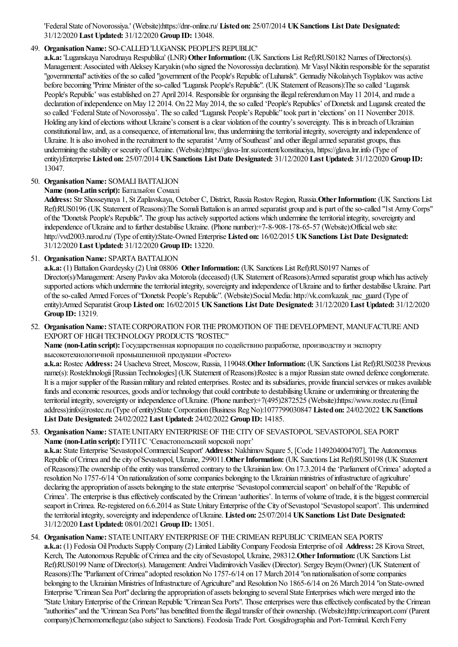'FederalState ofNovorossiya.' (Website):https://dnr-online.ru/ **Listed on:** 25/07/2014 **UKSanctions List Date Designated:** 31/12/2020 **Last Updated:** 31/12/2020 **Group ID:** 13048.

# 49. **Organisation Name: SO-CALLED 'LUGANSK PEOPLE'S REPUBLIC'**

**a.k.a:** 'Luganskaya Narodnaya Respublika' (LNR) **OtherInformation:** (UK Sanctions List Ref):RUS0182 Names ofDirectors(s). Management: Associated with Aleksey Karyakin (who signed the Novorossiya declaration). Mr Vasyl Nikitin responsible for the separatist "governmental" activities of the so called "government of the People's Republic of Luhansk". Gennadiy Nikolaivych Tsyplakov was active before becoming "Prime Minister of the so-called "Lugansk People's Republic". (UK Statement of Reasons):The so called 'Lugansk People's Republic' was established on 27 April 2014. Responsible for organising the illegal referendum on May 11 2014, and made a declaration of independence on May 12 2014. On 22 May 2014, the so called 'People's Republics' of Donetsk and Lugansk created the so called 'Federal State of Novorossiya'. The so called "Lugansk People's Republic" took part in 'elections' on 11 November 2018. Holding any kind of elections without Ukraine's consent is a clear violation of the country's sovereignty. This is in breach of Ukrainian constitutional law, and, as a consequence, of international law, thus undermining the territorial integrity, sovereignty and independence of Ukraine. It is also involved in the recruitment to the separatist 'Army of Southeast' and other illegal armed separatist groups, thus undermining the stability or security of Ukraine. (Website):https://glava-Inr.su/content/konstituciya, https://glava.lnr.info (Type of entity):Enterprise **Listed on:** 25/07/2014 **UKSanctions List Date Designated:** 31/12/2020 **Last Updated:** 31/12/2020 **Group ID:** 13047.

# 50. **Organisation Name:** SOMALI BATTALION

# **Name (non-Latin script):** Батальйон Сомалі

Address: Str Shosseynaya 1, St Zaplavskaya, October C, District, Russia Rostov Region, Russia. Other Information: (UK Sanctions List Ref):RUS0196 (UK Statement of Reasons):The Somali Battalion is an armed separatist group and is part of the so-called "1st Army Corps" of the "Donetsk People's Republic". The group has actively supported actions which undermine the territorial integrity, sovereignty and independence of Ukraine and to further destabilise Ukraine. (Phone number):+7-8-908-178-65-57 (Website):Official web site: http://vvd2003.narod.ru/ (Type ofentity):State-Owned Enterprise **Listed on:** 16/02/2015 **UKSanctions List Date Designated:** 31/12/2020 **Last Updated:** 31/12/2020 **Group ID:** 13220.

51. **Organisation Name: SPARTA BATTALION** 

**a.k.a:** (1) BattalionGvardeysky (2) Unit 08806 **OtherInformation:** (UK Sanctions List Ref):RUS0197 Names of Director(s)/Management: Arseny Pavlov aka Motorola (deceased) (UK Statement of Reasons):Armed separatist group which has actively supported actions which undermine the territorial integrity, sovereignty and independence of Ukraine and to further destabilise Ukraine. Part oftheso-called Armed Forces of"Donetsk People's Republic". (Website):SocialMedia: http://vk.com/kazak\_nac\_guard (Type of entity):Armed Separatist Group **Listed on:** 16/02/2015 **UKSanctions List Date Designated:** 31/12/2020 **Last Updated:** 31/12/2020 **Group ID:** 13219.

52. Organisation Name: STATE CORPORATION FOR THE PROMOTION OF THE DEVELOPMENT, MANUFACTURE AND EXPORT OF HIGH TECHNOLOGY PRODUCTS "ROSTEC"

**Name (non-Latin script):** Государственная корпорация по содействию разработке, производству и экспорту высокотехнологичной промышленной продукции «Ростех»

a.k.a: Rostec Address: 24 Usacheva Street, Moscow, Russia, 119048. Other Information: (UK Sanctions List Ref):RUS0238 Previous name(s): Rostekhnologii [Russian Technologies] (UK Statement of Reasons):Rostec is a major Russian state owned defence conglomerate. It is a major supplier of the Russian military and related enterprises. Rostec and its subsidiaries, provide financial services or makes available funds and economic resources, goods and/or technology that could contribute to destabilising Ukraine or undermining or threatening the territorial integrity, sovereignty or independence of Ukraine. (Phone number):+7(495)2872525 (Website):https://www.rostec.ru (Email address):info@rostec.ru (Type ofentity):State Corporation (Business RegNo):1077799030847 **Listed on:** 24/02/2022 **UKSanctions List Date Designated:** 24/02/2022 **Last Updated:** 24/02/2022 **Group ID:** 14185.

53. Organisation Name: STATE UNITARY ENTERPRISE OF THE CITY OF SEVASTOPOL 'SEVASTOPOL SEA PORT' **Name (non-Latin script):** ГУПГС 'Севастопольский морской порт'

**a.k.a:** State Enterprise'SevastopolCommercialSeaport' **Address:** Nakhimov Square 5, [Code 1149204004707], The Autonomous Republic of Crimea and the city of Sevastopol, Ukraine, 299011. **Other Information:** (UK Sanctions List Ref):RUS0198 (UK Statement of Reasons):The ownership of the entity was transferred contrary to the Ukrainian law. On 17.3.2014 the 'Parliament of Crimea' adopted a resolution No 1757-6/14 'On nationalization of some companies belonging to the Ukrainian ministries of infrastructure of agriculture' declaring the appropriation of assets belonging to the state enterprise 'Sevastopol commercial seaport' on behalf of the 'Republic of Crimea'. The enterprise is thus effectively confiscated by the Crimean 'authorities'. In terms of volume of trade, it is the biggest commercial seaport in Crimea. Re-registered on 6.6.2014 as State Unitary Enterprise of the City of Sevastopol 'Sevastopol seaport'. This undermined theterritorialintegrity, sovereignty and independence ofUkraine. **Listed on:** 25/07/2014 **UKSanctions List Date Designated:** 31/12/2020 **Last Updated:** 08/01/2021 **Group ID:** 13051.

54. **Organisation Name:** STATE UNITARY ENTERPRISE OF THE CRIMEAN REPUBLIC 'CRIMEAN SEA PORTS' **a.k.a:** (1) Fedosia OilProducts SupplyCompany (2) Limited LiabilityCompany Feodosia Enterprise of oil **Address:** 28 Kirova Street, Kerch, The Autonomous Republic of Crimea and the city of Sevastopol, Ukraine, 298312. Other Information: (UK Sanctions List Ref):RUS0199 Name of Director(s). Management: Andrei Vladimirovich Vasiliev (Director). Sergey Beym (Owner) (UK Statement of Reasons):The "Parliament of Crimea" adopted resolution No 1757-6/14 on 17 March 2014 "on nationalisation of some companies belonging to the Ukrainian Ministries of Infrastructure of Agriculture" and Resolution No 1865-6/14 on 26 March 2014 "on State-owned Enterprise "Crimean Sea Port" declaring the appropriation of assets belonging to several State Enterprises which were merged into the "State Unitary Enterprise of the Crimean Republic "Crimean Sea Ports". Those enterprises were thus effectively confiscated by the Crimean "authorities"and the"Crimean Sea Ports"has benefitted fromtheillegaltransfer oftheir ownership. (Website):http:/crimeaport.com/ (Parent company):Chernomorneftegaz(also subject to Sanctions). Feodosia Trade Port. Gosgidrographiaand Port-Terminal. Kerch Ferry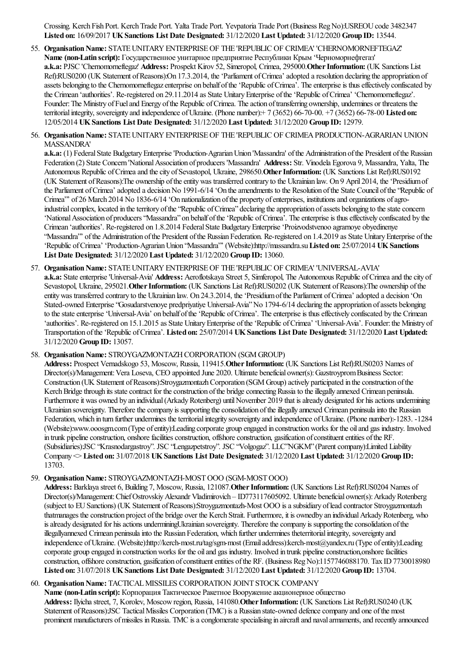Crossing. Kerch Fish Port. Kerch Trade Port. Yalta Trade Port. Yevpatoria Trade Port (Business Reg No):USREOU code 3482347 **Listed on:** 16/09/2017 **UKSanctions List Date Designated:** 31/12/2020 **Last Updated:** 31/12/2020 **Group ID:** 13544.

55. Organisation Name: STATE UNITARY ENTERPRISE OF THE 'REPUBLIC OF CRIMEA' 'CHERNOMORNEFTEGAZ' **Name (non-Latin script):** Государственное унитарное предприятие Республики Крым 'Черноморнефтегаз' **a.k.a:** PJSC 'Chernomorneftegaz' **Address:** Prospekt Kirov 52, Simeropol, Crimea, 295000.**OtherInformation:** (UK Sanctions List Ref):RUS0200 (UK Statement of Reasons):On 17.3.2014, the 'Parliament of Crimea' adopted a resolution declaring the appropriation of assets belonging to the Chernomorneftegaz enterprise on behalf of the 'Republic of Crimea'. The enterprise is thus effectively confiscated by the Crimean 'authorities'. Re-registered on 29.11.2014 as State Unitary Enterprise of the 'Republic of Crimea' 'Chernomorneftegaz'. Founder: The Ministry of Fuel and Energy of the Republic of Crimea. The action of transferring ownership, undermines or threatens the territorialintegrity, sovereignty and independence ofUkraine. (Phone number):+ 7 (3652) 66-70-00. +7 (3652) 66-78-00 **Listed on:** 12/05/2014 **UKSanctions List Date Designated:** 31/12/2020 **Last Updated:** 31/12/2020 **Group ID:** 12979.

### 56. Organisation Name: STATE UNITARY ENTERPRISE OF THE 'REPUBLIC OF CRIMEA PRODUCTION-AGRARIAN UNION MASSANDRA'

**a.k.a:** (1) Federal State Budgetary Enterprise 'Production-Agrarian Union 'Massandra' of the Administration of the President of the Russian Federation (2) State Concern 'National Association of producers 'Massandra' Address: Str. Vinodela Egorova 9, Massandra, Yalta, The Autonomous Republic ofCrimeaand thecity ofSevastopol, Ukraine, 298650.**OtherInformation:** (UK Sanctions List Ref):RUS0192 (UK Statement ofReasons):The ownership oftheentitywas transferred contrary to the Ukrainian law. On 9 April 2014, the'Presidiumof the Parliament of Crimea' adopted a decision No 1991-6/14 'On the amendments to the Resolution of the State Council of the 'Republic of Crimea'" of 26 March 2014 No 1836-6/14 'On nationalization of the property of enterprises, institutions and organizations of agroindustrial complex, located in the territory of the "Republic of Crimea" declaring the appropriation of assets belonging to the state concern 'National Association of producers "Massandra" on behalf of the 'Republic of Crimea'. The enterprise is thus effectively confiscated by the Crimean 'authorities'. Re-registered on 1.8.2014 Federal State Budgetary Enterprise 'Proizvodstvenoo agrarnoye obyedinenye "Massandra" of the Administration of the President of the Russian Federation. Re-registered on 1.4.2019 as State Unitary Enterprise of the 'Republic ofCrimea' 'Production-AgrarianUnion "Massandra"' (Website):http://massandra.su**Listed on:** 25/07/2014 **UKSanctions List Date Designated:** 31/12/2020 **Last Updated:** 31/12/2020 **Group ID:** 13060.

### 57. **Organisation Name:** STATE UNITARY ENTERPRISE OF THE 'REPUBLIC OF CRIMEA' 'UNIVERSAL-AVIA' **a.k.a:** State enterprise 'Universal-Avia' **Address:** Aeroflotskaya Street 5, Simferopol, The Autonomous Republic of Crimea and the city of Sevastopol, Ukraine, 295021. Other Information: (UK Sanctions List Ref):RUS0202 (UK Statement of Reasons):The ownership of the entitywas transferred contrary to the Ukrainian law. On 24.3.2014, the'Presidiumofthe Parliament ofCrimea'adopted a decision 'On Stated-owned Enterprise "Gosudarstvenoye predpriyatiye Universal-Avia" No 1794-6/14 declaring the appropriation of assets belonging to the state enterprise 'Universal-Avia' on behalf of the 'Republic of Crimea'. The enterprise is thus effectively confiscated by the Crimean 'authorities'. Re-registered on 15.1.2015 as State Unitary Enterprise of the 'Republic of Crimea' 'Universal-Avia'. Founder: the Ministry of Transportation ofthe'Republic ofCrimea'. **Listed on:** 25/07/2014 **UKSanctions List Date Designated:** 31/12/2020 **Last Updated:** 31/12/2020 **Group ID:** 13057.

### 58. Organisation Name: STROYGAZMONTAZH CORPORATION (SGM GROUP)

Address: Prospect Vernadskogo 53, Moscow, Russia, 119415. Other Information: (UK Sanctions List Ref):RUS0203 Names of Director(s)/Management: Vera Loseva, CEO appointed June 2020. Ultimate beneficial owner(s): Gazstroyprom Business Sector: Construction (UK Statement of Reasons):Stroygazmontazh Corporation (SGM Group) actively participated in the construction of the Kerch Bridge through its state contract for the construction of the bridge connecting Russia to the illegally annexed Crimean peninsula. Furthermore it was owned by an individual (Arkady Rotenberg) until November 2019 that is already designated for his actions undermining Ukrainian sovereignty. Therefore the company is supporting the consolidation of the illegally annexed Crimean peninsula into the Russian Federation, which in turn further undermines the territorial integrity sovereignty and independence of Ukraine. (Phone number):-1283. -1284 (Website):www.ooosgm.com(Type ofentity):Leading corporate group engaged in constructionworks for the oiland gas industry. Involved in trunk pipeline construction, onshore facilities construction, offshore construction, gasification of constituent entities of the RF. (Subsidiaries):JSC "Krasnodargastroy". JSC "Lengazpetstroy". JSC "Volgogaz". LLC"NGKM"(Parentcompany):Limited Liability Company <> **Listed on:** 31/07/2018 **UKSanctions List Date Designated:** 31/12/2020 **Last Updated:** 31/12/2020 **Group ID:** 13703.

# 59. **OrganisationName:** STROYGAZMONTAZH-MOSTOOO (SGM-MOSTOOO)

Address: Barklaya street 6, Building 7, Moscow, Russia, 121087. Other Information: (UK Sanctions List Ref):RUS0204 Names of Director(s)/Management: Chief Ostrovskiy Alexandr Vladimirovich – ID773117605092. Ultimate beneficial owner(s): Arkady Rotenberg (subject to EUSanctions) (UK Statement ofReasons):Stroygazmontazh-Most OOO isasubsidiary oflead contractor Stroygazmontazh thatmanages the construction project of the bridge over the Kerch Strait. Furthermore, it is ownedby an individual Arkady Rotenberg, who is already designated for his actions underminingUkrainian sovereignty. Therefore the company is supporting the consolidation of the illegallyannexed Crimean peninsulainto the Russian Federation, which further undermines theterritorialintegrity, sovereignty and independence ofUkraine. (Website):http://kerch-most.ru/tag/sgm-most (Emailaddress):kerch-most@yandex.ru (Type ofentity):Leading corporate group engaged in construction works for the oil and gas industry. Involved in trunk pipeline construction,onshore facilities construction, offshore construction, gasification of constituent entities of the RF. (Business RegNo):1157746088170. Tax ID 7730018980 **Listed on:** 31/07/2018 **UKSanctions List Date Designated:** 31/12/2020 **Last Updated:** 31/12/2020 **Group ID:** 13704.

60. Organisation Name: TACTICAL MISSILES CORPORATION JOINT STOCK COMPANY

**Name** (non-Latin script): Корпорация Тактическое Ракетное Вооружение акционерное общество **Address:** Ilyichastreet, 7, Korolev, Moscowregion, Russia, 141080.**OtherInformation:** (UK Sanctions List Ref):RUS0240 (UK Statement of Reasons):JSC Tactical Missiles Corporation (TMC) is a Russian state-owned defence company and one of the most prominent manufacturers of missiles in Russia. TMC is a conglomerate specialising in aircraft and naval armaments, and recently announced